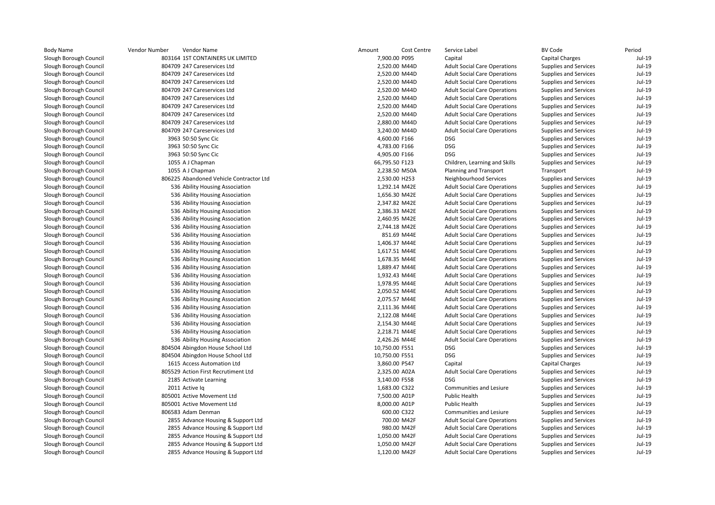| <b>Body Name</b>       | Vendor Number | Vendor Name                             | Amount         | Cost Centre | Sery       |
|------------------------|---------------|-----------------------------------------|----------------|-------------|------------|
| Slough Borough Council |               | 803164 1ST CONTAINERS UK LIMITED        | 7,900.00 P095  |             | Cap        |
| Slough Borough Council |               | 804709 247 Careservices Ltd             | 2,520.00 M44D  |             | Adu        |
| Slough Borough Council |               | 804709 247 Careservices Ltd             | 2,520.00 M44D  |             | Adu        |
| Slough Borough Council |               | 804709 247 Careservices Ltd             | 2,520.00 M44D  |             | Adu        |
| Slough Borough Council |               | 804709 247 Careservices Ltd             | 2,520.00 M44D  |             | Adu        |
| Slough Borough Council |               | 804709 247 Careservices Ltd             | 2,520.00 M44D  |             | Adu        |
| Slough Borough Council |               | 804709 247 Careservices Ltd             | 2,520.00 M44D  |             | Adu        |
| Slough Borough Council |               | 804709 247 Careservices Ltd             | 2,520.00 M44D  |             | Adu        |
| Slough Borough Council |               | 804709 247 Careservices Ltd             | 2,880.00 M44D  |             | Adu        |
| Slough Borough Council |               | 804709 247 Careservices Ltd             | 3,240.00 M44D  |             | Adu        |
| Slough Borough Council |               | 3963 50:50 Sync Cic                     | 4,600.00 F166  |             | <b>DSG</b> |
| Slough Borough Council |               | 3963 50:50 Sync Cic                     | 4,783.00 F166  |             | <b>DSG</b> |
| Slough Borough Council |               | 3963 50:50 Sync Cic                     | 4,905.00 F166  |             | <b>DSG</b> |
| Slough Borough Council |               | 1055 A J Chapman                        | 66,795.50 F123 |             | Chil       |
| Slough Borough Council |               | 1055 A J Chapman                        | 2,238.50 M50A  |             | Plar       |
| Slough Borough Council |               | 806225 Abandoned Vehicle Contractor Ltd | 2,530.00 H253  |             | Neig       |
| Slough Borough Council |               | 536 Ability Housing Association         | 1,292.14 M42E  |             | Adu        |
| Slough Borough Council |               | 536 Ability Housing Association         | 1,656.30 M42E  |             | Adu        |
| Slough Borough Council |               | 536 Ability Housing Association         | 2,347.82 M42E  |             | Adu        |
| Slough Borough Council |               | 536 Ability Housing Association         | 2,386.33 M42E  |             | Adu        |
| Slough Borough Council |               | 536 Ability Housing Association         | 2,460.95 M42E  |             | Adu        |
| Slough Borough Council |               | 536 Ability Housing Association         | 2,744.18 M42E  |             | Adu        |
| Slough Borough Council |               | 536 Ability Housing Association         | 851.69 M44E    |             | Adu        |
| Slough Borough Council |               | 536 Ability Housing Association         | 1,406.37 M44E  |             | Adu        |
| Slough Borough Council |               | 536 Ability Housing Association         | 1,617.51 M44E  |             | Adu        |
| Slough Borough Council |               | 536 Ability Housing Association         | 1,678.35 M44E  |             | Adu        |
| Slough Borough Council |               | 536 Ability Housing Association         | 1,889.47 M44E  |             | Adu        |
| Slough Borough Council |               | 536 Ability Housing Association         | 1,932.43 M44E  |             | Adu        |
| Slough Borough Council |               | 536 Ability Housing Association         | 1,978.95 M44E  |             | Adu        |
| Slough Borough Council |               | 536 Ability Housing Association         | 2,050.52 M44E  |             | Adu        |
| Slough Borough Council |               | 536 Ability Housing Association         | 2,075.57 M44E  |             | Adu        |
| Slough Borough Council |               | 536 Ability Housing Association         | 2,111.36 M44E  |             | Adu        |
| Slough Borough Council |               | 536 Ability Housing Association         | 2,122.08 M44E  |             | Adu        |
| Slough Borough Council |               | 536 Ability Housing Association         | 2,154.30 M44E  |             | Adu        |
| Slough Borough Council |               | 536 Ability Housing Association         | 2,218.71 M44E  |             | Adu        |
| Slough Borough Council |               | 536 Ability Housing Association         | 2,426.26 M44E  |             | Adu        |
| Slough Borough Council |               | 804504 Abingdon House School Ltd        | 10,750.00 F551 |             | <b>DSG</b> |
| Slough Borough Council |               | 804504 Abingdon House School Ltd        | 10,750.00 F551 |             | <b>DSG</b> |
| Slough Borough Council |               | 1615 Access Automation Ltd              | 3,860.00 P547  |             | Cap        |
| Slough Borough Council |               | 805529 Action First Recrutiment Ltd     | 2,325.00 A02A  |             | Adu        |
| Slough Borough Council |               | 2185 Activate Learning                  | 3,140.00 F558  |             | <b>DSG</b> |
| Slough Borough Council |               | 2011 Active la                          | 1,683.00 C322  |             | Con        |
| Slough Borough Council |               | 805001 Active Movement Ltd              | 7,500.00 A01P  |             | Pub        |
| Slough Borough Council |               | 805001 Active Movement Ltd              | 8,000.00 A01P  |             | Pub        |
| Slough Borough Council |               | 806583 Adam Denman                      | 600.00 C322    |             | Con        |
| Slough Borough Council |               | 2855 Advance Housing & Support Ltd      | 700.00 M42F    |             | Adu        |
| Slough Borough Council |               | 2855 Advance Housing & Support Ltd      | 980.00 M42F    |             | Adu        |
| Slough Borough Council |               | 2855 Advance Housing & Support Ltd      | 1,050.00 M42F  |             | Adu        |
| Slough Borough Council |               | 2855 Advance Housing & Support Ltd      | 1,050.00 M42F  |             | Adu        |
| Slough Borough Council |               | 2855 Advance Housing & Support Ltd      | 1,120.00 M42F  |             | Adu        |
|                        |               |                                         |                |             |            |

| e                                         | Vendor Number<br>Vendor Name            | Amount         | Cost Centre   | Service Label                       | <b>BV Code</b>                                               | Period   |
|-------------------------------------------|-----------------------------------------|----------------|---------------|-------------------------------------|--------------------------------------------------------------|----------|
| ough Council                              | 803164 1ST CONTAINERS UK LIMITED        |                | 7,900.00 P095 | Capital                             | Capital Charges                                              | $Jul-19$ |
| ough Council                              | 804709 247 Careservices Ltd             |                | 2,520.00 M44D | <b>Adult Social Care Operations</b> | Supplies and Services                                        | $Jul-19$ |
| ough Council <sup>.</sup>                 | 804709 247 Careservices Ltd             |                | 2,520.00 M44D | <b>Adult Social Care Operations</b> | Supplies and Services                                        | Jul-19   |
| ough Council                              | 804709 247 Careservices Ltd             |                | 2,520.00 M44D | <b>Adult Social Care Operations</b> | Supplies and Services                                        | $Jul-19$ |
| ough Council <sup>.</sup>                 | 804709 247 Careservices Ltd             |                | 2,520.00 M44D | <b>Adult Social Care Operations</b> | Supplies and Services                                        | $Jul-19$ |
| ough Council                              | 804709 247 Careservices Ltd             |                | 2,520.00 M44D | <b>Adult Social Care Operations</b> | Supplies and Services                                        | $Jul-19$ |
| ough Council                              | 804709 247 Careservices Ltd             |                | 2,520.00 M44D | <b>Adult Social Care Operations</b> | Supplies and Services                                        | $Jul-19$ |
| ough Council                              | 804709 247 Careservices Ltd             |                | 2,520.00 M44D | <b>Adult Social Care Operations</b> | Supplies and Services                                        | $Jul-19$ |
| ough Council                              | 804709 247 Careservices Ltd             |                | 2,880.00 M44D | <b>Adult Social Care Operations</b> | Supplies and Services                                        | $Jul-19$ |
| ough Council <sup>.</sup>                 | 804709 247 Careservices Ltd             |                | 3,240.00 M44D | <b>Adult Social Care Operations</b> | Supplies and Services                                        | $Jul-19$ |
| ough Council                              | 3963 50:50 Sync Cic                     | 4,600.00 F166  |               | <b>DSG</b>                          | Supplies and Services                                        | $Jul-19$ |
| ough Council <sup>.</sup>                 | 3963 50:50 Sync Cic                     | 4,783.00 F166  |               | <b>DSG</b>                          | Supplies and Services                                        | $Jul-19$ |
| ough Council                              | 3963 50:50 Sync Cic                     | 4,905.00 F166  |               | <b>DSG</b>                          | Supplies and Services                                        | $Jul-19$ |
| ough Council                              | 1055 A J Chapman                        | 66,795.50 F123 |               | Children, Learning and Skills       | Supplies and Services                                        | $Jul-19$ |
| ough Council                              | 1055 A J Chapman                        |                | 2,238.50 M50A | Planning and Transport              | Transport                                                    | $Jul-19$ |
| ough Council                              | 806225 Abandoned Vehicle Contractor Ltd | 2,530.00 H253  |               | Neighbourhood Services              | Supplies and Services                                        | $Jul-19$ |
| ough Council <sup>.</sup>                 | 536 Ability Housing Association         |                | 1,292.14 M42E | <b>Adult Social Care Operations</b> | Supplies and Services                                        | $Jul-19$ |
| ough Council <sup>.</sup>                 | 536 Ability Housing Association         |                | 1,656.30 M42E | <b>Adult Social Care Operations</b> | Supplies and Services                                        | $Jul-19$ |
| ough Council <sup>.</sup>                 | 536 Ability Housing Association         |                | 2,347.82 M42E | <b>Adult Social Care Operations</b> | Supplies and Services                                        | $Jul-19$ |
| ough Council <sup>.</sup>                 | 536 Ability Housing Association         |                | 2,386.33 M42E | <b>Adult Social Care Operations</b> | Supplies and Services                                        | $Jul-19$ |
| ough Council <sup>.</sup>                 | 536 Ability Housing Association         |                | 2,460.95 M42E | <b>Adult Social Care Operations</b> | Supplies and Services                                        | $Jul-19$ |
| ough Council                              | 536 Ability Housing Association         |                | 2,744.18 M42E | <b>Adult Social Care Operations</b> | <b>Supplies and Services</b>                                 | $Jul-19$ |
| ough Council                              | 536 Ability Housing Association         |                | 851.69 M44E   | <b>Adult Social Care Operations</b> | Supplies and Services                                        | $Jul-19$ |
| ough Council                              | 536 Ability Housing Association         |                | 1,406.37 M44E | <b>Adult Social Care Operations</b> | Supplies and Services                                        | $Jul-19$ |
| ough Council                              | 536 Ability Housing Association         |                | 1,617.51 M44E | <b>Adult Social Care Operations</b> | Supplies and Services                                        | $Jul-19$ |
| ough Council                              | 536 Ability Housing Association         |                | 1,678.35 M44E | <b>Adult Social Care Operations</b> | Supplies and Services                                        | $Jul-19$ |
| ough Council <sup>.</sup>                 | 536 Ability Housing Association         |                | 1,889.47 M44E | <b>Adult Social Care Operations</b> | Supplies and Services                                        | $Jul-19$ |
| ough Council                              | 536 Ability Housing Association         |                | 1,932.43 M44E | <b>Adult Social Care Operations</b> | Supplies and Services                                        | $Jul-19$ |
| ough Council                              | 536 Ability Housing Association         |                | 1,978.95 M44E | <b>Adult Social Care Operations</b> | <b>Supplies and Services</b>                                 | $Jul-19$ |
| ough Council                              | 536 Ability Housing Association         |                | 2,050.52 M44E | <b>Adult Social Care Operations</b> | Supplies and Services                                        | $Jul-19$ |
| ough Council <sup>.</sup>                 | 536 Ability Housing Association         |                | 2,075.57 M44E | <b>Adult Social Care Operations</b> | Supplies and Services                                        | $Jul-19$ |
| ough Council                              | 536 Ability Housing Association         |                | 2,111.36 M44E | <b>Adult Social Care Operations</b> | Supplies and Services                                        | $Jul-19$ |
| ough Council <sup>.</sup>                 | 536 Ability Housing Association         |                | 2,122.08 M44E | <b>Adult Social Care Operations</b> | Supplies and Services                                        | $Jul-19$ |
| ough Council                              | 536 Ability Housing Association         |                | 2,154.30 M44E | <b>Adult Social Care Operations</b> | Supplies and Services                                        | $Jul-19$ |
| ough Council                              | 536 Ability Housing Association         |                | 2,218.71 M44E | <b>Adult Social Care Operations</b> | Supplies and Services                                        | $Jul-19$ |
|                                           | 536 Ability Housing Association         |                | 2,426.26 M44E | <b>Adult Social Care Operations</b> |                                                              | $Jul-19$ |
| ough Council <sup>.</sup><br>ough Council | 804504 Abingdon House School Ltd        | 10,750.00 F551 |               | <b>DSG</b>                          | <b>Supplies and Services</b><br><b>Supplies and Services</b> | $Jul-19$ |
| ough Council                              | 804504 Abingdon House School Ltd        | 10,750.00 F551 |               | <b>DSG</b>                          | Supplies and Services                                        | $Jul-19$ |
| ough Council                              | 1615 Access Automation Ltd              | 3,860.00 P547  |               | Capital                             | <b>Capital Charges</b>                                       | $Jul-19$ |
| ough Council                              | 805529 Action First Recrutiment Ltd     | 2,325.00 A02A  |               | <b>Adult Social Care Operations</b> | Supplies and Services                                        | $Jul-19$ |
| ough Council                              | 2185 Activate Learning                  | 3,140.00 F558  |               | <b>DSG</b>                          | Supplies and Services                                        | $Jul-19$ |
|                                           |                                         |                |               |                                     |                                                              |          |
| ough Council                              | 2011 Active Iq                          | 1,683.00 C322  |               | Communities and Lesiure             | Supplies and Services                                        | $Jul-19$ |
| ough Council <sup>.</sup>                 | 805001 Active Movement Ltd              | 7,500.00 A01P  |               | <b>Public Health</b>                | Supplies and Services                                        | $Jul-19$ |
| ough Council <sup>.</sup>                 | 805001 Active Movement Ltd              |                | 8,000.00 A01P | <b>Public Health</b>                | Supplies and Services                                        | $Jul-19$ |
| ough Council                              | 806583 Adam Denman                      |                | 600.00 C322   | Communities and Lesiure             | Supplies and Services                                        | $Jul-19$ |
| ough Council                              | 2855 Advance Housing & Support Ltd      |                | 700.00 M42F   | <b>Adult Social Care Operations</b> | Supplies and Services                                        | $Jul-19$ |
| ough Council                              | 2855 Advance Housing & Support Ltd      |                | 980.00 M42F   | <b>Adult Social Care Operations</b> | Supplies and Services                                        | $Jul-19$ |
| ough Council                              | 2855 Advance Housing & Support Ltd      |                | 1,050.00 M42F | <b>Adult Social Care Operations</b> | Supplies and Services                                        | $Jul-19$ |
| ough Council                              | 2855 Advance Housing & Support Ltd      |                | 1,050.00 M42F | <b>Adult Social Care Operations</b> | <b>Supplies and Services</b>                                 | $Jul-19$ |
| ough Council                              | 2855 Advance Housing & Support Ltd      |                | 1,120.00 M42F | <b>Adult Social Care Operations</b> | Supplies and Services                                        | $Jul-19$ |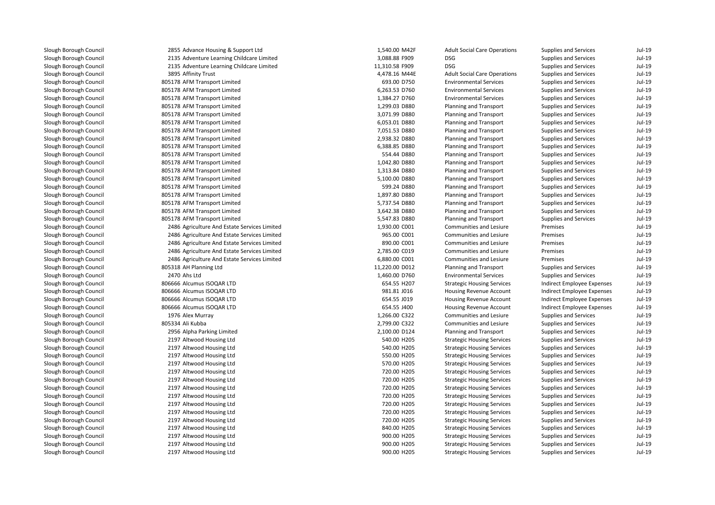2855 Advance Housing & Support Ltd 2135 Adventure Learning Childcare Limited 2135 Adventure Learning Childcare Limited3895 Affinity Trust 805178 AFM Transport Limited 805178 AFM Transport Limited 805178 AFM Transport Limited 805178 AFM Transport Limited 805178 AFM Transport Limited 805178 AFM Transport Limited 805178 AFM Transport Limited 805178 AFM Transport Limited 805178 AFM Transport Limited 805178 AFM Transport Limited 805178 AFM Transport Limited 805178 AFM Transport Limited 805178 AFM Transport Limited 805178 AFM Transport Limited 805178 AFM Transport Limited 805178 AFM Transport Limited 805178 AFM Transport Limited 805178 AFM Transport Limited 2486 Agriculture And Estate Services Limited 2486 Agriculture And Estate Services Limited 2486 Agriculture And Estate Services Limited 2486 Agriculture And Estate Services Limited 2486 Agriculture And Estate Services Limited 805318 AH Planning Ltd 2470 Ahs Ltd 806666 Alcumus ISOQAR LTD 806666 Alcumus ISOQAR LTD 806666 Alcumus ISOQAR LTD 806666 Alcumus ISOQAR LTD1976 Alex Murray 805334 Ali Kubba 2956 Alpha Parking Limited 2197 Altwood Housing Ltd 2197 Altwood Housing Ltd 2197 Altwood Housing Ltd 2197 Altwood Housing Ltd 2197 Altwood Housing Ltd 2197 Altwood Housing Ltd 2197 Altwood Housing Ltd 2197 Altwood Housing Ltd 2197 Altwood Housing Ltd 2197 Altwood Housing Ltd 2197 Altwood Housing Ltd 2197 Altwood Housing Ltd 2197 Altwood Housing Ltd 2197 Altwood Housing Ltd2197 Altwood Housing Ltd

| 5 Advance Housing & Support Ltd           | 1,540.00 M42F  | <b>Adult Social Care Operations</b> | Supplies and Services        | Jul-19   |
|-------------------------------------------|----------------|-------------------------------------|------------------------------|----------|
| 5 Adventure Learning Childcare Limited    | 3,088.88 F909  | <b>DSG</b>                          | Supplies and Services        | Jul-19   |
| 5 Adventure Learning Childcare Limited    | 11,310.58 F909 | <b>DSG</b>                          | Supplies and Services        | Jul-19   |
| 5 Affinity Trust                          | 4,478.16 M44E  | <b>Adult Social Care Operations</b> | Supplies and Services        | Jul-19   |
| 8 AFM Transport Limited                   | 693.00 D750    | <b>Environmental Services</b>       | Supplies and Services        | $Jul-19$ |
| 8 AFM Transport Limited                   | 6,263.53 D760  | <b>Environmental Services</b>       | <b>Supplies and Services</b> | Jul-19   |
| 8 AFM Transport Limited                   | 1,384.27 D760  | <b>Environmental Services</b>       | Supplies and Services        | Jul-19   |
| 8 AFM Transport Limited                   | 1,299.03 D880  | Planning and Transport              | <b>Supplies and Services</b> | Jul-19   |
| 8 AFM Transport Limited                   | 3,071.99 D880  | Planning and Transport              | Supplies and Services        | Jul-19   |
| 8 AFM Transport Limited                   | 6,053.01 D880  | Planning and Transport              | Supplies and Services        | Jul-19   |
| 8 AFM Transport Limited                   | 7,051.53 D880  | Planning and Transport              | Supplies and Services        | Jul-19   |
| 8 AFM Transport Limited                   | 2,938.32 D880  | Planning and Transport              | Supplies and Services        | $Jul-19$ |
| 8 AFM Transport Limited                   | 6,388.85 D880  | Planning and Transport              | <b>Supplies and Services</b> | Jul-19   |
| 8 AFM Transport Limited                   | 554.44 D880    | Planning and Transport              | Supplies and Services        | Jul-19   |
| 8 AFM Transport Limited                   | 1,042.80 D880  | Planning and Transport              | Supplies and Services        | Jul-19   |
| 8 AFM Transport Limited                   | 1,313.84 D880  | Planning and Transport              | Supplies and Services        | Jul-19   |
| 8 AFM Transport Limited                   | 5,100.00 D880  | Planning and Transport              | Supplies and Services        | Jul-19   |
| 8 AFM Transport Limited                   | 599.24 D880    | Planning and Transport              | Supplies and Services        | Jul-19   |
| 8 AFM Transport Limited                   | 1,897.80 D880  | Planning and Transport              | <b>Supplies and Services</b> | $Jul-19$ |
| 8 AFM Transport Limited                   | 5,737.54 D880  | Planning and Transport              | <b>Supplies and Services</b> | Jul-19   |
| 8 AFM Transport Limited                   | 3,642.38 D880  | Planning and Transport              | Supplies and Services        | Jul-19   |
| 8 AFM Transport Limited                   | 5,547.83 D880  | Planning and Transport              | <b>Supplies and Services</b> | Jul-19   |
| 6 Agriculture And Estate Services Limited | 1,930.00 C001  | Communities and Lesiure             | Premises                     | $Jul-19$ |
| 6 Agriculture And Estate Services Limited | 965.00 C001    | Communities and Lesiure             | Premises                     | Jul-19   |
| 6 Agriculture And Estate Services Limited | 890.00 C001    | Communities and Lesiure             | Premises                     | $Jul-19$ |
| 6 Agriculture And Estate Services Limited | 2,785.00 C019  | Communities and Lesiure             | Premises                     | Jul-19   |
| 6 Agriculture And Estate Services Limited | 6,880.00 C001  | Communities and Lesiure             | Premises                     | Jul-19   |
| 8 AH Planning Ltd                         | 11,220.00 D012 | Planning and Transport              | Supplies and Services        | Jul-19   |
| 0 Ahs Ltd                                 | 1,460.00 D760  | <b>Environmental Services</b>       | Supplies and Services        | Jul-19   |
| 6 Alcumus ISOQAR LTD                      | 654.55 H207    | <b>Strategic Housing Services</b>   | Indirect Employee Expenses   | Jul-19   |
| 6 Alcumus ISOQAR LTD                      | 981.81 J016    | Housing Revenue Account             | Indirect Employee Expenses   | $Jul-19$ |
| 6 Alcumus ISOQAR LTD                      | 654.55 J019    | Housing Revenue Account             | Indirect Employee Expenses   | Jul-19   |
| 6 Alcumus ISOQAR LTD                      | 654.55 J400    | <b>Housing Revenue Account</b>      | Indirect Employee Expenses   | Jul-19   |
| 6 Alex Murray                             | 1,266.00 C322  | Communities and Lesiure             | <b>Supplies and Services</b> | Jul-19   |
| 4 Ali Kubba                               | 2,799.00 C322  | Communities and Lesiure             | Supplies and Services        | Jul-19   |
| 6 Alpha Parking Limited                   | 2,100.00 D124  | Planning and Transport              | Supplies and Services        | Jul-19   |
| 7 Altwood Housing Ltd                     | 540.00 H205    | <b>Strategic Housing Services</b>   | Supplies and Services        | Jul-19   |
| 7 Altwood Housing Ltd                     | 540.00 H205    | <b>Strategic Housing Services</b>   | Supplies and Services        | Jul-19   |
| 7 Altwood Housing Ltd                     | 550.00 H205    | <b>Strategic Housing Services</b>   | Supplies and Services        | Jul-19   |
| 7 Altwood Housing Ltd                     | 570.00 H205    | <b>Strategic Housing Services</b>   | <b>Supplies and Services</b> | Jul-19   |
| 7 Altwood Housing Ltd                     | 720.00 H205    | <b>Strategic Housing Services</b>   | <b>Supplies and Services</b> | Jul-19   |
| 7 Altwood Housing Ltd                     | 720.00 H205    | <b>Strategic Housing Services</b>   | Supplies and Services        | Jul-19   |
| 7 Altwood Housing Ltd                     | 720.00 H205    | <b>Strategic Housing Services</b>   | Supplies and Services        | Jul-19   |
| 7 Altwood Housing Ltd                     | 720.00 H205    | <b>Strategic Housing Services</b>   | Supplies and Services        | Jul-19   |
| 7 Altwood Housing Ltd                     | 720.00 H205    | <b>Strategic Housing Services</b>   | Supplies and Services        | Jul-19   |
| 7 Altwood Housing Ltd                     | 720.00 H205    | <b>Strategic Housing Services</b>   | Supplies and Services        | Jul-19   |
| 7 Altwood Housing Ltd                     | 720.00 H205    | <b>Strategic Housing Services</b>   | <b>Supplies and Services</b> | Jul-19   |
| 7 Altwood Housing Ltd                     | 840.00 H205    | <b>Strategic Housing Services</b>   | <b>Supplies and Services</b> | Jul-19   |
| 7 Altwood Housing Ltd                     | 900.00 H205    | <b>Strategic Housing Services</b>   | Supplies and Services        | Jul-19   |
| 7 Altwood Housing Ltd                     | 900.00 H205    | <b>Strategic Housing Services</b>   | <b>Supplies and Services</b> | Jul-19   |
| 7 Altwood Housing Ltd                     | 900.00 H205    | <b>Strategic Housing Services</b>   | Supplies and Services        | Jul-19   |
|                                           |                |                                     |                              |          |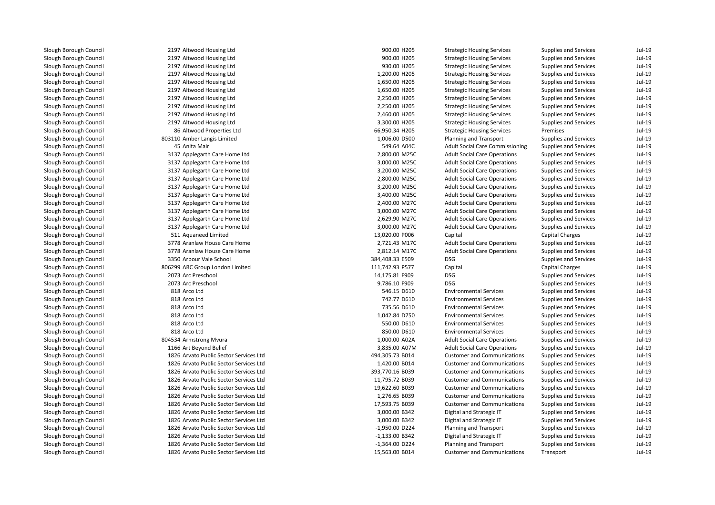2197 Altwood Housing Ltd 2197 Altwood Housing Ltd 2197 Altwood Housing Ltd 2197 Altwood Housing Ltd 2197 Altwood Housing Ltd 2197 Altwood Housing Ltd 2197 Altwood Housing Ltd 2197 Altwood Housing Ltd 2197 Altwood Housing Ltd 2197 Altwood Housing Ltd 8686 Altwood Properties Ltd 803110 Amber Langis Limited 45549.64 A04C ב-1, 1910 ה-1910 ה-2014 ה-2014 ה-2014 ה-2014 ה-2014 ה-2014 ה-2014 ה-2014 ה-2014 ה-2014 ה-2014 ה-2 3137 Applegarth Care Home Ltd 3137 Applegarth Care Home Ltd 3137 Applegarth Care Home Ltd 3137 Applegarth Care Home Ltd 3137 Applegarth Care Home Ltd 3137 Applegarth Care Home Ltd 3137 Applegarth Care Home Ltd 3137 Applegarth Care Home Ltd 3137 Applegarth Care Home Ltd 3137 Applegarth Care Home Ltd 511 Aquaneed Limited 3778 Aranlaw House Care Home 2,721.43 M17C 3778 Aranlaw House Care Home 2,812.14 M17C 3350 Arbour Vale School 384,408.33 E509 DSG 806299 ARC Group London Limited2073 Arc Preschool Arc Preschool 2006 DSG 2007 14,175.81 F909 DSG 2073 Arc Preschool Arc Preschool 9,786.10 F909 DSG 818 Arco Ltd 818 Arco Ltd 818 Arco Ltd 818818 Arco Ltd 818 Arco Ltd 818 Arco Ltd1,000.00 A02A Armstrong Mvura 1,000.00 A02A Amstrong Mvura 1,000.00 A02A l 1166 Art Beyond Belief 3,835.00 A07M 1826 Arvato Public Sector Services Ltd 1826 Arvato Public Sector Services Ltd 1826 Arvato Public Sector Services Ltd 1826 Arvato Public Sector Services Ltd 1826 Arvato Public Sector Services Ltd 1826 Arvato Public Sector Services Ltd 1826 Arvato Public Sector Services Ltd 1826 Arvato Public Sector Services Ltd 1826 Arvato Public Sector Services Ltd 1826 Arvato Public Sector Services Ltd 1826 Arvato Public Sector Services Ltd 1826 Arvato Public Sector Services Ltd1826 Arvato Public Sector Services Ltd

| d Housing Ltd                     | 900.00 H205      | <b>Strategic Housing Services</b>      | <b>Supplies and Services</b> | Jul-19   |
|-----------------------------------|------------------|----------------------------------------|------------------------------|----------|
| d Housing Ltd                     | 900.00 H205      | <b>Strategic Housing Services</b>      | Supplies and Services        | Jul-19   |
| d Housing Ltd                     | 930.00 H205      | <b>Strategic Housing Services</b>      | Supplies and Services        | Jul-19   |
| d Housing Ltd                     | 1,200.00 H205    | <b>Strategic Housing Services</b>      | <b>Supplies and Services</b> | Jul-19   |
| d Housing Ltd                     | 1,650.00 H205    | <b>Strategic Housing Services</b>      | <b>Supplies and Services</b> | Jul-19   |
| d Housing Ltd                     | 1,650.00 H205    | <b>Strategic Housing Services</b>      | Supplies and Services        | Jul-19   |
| d Housing Ltd                     | 2,250.00 H205    | <b>Strategic Housing Services</b>      | Supplies and Services        | Jul-19   |
| d Housing Ltd                     | 2,250.00 H205    | <b>Strategic Housing Services</b>      | <b>Supplies and Services</b> | $Jul-19$ |
| d Housing Ltd                     | 2,460.00 H205    | <b>Strategic Housing Services</b>      | <b>Supplies and Services</b> | Jul-19   |
| d Housing Ltd                     | 3,300.00 H205    | <b>Strategic Housing Services</b>      | <b>Supplies and Services</b> | Jul-19   |
| d Properties Ltd                  | 66,950.34 H205   | <b>Strategic Housing Services</b>      | Premises                     | Jul-19   |
| Langis Limited                    | 1,006.00 D500    | Planning and Transport                 | Supplies and Services        | Jul-19   |
| 1air                              | 549.64 A04C      | <b>Adult Social Care Commissioning</b> | Supplies and Services        | Jul-19   |
| arth Care Home Ltd                | 2,800.00 M25C    | <b>Adult Social Care Operations</b>    | Supplies and Services        | Jul-19   |
| arth Care Home Ltd                | 3,000.00 M25C    | <b>Adult Social Care Operations</b>    | Supplies and Services        | Jul-19   |
| arth Care Home Ltd                | 3,200.00 M25C    | <b>Adult Social Care Operations</b>    | Supplies and Services        | Jul-19   |
| arth Care Home Ltd                | 2,800.00 M25C    | <b>Adult Social Care Operations</b>    | Supplies and Services        | Jul-19   |
| arth Care Home Ltd                | 3,200.00 M25C    | <b>Adult Social Care Operations</b>    | Supplies and Services        | $Jul-19$ |
| arth Care Home Ltd                | 3,400.00 M25C    | <b>Adult Social Care Operations</b>    | <b>Supplies and Services</b> | $Jul-19$ |
| arth Care Home Ltd                | 2,400.00 M27C    | <b>Adult Social Care Operations</b>    | <b>Supplies and Services</b> | Jul-19   |
| arth Care Home Ltd                | 3,000.00 M27C    | <b>Adult Social Care Operations</b>    | Supplies and Services        | Jul-19   |
| arth Care Home Ltd                | 2,629.90 M27C    | <b>Adult Social Care Operations</b>    | Supplies and Services        | Jul-19   |
| arth Care Home Ltd                | 3,000.00 M27C    | <b>Adult Social Care Operations</b>    | <b>Supplies and Services</b> | $Jul-19$ |
| eed Limited                       | 13,020.00 P006   | Capital                                | Capital Charges              | $Jul-19$ |
| w House Care Home                 | 2,721.43 M17C    | <b>Adult Social Care Operations</b>    | Supplies and Services        | Jul-19   |
| w House Care Home                 | 2,812.14 M17C    | <b>Adult Social Care Operations</b>    | Supplies and Services        | Jul-19   |
| Vale School                       | 384,408.33 E509  | <b>DSG</b>                             | Supplies and Services        | Jul-19   |
| oup London Limited                | 111,742.93 P577  | Capital                                | <b>Capital Charges</b>       | Jul-19   |
| school                            | 14,175.81 F909   | <b>DSG</b>                             | <b>Supplies and Services</b> | Jul-19   |
| school                            | 9,786.10 F909    | <b>DSG</b>                             | Supplies and Services        | Jul-19   |
| d                                 | 546.15 D610      | <b>Environmental Services</b>          | Supplies and Services        | Jul-19   |
| d                                 | 742.77 D610      | <b>Environmental Services</b>          | Supplies and Services        | Jul-19   |
| d                                 | 735.56 D610      | <b>Environmental Services</b>          | <b>Supplies and Services</b> | $Jul-19$ |
| d                                 | 1,042.84 D750    | <b>Environmental Services</b>          | <b>Supplies and Services</b> | $Jul-19$ |
| d                                 | 550.00 D610      | <b>Environmental Services</b>          | <b>Supplies and Services</b> | Jul-19   |
|                                   | 850.00 D610      | <b>Environmental Services</b>          | <b>Supplies and Services</b> | Jul-19   |
| ong Mvura                         | 1,000.00 A02A    | <b>Adult Social Care Operations</b>    | Supplies and Services        | Jul-19   |
| ond Belief                        | 3,835.00 A07M    | <b>Adult Social Care Operations</b>    | Supplies and Services        | $Jul-19$ |
| Public Sector Services Ltd        | 494,305.73 B014  | <b>Customer and Communications</b>     | Supplies and Services        | $Jul-19$ |
| Public Sector Services Ltd        | 1,420.00 B014    | <b>Customer and Communications</b>     | Supplies and Services        | $Jul-19$ |
| Public Sector Services Ltd        | 393,770.16 B039  | <b>Customer and Communications</b>     | Supplies and Services        | Jul-19   |
| Public Sector Services Ltd        | 11,795.72 B039   | <b>Customer and Communications</b>     | Supplies and Services        | Jul-19   |
| Public Sector Services Ltd        | 19,622.60 B039   | <b>Customer and Communications</b>     | <b>Supplies and Services</b> | Jul-19   |
| Public Sector Services Ltd        | 1,276.65 B039    | <b>Customer and Communications</b>     | <b>Supplies and Services</b> | Jul-19   |
| <b>Public Sector Services Ltd</b> | 17,593.75 B039   | <b>Customer and Communications</b>     | Supplies and Services        | Jul-19   |
| <b>Public Sector Services Ltd</b> | 3,000.00 B342    | Digital and Strategic IT               | Supplies and Services        | Jul-19   |
| <b>Public Sector Services Ltd</b> | 3,000.00 B342    | Digital and Strategic IT               | Supplies and Services        | Jul-19   |
| Public Sector Services Ltd        | -1,950.00 D224   | Planning and Transport                 | Supplies and Services        | Jul-19   |
| Public Sector Services Ltd        | $-1,133.00$ B342 | Digital and Strategic IT               | <b>Supplies and Services</b> | $Jul-19$ |
| Public Sector Services Ltd        | $-1,364.00$ D224 | Planning and Transport                 | <b>Supplies and Services</b> | Jul-19   |
| <b>Public Sector Services Ltd</b> | 15,563.00 B014   | <b>Customer and Communications</b>     | Transport                    | Jul-19   |
|                                   |                  |                                        |                              |          |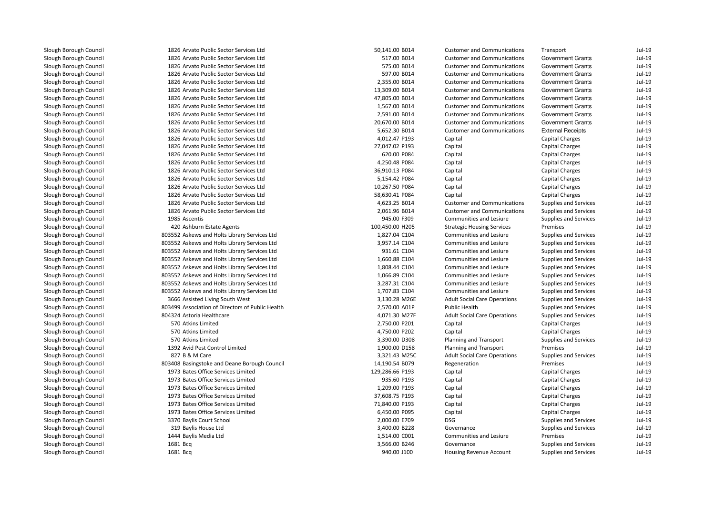| 1826 Arvato Public Sector Services Ltd           | 50,141.00 B014  | <b>Customer and Communications</b>  | Transport                    | $Jul-19$ |
|--------------------------------------------------|-----------------|-------------------------------------|------------------------------|----------|
| 1826 Arvato Public Sector Services Ltd           | 517.00 B014     | <b>Customer and Communications</b>  | <b>Government Grants</b>     | $Jul-19$ |
| 1826 Arvato Public Sector Services Ltd           | 575.00 B014     | <b>Customer and Communications</b>  | Government Grants            | Jul-19   |
| 1826 Arvato Public Sector Services Ltd           | 597.00 B014     | <b>Customer and Communications</b>  | Government Grants            | Jul-19   |
| 1826 Arvato Public Sector Services Ltd           | 2,355.00 B014   | <b>Customer and Communications</b>  | <b>Government Grants</b>     | $Jul-19$ |
| 1826 Arvato Public Sector Services Ltd           | 13,309.00 B014  | <b>Customer and Communications</b>  | <b>Government Grants</b>     | $Jul-19$ |
| 1826 Arvato Public Sector Services Ltd           | 47,805.00 B014  | <b>Customer and Communications</b>  | <b>Government Grants</b>     | $Jul-19$ |
| 1826 Arvato Public Sector Services Ltd           | 1,567.00 B014   | <b>Customer and Communications</b>  | <b>Government Grants</b>     | $Jul-19$ |
| 1826 Arvato Public Sector Services Ltd           | 2,591.00 B014   | <b>Customer and Communications</b>  | Government Grants            | $Jul-19$ |
| 1826 Arvato Public Sector Services Ltd           | 20,670.00 B014  | <b>Customer and Communications</b>  | Government Grants            | $Jul-19$ |
| 1826 Arvato Public Sector Services Ltd           | 5,652.30 B014   | <b>Customer and Communications</b>  | <b>External Receipts</b>     | $Jul-19$ |
| 1826 Arvato Public Sector Services Ltd           | 4,012.47 P193   | Capital                             | <b>Capital Charges</b>       | $Jul-19$ |
| 1826 Arvato Public Sector Services Ltd           | 27,047.02 P193  | Capital                             | Capital Charges              | $Jul-19$ |
| 1826 Arvato Public Sector Services Ltd           | 620.00 P084     | Capital                             | Capital Charges              | $Jul-19$ |
| 1826 Arvato Public Sector Services Ltd           | 4,250.48 P084   | Capital                             | Capital Charges              | $Jul-19$ |
| 1826 Arvato Public Sector Services Ltd           | 36,910.13 P084  | Capital                             | <b>Capital Charges</b>       | $Jul-19$ |
| 1826 Arvato Public Sector Services Ltd           | 5,154.42 P084   | Capital                             | <b>Capital Charges</b>       | Jul-19   |
| 1826 Arvato Public Sector Services Ltd           | 10,267.50 P084  | Capital                             | <b>Capital Charges</b>       | $Jul-19$ |
| 1826 Arvato Public Sector Services Ltd           | 58,630.41 P084  | Capital                             | <b>Capital Charges</b>       | $Jul-19$ |
| 1826 Arvato Public Sector Services Ltd           | 4,623.25 B014   | <b>Customer and Communications</b>  | <b>Supplies and Services</b> | $Jul-19$ |
| 1826 Arvato Public Sector Services Ltd           | 2,061.96 B014   | <b>Customer and Communications</b>  | Supplies and Services        | $Jul-19$ |
| 1985 Ascentis                                    | 945.00 F309     | Communities and Lesiure             | Supplies and Services        | $Jul-19$ |
| 420 Ashburn Estate Agents                        | 100,450.00 H205 | <b>Strategic Housing Services</b>   | Premises                     | $Jul-19$ |
| 803552 Askews and Holts Library Services Ltd     | 1,827.04 C104   | Communities and Lesiure             | Supplies and Services        | $Jul-19$ |
| 803552 Askews and Holts Library Services Ltd     | 3,957.14 C104   | Communities and Lesiure             | Supplies and Services        | $Jul-19$ |
| 803552 Askews and Holts Library Services Ltd     | 931.61 C104     | <b>Communities and Lesiure</b>      | Supplies and Services        | $Jul-19$ |
| 803552 Askews and Holts Library Services Ltd     | 1,660.88 C104   | Communities and Lesiure             | <b>Supplies and Services</b> | $Jul-19$ |
| 803552 Askews and Holts Library Services Ltd     | 1,808.44 C104   | Communities and Lesiure             | Supplies and Services        | $Jul-19$ |
| 803552 Askews and Holts Library Services Ltd     | 1,066.89 C104   | Communities and Lesiure             | Supplies and Services        | $Jul-19$ |
| 803552 Askews and Holts Library Services Ltd     | 3,287.31 C104   | Communities and Lesiure             | <b>Supplies and Services</b> | $Jul-19$ |
| 803552 Askews and Holts Library Services Ltd     | 1,707.83 C104   | Communities and Lesiure             | Supplies and Services        | $Jul-19$ |
| 3666 Assisted Living South West                  | 3,130.28 M26E   | <b>Adult Social Care Operations</b> | Supplies and Services        | $Jul-19$ |
| 803499 Association of Directors of Public Health | 2,570.00 A01P   | <b>Public Health</b>                | <b>Supplies and Services</b> | $Jul-19$ |
| 804324 Astoria Healthcare                        | 4,071.30 M27F   | <b>Adult Social Care Operations</b> | <b>Supplies and Services</b> | $Jul-19$ |
| 570 Atkins Limited                               | 2,750.00 P201   | Capital                             | <b>Capital Charges</b>       | $Jul-19$ |
| 570 Atkins Limited                               | 4,750.00 P202   | Capital                             | <b>Capital Charges</b>       | $Jul-19$ |
| 570 Atkins Limited                               | 3,390.00 D308   | Planning and Transport              | Supplies and Services        | $Jul-19$ |
| 1392 Avid Pest Control Limited                   | 1,900.00 D158   | Planning and Transport              | Premises                     | $Jul-19$ |
| 827 B & M Care                                   | 3,321.43 M25C   | <b>Adult Social Care Operations</b> | Supplies and Services        | $Jul-19$ |
| 803408 Basingstoke and Deane Borough Council     | 14,190.54 B079  | Regeneration                        | Premises                     | $Jul-19$ |
| 1973 Bates Office Services Limited               | 129,286.66 P193 | Capital                             | <b>Capital Charges</b>       | $Jul-19$ |
| 1973 Bates Office Services Limited               | 935.60 P193     | Capital                             | <b>Capital Charges</b>       | $Jul-19$ |
| 1973 Bates Office Services Limited               | 1,209.00 P193   | Capital                             | <b>Capital Charges</b>       | $Jul-19$ |
| 1973 Bates Office Services Limited               | 37,608.75 P193  | Capital                             | <b>Capital Charges</b>       | $Jul-19$ |
| 1973 Bates Office Services Limited               | 71,840.00 P193  | Capital                             | <b>Capital Charges</b>       | $Jul-19$ |
| 1973 Bates Office Services Limited               | 6,450.00 P095   | Capital                             | <b>Capital Charges</b>       | Jul-19   |
| 3370 Baylis Court School                         | 2,000.00 E709   | <b>DSG</b>                          | Supplies and Services        | $Jul-19$ |
| 319 Baylis House Ltd                             | 3,400.00 B228   | Governance                          | <b>Supplies and Services</b> | $Jul-19$ |
| 1444 Baylis Media Ltd                            | 1,514.00 C001   | Communities and Lesiure             | Premises                     | $Jul-19$ |
| 1681 Bcq                                         | 3,566.00 B246   | Governance                          | Supplies and Services        | $Jul-19$ |
| 1681 Bcq                                         | 940.00 J100     | Housing Revenue Account             | <b>Supplies and Services</b> | $Jul-19$ |
|                                                  |                 |                                     |                              |          |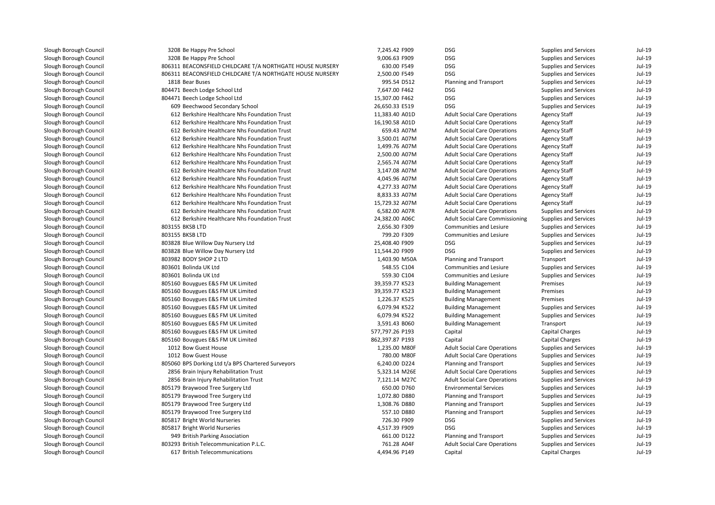| Slough Borough Council | 3208 Be Happy Pre School                                  | 7,245.42 F909   | DSG                                    | Supplies and Services        | Jul-19 |
|------------------------|-----------------------------------------------------------|-----------------|----------------------------------------|------------------------------|--------|
| Slough Borough Council | 3208 Be Happy Pre School                                  | 9,006.63 F909   | <b>DSG</b>                             | <b>Supplies and Services</b> | Jul-19 |
| Slough Borough Council | 806311 BEACONSFIELD CHILDCARE T/A NORTHGATE HOUSE NURSERY | 630.00 F549     | <b>DSG</b>                             | <b>Supplies and Services</b> | Jul-19 |
| Slough Borough Council | 806311 BEACONSFIELD CHILDCARE T/A NORTHGATE HOUSE NURSERY | 2,500.00 F549   | <b>DSG</b>                             | Supplies and Services        | Jul-19 |
| Slough Borough Council | 1818 Bear Buses                                           | 995.54 D512     | Planning and Transport                 | Supplies and Services        | Jul-19 |
| Slough Borough Council | 804471 Beech Lodge School Ltd                             | 7,647.00 F462   | <b>DSG</b>                             | Supplies and Services        | Jul-19 |
| Slough Borough Council | 804471 Beech Lodge School Ltd                             | 15,307.00 F462  | <b>DSG</b>                             | <b>Supplies and Services</b> | Jul-19 |
| Slough Borough Council | 609 Beechwood Secondary School                            | 26,650.33 E519  | <b>DSG</b>                             | <b>Supplies and Services</b> | Jul-19 |
| Slough Borough Council | 612 Berkshire Healthcare Nhs Foundation Trust             | 11,383.40 A01D  | <b>Adult Social Care Operations</b>    | <b>Agency Staff</b>          | Jul-19 |
| Slough Borough Council | 612 Berkshire Healthcare Nhs Foundation Trust             | 16,190.58 A01D  | <b>Adult Social Care Operations</b>    | <b>Agency Staff</b>          | Jul-19 |
| Slough Borough Council | 612 Berkshire Healthcare Nhs Foundation Trust             | 659.43 A07M     | <b>Adult Social Care Operations</b>    | <b>Agency Staff</b>          | Jul-19 |
| Slough Borough Council | 612 Berkshire Healthcare Nhs Foundation Trust             | 3,500.01 A07M   | <b>Adult Social Care Operations</b>    | <b>Agency Staff</b>          | Jul-19 |
| Slough Borough Council | 612 Berkshire Healthcare Nhs Foundation Trust             | 1,499.76 A07M   | <b>Adult Social Care Operations</b>    | <b>Agency Staff</b>          | Jul-19 |
| Slough Borough Council | 612 Berkshire Healthcare Nhs Foundation Trust             | 2,500.00 A07M   | <b>Adult Social Care Operations</b>    | <b>Agency Staff</b>          | Jul-19 |
| Slough Borough Council | 612 Berkshire Healthcare Nhs Foundation Trust             | 2,565.74 A07M   | <b>Adult Social Care Operations</b>    | <b>Agency Staff</b>          | Jul-19 |
| Slough Borough Council | 612 Berkshire Healthcare Nhs Foundation Trust             | 3,147.08 A07M   | <b>Adult Social Care Operations</b>    | <b>Agency Staff</b>          | Jul-19 |
| Slough Borough Council | 612 Berkshire Healthcare Nhs Foundation Trust             | 4,045.96 A07M   | <b>Adult Social Care Operations</b>    | <b>Agency Staff</b>          | Jul-19 |
| Slough Borough Council | 612 Berkshire Healthcare Nhs Foundation Trust             | 4,277.33 A07M   | <b>Adult Social Care Operations</b>    | <b>Agency Staff</b>          | Jul-19 |
| Slough Borough Council | 612 Berkshire Healthcare Nhs Foundation Trust             | 8,833.33 A07M   | <b>Adult Social Care Operations</b>    | <b>Agency Staff</b>          | Jul-19 |
| Slough Borough Council | 612 Berkshire Healthcare Nhs Foundation Trust             | 15,729.32 A07M  | <b>Adult Social Care Operations</b>    | <b>Agency Staff</b>          | Jul-19 |
| Slough Borough Council | 612 Berkshire Healthcare Nhs Foundation Trust             | 6,582.00 A07R   | <b>Adult Social Care Operations</b>    | Supplies and Services        | Jul-19 |
| Slough Borough Council | 612 Berkshire Healthcare Nhs Foundation Trust             | 24,382.00 A06C  | <b>Adult Social Care Commissioning</b> | Supplies and Services        | Jul-19 |
| Slough Borough Council | 803155 BKSB LTD                                           | 2,656.30 F309   | <b>Communities and Lesiure</b>         | Supplies and Services        | Jul-19 |
| Slough Borough Council | 803155 BKSB LTD                                           | 799.20 F309     | Communities and Lesiure                | <b>Supplies and Services</b> | Jul-19 |
| Slough Borough Council | 803828 Blue Willow Day Nursery Ltd                        | 25,408.40 F909  | <b>DSG</b>                             | Supplies and Services        | Jul-19 |
| Slough Borough Council | 803828 Blue Willow Day Nursery Ltd                        | 11,544.20 F909  | <b>DSG</b>                             | Supplies and Services        | Jul-19 |
| Slough Borough Council | 803982 BODY SHOP 2 LTD                                    | 1,403.90 M50A   | Planning and Transport                 | Transport                    | Jul-19 |
| Slough Borough Council | 803601 Bolinda UK Ltd                                     | 548.55 C104     | Communities and Lesiure                | <b>Supplies and Services</b> | Jul-19 |
| Slough Borough Council | 803601 Bolinda UK Ltd                                     | 559.30 C104     | Communities and Lesiure                | Supplies and Services        | Jul-19 |
| Slough Borough Council | 805160 Bouygues E&S FM UK Limited                         | 39,359.77 K523  | <b>Building Management</b>             | Premises                     | Jul-19 |
| Slough Borough Council | 805160 Bouygues E&S FM UK Limited                         | 39,359.77 K523  | <b>Building Management</b>             | Premises                     | Jul-19 |
| Slough Borough Council | 805160 Bouygues E&S FM UK Limited                         | 1,226.37 K525   | <b>Building Management</b>             | Premises                     | Jul-19 |
| Slough Borough Council | 805160 Bouygues E&S FM UK Limited                         | 6,079.94 K522   | <b>Building Management</b>             | <b>Supplies and Services</b> | Jul-19 |
| Slough Borough Council | 805160 Bouygues E&S FM UK Limited                         | 6,079.94 K522   | <b>Building Management</b>             | <b>Supplies and Services</b> | Jul-19 |
| Slough Borough Council | 805160 Bouygues E&S FM UK Limited                         | 3,591.43 B060   | <b>Building Management</b>             | Transport                    | Jul-19 |
| Slough Borough Council | 805160 Bouygues E&S FM UK Limited                         | 577,797.26 P193 | Capital                                | Capital Charges              | Jul-19 |
| Slough Borough Council | 805160 Bouygues E&S FM UK Limited                         | 862,397.87 P193 | Capital                                | Capital Charges              | Jul-19 |
| Slough Borough Council | 1012 Bow Guest House                                      | 1,235.00 M80F   | <b>Adult Social Care Operations</b>    | <b>Supplies and Services</b> | Jul-19 |
| Slough Borough Council | 1012 Bow Guest House                                      | 780.00 M80F     | <b>Adult Social Care Operations</b>    | Supplies and Services        | Jul-19 |
| Slough Borough Council | 805060 BPS Dorking Ltd t/a BPS Chartered Surveyors        | 6,240.00 D224   | Planning and Transport                 | Supplies and Services        | Jul-19 |
| Slough Borough Council | 2856 Brain Injury Rehabilitation Trust                    | 5,323.14 M26E   | <b>Adult Social Care Operations</b>    | <b>Supplies and Services</b> | Jul-19 |
| Slough Borough Council | 2856 Brain Injury Rehabilitation Trust                    | 7,121.14 M27C   | <b>Adult Social Care Operations</b>    | Supplies and Services        | Jul-19 |
| Slough Borough Council | 805179 Braywood Tree Surgery Ltd                          | 650.00 D760     | <b>Environmental Services</b>          | Supplies and Services        | Jul-19 |
| Slough Borough Council | 805179 Braywood Tree Surgery Ltd                          | 1,072.80 D880   | Planning and Transport                 | Supplies and Services        | Jul-19 |
| Slough Borough Council | 805179 Braywood Tree Surgery Ltd                          | 1,308.76 D880   | Planning and Transport                 | Supplies and Services        | Jul-19 |
| Slough Borough Council | 805179 Braywood Tree Surgery Ltd                          | 557.10 D880     | Planning and Transport                 | Supplies and Services        | Jul-19 |
| Slough Borough Council | 805817 Bright World Nurseries                             | 726.30 F909     | <b>DSG</b>                             | Supplies and Services        | Jul-19 |
| Slough Borough Council | 805817 Bright World Nurseries                             | 4,517.39 F909   | <b>DSG</b>                             | Supplies and Services        | Jul-19 |
| Slough Borough Council | 949 British Parking Association                           | 661.00 D122     | Planning and Transport                 | <b>Supplies and Services</b> | Jul-19 |
| Slough Borough Council | 803293 British Telecommunication P.L.C.                   | 761.28 A04F     | <b>Adult Social Care Operations</b>    | <b>Supplies and Services</b> | Jul-19 |
| Slough Borough Council | 617 British Telecommunications                            | 4,494.96 P149   | Capital                                | Capital Charges              | Jul-19 |
|                        |                                                           |                 |                                        |                              |        |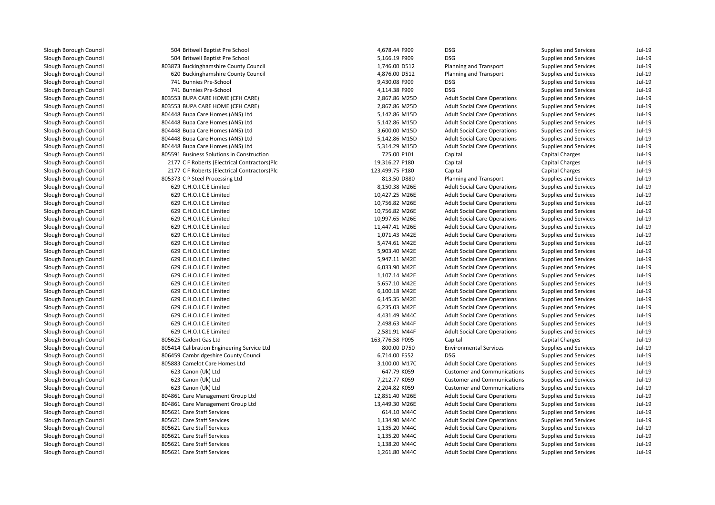| 504 Britwell Baptist Pre School              | 4,678.44 F909   | <b>DSG</b>                          | Supplies and Services        | $Jul-19$ |
|----------------------------------------------|-----------------|-------------------------------------|------------------------------|----------|
| 504 Britwell Baptist Pre School              | 5,166.19 F909   | <b>DSG</b>                          | <b>Supplies and Services</b> | $Jul-19$ |
| 803873 Buckinghamshire County Council        | 1,746.00 D512   | Planning and Transport              | Supplies and Services        | $Jul-19$ |
| 620 Buckinghamshire County Council           | 4,876.00 D512   | Planning and Transport              | Supplies and Services        | $Jul-19$ |
| 741 Bunnies Pre-School                       | 9,430.08 F909   | <b>DSG</b>                          | Supplies and Services        | $Jul-19$ |
| 741 Bunnies Pre-School                       | 4,114.38 F909   | <b>DSG</b>                          | <b>Supplies and Services</b> | $Jul-19$ |
| 803553 BUPA CARE HOME (CFH CARE)             | 2,867.86 M25D   | <b>Adult Social Care Operations</b> | Supplies and Services        | $Jul-19$ |
| 803553 BUPA CARE HOME (CFH CARE)             | 2,867.86 M25D   | <b>Adult Social Care Operations</b> | Supplies and Services        | $Jul-19$ |
| 804448 Bupa Care Homes (ANS) Ltd             | 5,142.86 M15D   | <b>Adult Social Care Operations</b> | <b>Supplies and Services</b> | $Jul-19$ |
| 804448 Bupa Care Homes (ANS) Ltd             | 5,142.86 M15D   | <b>Adult Social Care Operations</b> | Supplies and Services        | $Jul-19$ |
| 804448 Bupa Care Homes (ANS) Ltd             | 3,600.00 M15D   | <b>Adult Social Care Operations</b> | Supplies and Services        | $Jul-19$ |
| 804448 Bupa Care Homes (ANS) Ltd             | 5,142.86 M15D   | <b>Adult Social Care Operations</b> | <b>Supplies and Services</b> | $Jul-19$ |
| 804448 Bupa Care Homes (ANS) Ltd             | 5,314.29 M15D   | <b>Adult Social Care Operations</b> | <b>Supplies and Services</b> | $Jul-19$ |
| 805591 Business Solutions in Construction    | 725.00 P101     | Capital                             | <b>Capital Charges</b>       | $Jul-19$ |
| 2177 C F Roberts (Electrical Contractors)Plc | 19,316.27 P180  | Capital                             | Capital Charges              | $Jul-19$ |
| 2177 C F Roberts (Electrical Contractors)Plc | 123,499.75 P180 | Capital                             | <b>Capital Charges</b>       | $Jul-19$ |
| 805373 C P Steel Processing Ltd              | 813.50 D880     | Planning and Transport              | Supplies and Services        | $Jul-19$ |
| 629 C.H.O.I.C.E Limited                      | 8,150.38 M26E   | <b>Adult Social Care Operations</b> | Supplies and Services        | $Jul-19$ |
| 629 C.H.O.I.C.E Limited                      | 10,427.25 M26E  | <b>Adult Social Care Operations</b> | Supplies and Services        | $Jul-19$ |
| 629 C.H.O.I.C.E Limited                      | 10,756.82 M26E  | <b>Adult Social Care Operations</b> | <b>Supplies and Services</b> | $Jul-19$ |
| 629 C.H.O.I.C.E Limited                      | 10,756.82 M26E  | <b>Adult Social Care Operations</b> | Supplies and Services        | $Jul-19$ |
| 629 C.H.O.I.C.E Limited                      | 10,997.65 M26E  | <b>Adult Social Care Operations</b> | Supplies and Services        | $Jul-19$ |
| 629 C.H.O.I.C.E Limited                      | 11,447.41 M26E  | <b>Adult Social Care Operations</b> | <b>Supplies and Services</b> | $Jul-19$ |
| 629 C.H.O.I.C.E Limited                      | 1,071.43 M42E   | <b>Adult Social Care Operations</b> | Supplies and Services        | $Jul-19$ |
| 629 C.H.O.I.C.E Limited                      | 5,474.61 M42E   | <b>Adult Social Care Operations</b> | Supplies and Services        | $Jul-19$ |
| 629 C.H.O.I.C.E Limited                      | 5,903.40 M42E   | <b>Adult Social Care Operations</b> | Supplies and Services        | $Jul-19$ |
| 629 C.H.O.I.C.E Limited                      | 5,947.11 M42E   | <b>Adult Social Care Operations</b> | Supplies and Services        | $Jul-19$ |
| 629 C.H.O.I.C.E Limited                      | 6,033.90 M42E   | <b>Adult Social Care Operations</b> | Supplies and Services        | $Jul-19$ |
| 629 C.H.O.I.C.E Limited                      | 1,107.14 M42E   | <b>Adult Social Care Operations</b> | Supplies and Services        | $Jul-19$ |
| 629 C.H.O.I.C.E Limited                      | 5,657.10 M42E   | <b>Adult Social Care Operations</b> | Supplies and Services        | $Jul-19$ |
| 629 C.H.O.I.C.E Limited                      | 6,100.18 M42E   | <b>Adult Social Care Operations</b> | Supplies and Services        | $Jul-19$ |
| 629 C.H.O.I.C.E Limited                      | 6,145.35 M42E   | <b>Adult Social Care Operations</b> | Supplies and Services        | $Jul-19$ |
| 629 C.H.O.I.C.E Limited                      | 6,235.03 M42E   | <b>Adult Social Care Operations</b> | Supplies and Services        | $Jul-19$ |
| 629 C.H.O.I.C.E Limited                      | 4,431.49 M44C   | <b>Adult Social Care Operations</b> | Supplies and Services        | $Jul-19$ |
| 629 C.H.O.I.C.E Limited                      | 2,498.63 M44F   | <b>Adult Social Care Operations</b> | Supplies and Services        | $Jul-19$ |
| 629 C.H.O.I.C.E Limited                      | 2,581.91 M44F   | <b>Adult Social Care Operations</b> | Supplies and Services        | $Jul-19$ |
| 805625 Cadent Gas Ltd                        | 163,776.58 P095 | Capital                             | <b>Capital Charges</b>       | $Jul-19$ |
| 805414 Calibration Engineering Service Ltd   | 800.00 D750     | <b>Environmental Services</b>       | Supplies and Services        | $Jul-19$ |
| 806459 Cambridgeshire County Council         | 6,714.00 F552   | <b>DSG</b>                          | Supplies and Services        | $Jul-19$ |
| 805883 Camelot Care Homes Ltd                | 3,100.00 M17C   | <b>Adult Social Care Operations</b> | Supplies and Services        | $Jul-19$ |
| 623 Canon (Uk) Ltd                           | 647.79 K059     | <b>Customer and Communications</b>  | Supplies and Services        | $Jul-19$ |
| 623 Canon (Uk) Ltd                           | 7,212.77 K059   | <b>Customer and Communications</b>  | Supplies and Services        | $Jul-19$ |
| 623 Canon (Uk) Ltd                           | 2,204.82 K059   | <b>Customer and Communications</b>  | Supplies and Services        | $Jul-19$ |
| 804861 Care Management Group Ltd             | 12,851.40 M26E  | <b>Adult Social Care Operations</b> | Supplies and Services        | $Jul-19$ |
| 804861 Care Management Group Ltd             | 13,449.30 M26E  | <b>Adult Social Care Operations</b> | Supplies and Services        | $Jul-19$ |
| 805621 Care Staff Services                   | 614.10 M44C     | <b>Adult Social Care Operations</b> | Supplies and Services        | $Jul-19$ |
| 805621 Care Staff Services                   | 1,134.90 M44C   | <b>Adult Social Care Operations</b> | Supplies and Services        | $Jul-19$ |
| 805621 Care Staff Services                   | 1,135.20 M44C   | <b>Adult Social Care Operations</b> | Supplies and Services        | $Jul-19$ |
| 805621 Care Staff Services                   | 1,135.20 M44C   | <b>Adult Social Care Operations</b> | Supplies and Services        | $Jul-19$ |
| 805621 Care Staff Services                   | 1,138.20 M44C   | <b>Adult Social Care Operations</b> | Supplies and Services        | $Jul-19$ |
| 805621 Care Staff Services                   | 1,261.80 M44C   | <b>Adult Social Care Operations</b> | <b>Supplies and Services</b> | $Jul-19$ |
|                                              |                 |                                     |                              |          |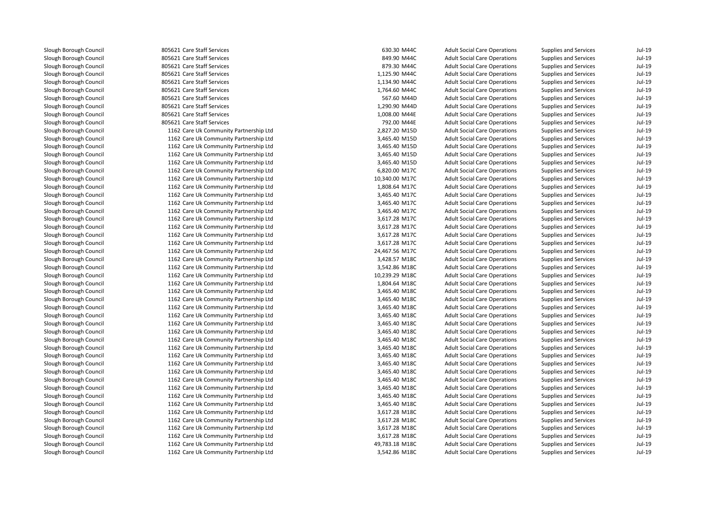805621 Care Staff Services 630.30 M44C**805621 Care Staff Services** 849.90 M44C **1** 805621 Care Staff Services 879.30 M44C **805621 Care Staff Services** 1,125.90 M44C **1** 805621 Care Staff Services **1,134.90 M44C 1** 805621 Care Staff Services **1,764.60 M44C**  805621 Care Staff Services 567.60 M44D**1** 805621 Care Staff Services **1,290.90 M44D** 1,290.90 M44D 805621 Care Staff Services 805621 Care Staff Services 1162 Care Uk Community Partnership Ltd 1162 Care Uk Community Partnership Ltd 1162 Care Uk Community Partnership Ltd 1162 Care Uk Community Partnership Ltd 1162 Care Uk Community Partnership Ltd 1162 Care Uk Community Partnership Ltd 1162 Care Uk Community Partnership Ltd 1162 Care Uk Community Partnership Ltd 1162 Care Uk Community Partnership Ltd 1162 Care Uk Community Partnership Ltd 1162 Care Uk Community Partnership Ltd 1162 Care Uk Community Partnership Ltd 1162 Care Uk Community Partnership Ltd 1162 Care Uk Community Partnership Ltd 1162 Care Uk Community Partnership Ltd 1162 Care Uk Community Partnership Ltd 1162 Care Uk Community Partnership Ltd 1162 Care Uk Community Partnership Ltd 1162 Care Uk Community Partnership Ltd 1162 Care Uk Community Partnership Ltd 1162 Care Uk Community Partnership Ltd 1162 Care Uk Community Partnership Ltd 1162 Care Uk Community Partnership Ltd 1162 Care Uk Community Partnership Ltd 1162 Care Uk Community Partnership Ltd 1162 Care Uk Community Partnership Ltd 1162 Care Uk Community Partnership Ltd 1162 Care Uk Community Partnership Ltd 1162 Care Uk Community Partnership Ltd 1162 Care Uk Community Partnership Ltd 1162 Care Uk Community Partnership Ltd 1162 Care Uk Community Partnership Ltd 1162 Care Uk Community Partnership Ltd 1162 Care Uk Community Partnership Ltd 1162 Care Uk Community Partnership Ltd 1162 Care Uk Community Partnership Ltd 1162 Care Uk Community Partnership Ltd 1162 Care Uk Community Partnership Ltd 1162 Care Uk Community Partnership Ltd 1162 Care Uk Community Partnership Ltd1162 Care Uk Community Partnership Ltd

| 1 Care Staff Services               | 630.30 M44C    | <b>Adult Social Care Operations</b> | Supplies and Services        | Jul-19 |
|-------------------------------------|----------------|-------------------------------------|------------------------------|--------|
| 1 Care Staff Services               | 849.90 M44C    | <b>Adult Social Care Operations</b> | <b>Supplies and Services</b> | Jul-19 |
| 1 Care Staff Services               | 879.30 M44C    | <b>Adult Social Care Operations</b> | <b>Supplies and Services</b> | Jul-19 |
| 1 Care Staff Services               | 1,125.90 M44C  | <b>Adult Social Care Operations</b> | Supplies and Services        | Jul-19 |
| 1 Care Staff Services               | 1,134.90 M44C  | <b>Adult Social Care Operations</b> | Supplies and Services        | Jul-19 |
| 1 Care Staff Services               | 1,764.60 M44C  | <b>Adult Social Care Operations</b> | <b>Supplies and Services</b> | Jul-19 |
| 1 Care Staff Services               | 567.60 M44D    | <b>Adult Social Care Operations</b> | <b>Supplies and Services</b> | Jul-19 |
| 1 Care Staff Services               | 1,290.90 M44D  | <b>Adult Social Care Operations</b> | Supplies and Services        | Jul-19 |
| 1 Care Staff Services               | 1,008.00 M44E  | <b>Adult Social Care Operations</b> | Supplies and Services        | Jul-19 |
| 1 Care Staff Services               | 792.00 M44E    | <b>Adult Social Care Operations</b> | <b>Supplies and Services</b> | Jul-19 |
| 2 Care Uk Community Partnership Ltd | 2,827.20 M15D  | <b>Adult Social Care Operations</b> | Supplies and Services        | Jul-19 |
| 2 Care Uk Community Partnership Ltd | 3,465.40 M15D  | <b>Adult Social Care Operations</b> | <b>Supplies and Services</b> | Jul-19 |
| 2 Care Uk Community Partnership Ltd | 3,465.40 M15D  | <b>Adult Social Care Operations</b> | Supplies and Services        | Jul-19 |
| 2 Care Uk Community Partnership Ltd | 3,465.40 M15D  | <b>Adult Social Care Operations</b> | Supplies and Services        | Jul-19 |
| 2 Care Uk Community Partnership Ltd | 3,465.40 M15D  | <b>Adult Social Care Operations</b> | <b>Supplies and Services</b> | Jul-19 |
| 2 Care Uk Community Partnership Ltd | 6,820.00 M17C  | <b>Adult Social Care Operations</b> | Supplies and Services        | Jul-19 |
| 2 Care Uk Community Partnership Ltd | 10,340.00 M17C | <b>Adult Social Care Operations</b> | Supplies and Services        | Jul-19 |
| 2 Care Uk Community Partnership Ltd | 1,808.64 M17C  | <b>Adult Social Care Operations</b> | Supplies and Services        | Jul-19 |
| 2 Care Uk Community Partnership Ltd | 3,465.40 M17C  | <b>Adult Social Care Operations</b> | <b>Supplies and Services</b> | Jul-19 |
| 2 Care Uk Community Partnership Ltd | 3,465.40 M17C  | <b>Adult Social Care Operations</b> | Supplies and Services        | Jul-19 |
| 2 Care Uk Community Partnership Ltd | 3,465.40 M17C  | <b>Adult Social Care Operations</b> | Supplies and Services        | Jul-19 |
| 2 Care Uk Community Partnership Ltd | 3,617.28 M17C  | <b>Adult Social Care Operations</b> | <b>Supplies and Services</b> | Jul-19 |
| 2 Care Uk Community Partnership Ltd | 3,617.28 M17C  | <b>Adult Social Care Operations</b> | <b>Supplies and Services</b> | Jul-19 |
| 2 Care Uk Community Partnership Ltd | 3,617.28 M17C  | <b>Adult Social Care Operations</b> | Supplies and Services        | Jul-19 |
| 2 Care Uk Community Partnership Ltd | 3,617.28 M17C  | <b>Adult Social Care Operations</b> | Supplies and Services        | Jul-19 |
| 2 Care Uk Community Partnership Ltd | 24,467.56 M17C | <b>Adult Social Care Operations</b> | <b>Supplies and Services</b> | Jul-19 |
| 2 Care Uk Community Partnership Ltd | 3,428.57 M18C  | <b>Adult Social Care Operations</b> | Supplies and Services        | Jul-19 |
| 2 Care Uk Community Partnership Ltd | 3,542.86 M18C  | <b>Adult Social Care Operations</b> | Supplies and Services        | Jul-19 |
| 2 Care Uk Community Partnership Ltd | 10,239.29 M18C | <b>Adult Social Care Operations</b> | Supplies and Services        | Jul-19 |
| 2 Care Uk Community Partnership Ltd | 1,804.64 M18C  | <b>Adult Social Care Operations</b> | <b>Supplies and Services</b> | Jul-19 |
| 2 Care Uk Community Partnership Ltd | 3,465.40 M18C  | <b>Adult Social Care Operations</b> | Supplies and Services        | Jul-19 |
| 2 Care Uk Community Partnership Ltd | 3,465.40 M18C  | <b>Adult Social Care Operations</b> | Supplies and Services        | Jul-19 |
| 2 Care Uk Community Partnership Ltd | 3,465.40 M18C  | <b>Adult Social Care Operations</b> | Supplies and Services        | Jul-19 |
| 2 Care Uk Community Partnership Ltd | 3,465.40 M18C  | <b>Adult Social Care Operations</b> | <b>Supplies and Services</b> | Jul-19 |
| 2 Care Uk Community Partnership Ltd | 3,465.40 M18C  | <b>Adult Social Care Operations</b> | Supplies and Services        | Jul-19 |
| 2 Care Uk Community Partnership Ltd | 3,465.40 M18C  | <b>Adult Social Care Operations</b> | Supplies and Services        | Jul-19 |
| 2 Care Uk Community Partnership Ltd | 3,465.40 M18C  | <b>Adult Social Care Operations</b> | <b>Supplies and Services</b> | Jul-19 |
| 2 Care Uk Community Partnership Ltd | 3,465.40 M18C  | <b>Adult Social Care Operations</b> | <b>Supplies and Services</b> | Jul-19 |
| 2 Care Uk Community Partnership Ltd | 3,465.40 M18C  | <b>Adult Social Care Operations</b> | <b>Supplies and Services</b> | Jul-19 |
| 2 Care Uk Community Partnership Ltd | 3,465.40 M18C  | <b>Adult Social Care Operations</b> | <b>Supplies and Services</b> | Jul-19 |
| 2 Care Uk Community Partnership Ltd | 3,465.40 M18C  | <b>Adult Social Care Operations</b> | <b>Supplies and Services</b> | Jul-19 |
| 2 Care Uk Community Partnership Ltd | 3,465.40 M18C  | <b>Adult Social Care Operations</b> | Supplies and Services        | Jul-19 |
| 2 Care Uk Community Partnership Ltd | 3,465.40 M18C  | <b>Adult Social Care Operations</b> | Supplies and Services        | Jul-19 |
| 2 Care Uk Community Partnership Ltd | 3,465.40 M18C  | <b>Adult Social Care Operations</b> | Supplies and Services        | Jul-19 |
| 2 Care Uk Community Partnership Ltd | 3,465.40 M18C  | <b>Adult Social Care Operations</b> | Supplies and Services        | Jul-19 |
| 2 Care Uk Community Partnership Ltd | 3,617.28 M18C  | <b>Adult Social Care Operations</b> | Supplies and Services        | Jul-19 |
| 2 Care Uk Community Partnership Ltd | 3,617.28 M18C  | <b>Adult Social Care Operations</b> | Supplies and Services        | Jul-19 |
| 2 Care Uk Community Partnership Ltd | 3,617.28 M18C  | <b>Adult Social Care Operations</b> | Supplies and Services        | Jul-19 |
| 2 Care Uk Community Partnership Ltd | 3,617.28 M18C  | <b>Adult Social Care Operations</b> | Supplies and Services        | Jul-19 |
| 2 Care Uk Community Partnership Ltd | 49,783.18 M18C | <b>Adult Social Care Operations</b> | Supplies and Services        | Jul-19 |
| 2 Care Uk Community Partnership Ltd | 3,542.86 M18C  | <b>Adult Social Care Operations</b> | <b>Supplies and Services</b> | Jul-19 |
|                                     |                |                                     |                              |        |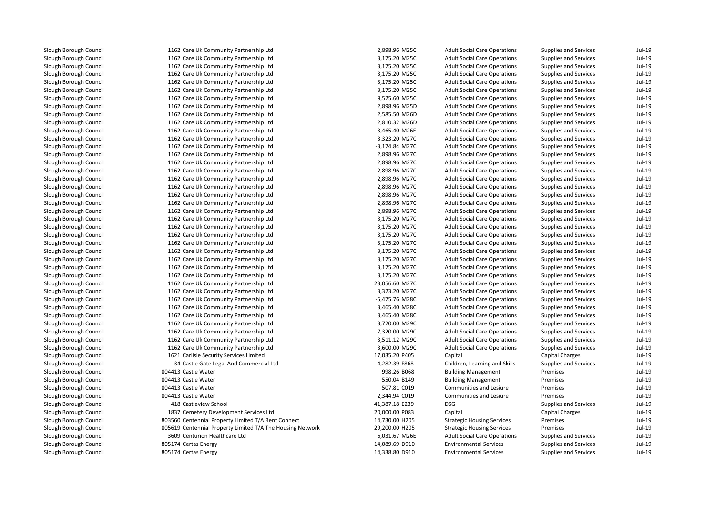| 1162 Care Uk Community Partnership Ltd                     | 2,898.96 M25C  | <b>Adult Social Care Operations</b> | Supplies and Services        | $Jul-19$ |
|------------------------------------------------------------|----------------|-------------------------------------|------------------------------|----------|
| 1162 Care Uk Community Partnership Ltd                     | 3,175.20 M25C  | <b>Adult Social Care Operations</b> | Supplies and Services        | $Jul-19$ |
| 1162 Care Uk Community Partnership Ltd                     | 3,175.20 M25C  | <b>Adult Social Care Operations</b> | Supplies and Services        | $Jul-19$ |
| 1162 Care Uk Community Partnership Ltd                     | 3,175.20 M25C  | <b>Adult Social Care Operations</b> | Supplies and Services        | $Jul-19$ |
| 1162 Care Uk Community Partnership Ltd                     | 3,175.20 M25C  | <b>Adult Social Care Operations</b> | Supplies and Services        | $Jul-19$ |
| 1162 Care Uk Community Partnership Ltd                     | 3,175.20 M25C  | <b>Adult Social Care Operations</b> | Supplies and Services        | $Jul-19$ |
| 1162 Care Uk Community Partnership Ltd                     | 9,525.60 M25C  | <b>Adult Social Care Operations</b> | Supplies and Services        | $Jul-19$ |
| 1162 Care Uk Community Partnership Ltd                     | 2,898.96 M25D  | <b>Adult Social Care Operations</b> | <b>Supplies and Services</b> | $Jul-19$ |
| 1162 Care Uk Community Partnership Ltd                     | 2,585.50 M26D  | <b>Adult Social Care Operations</b> | Supplies and Services        | $Jul-19$ |
| 1162 Care Uk Community Partnership Ltd                     | 2,810.32 M26D  | <b>Adult Social Care Operations</b> | Supplies and Services        | $Jul-19$ |
| 1162 Care Uk Community Partnership Ltd                     | 3,465.40 M26E  | <b>Adult Social Care Operations</b> | Supplies and Services        | $Jul-19$ |
| 1162 Care Uk Community Partnership Ltd                     | 3,323.20 M27C  | <b>Adult Social Care Operations</b> | <b>Supplies and Services</b> | $Jul-19$ |
| 1162 Care Uk Community Partnership Ltd                     | -3,174.84 M27C | <b>Adult Social Care Operations</b> | Supplies and Services        | $Jul-19$ |
| 1162 Care Uk Community Partnership Ltd                     | 2,898.96 M27C  | <b>Adult Social Care Operations</b> | Supplies and Services        | $Jul-19$ |
| 1162 Care Uk Community Partnership Ltd                     | 2,898.96 M27C  | <b>Adult Social Care Operations</b> | Supplies and Services        | $Jul-19$ |
| 1162 Care Uk Community Partnership Ltd                     | 2,898.96 M27C  | <b>Adult Social Care Operations</b> | Supplies and Services        | $Jul-19$ |
| 1162 Care Uk Community Partnership Ltd                     | 2,898.96 M27C  | <b>Adult Social Care Operations</b> | Supplies and Services        | $Jul-19$ |
| 1162 Care Uk Community Partnership Ltd                     | 2,898.96 M27C  | <b>Adult Social Care Operations</b> | <b>Supplies and Services</b> | $Jul-19$ |
| 1162 Care Uk Community Partnership Ltd                     | 2,898.96 M27C  | <b>Adult Social Care Operations</b> | <b>Supplies and Services</b> | $Jul-19$ |
| 1162 Care Uk Community Partnership Ltd                     | 2,898.96 M27C  | <b>Adult Social Care Operations</b> | Supplies and Services        | $Jul-19$ |
| 1162 Care Uk Community Partnership Ltd                     | 2,898.96 M27C  | <b>Adult Social Care Operations</b> | Supplies and Services        | $Jul-19$ |
| 1162 Care Uk Community Partnership Ltd                     | 3,175.20 M27C  | <b>Adult Social Care Operations</b> | Supplies and Services        | $Jul-19$ |
| 1162 Care Uk Community Partnership Ltd                     | 3,175.20 M27C  | <b>Adult Social Care Operations</b> | <b>Supplies and Services</b> | $Jul-19$ |
| 1162 Care Uk Community Partnership Ltd                     | 3,175.20 M27C  | <b>Adult Social Care Operations</b> | Supplies and Services        | $Jul-19$ |
| 1162 Care Uk Community Partnership Ltd                     | 3,175.20 M27C  | <b>Adult Social Care Operations</b> | Supplies and Services        | $Jul-19$ |
| 1162 Care Uk Community Partnership Ltd                     | 3,175.20 M27C  | <b>Adult Social Care Operations</b> | <b>Supplies and Services</b> | $Jul-19$ |
| 1162 Care Uk Community Partnership Ltd                     | 3,175.20 M27C  | <b>Adult Social Care Operations</b> | <b>Supplies and Services</b> | $Jul-19$ |
| 1162 Care Uk Community Partnership Ltd                     | 3,175.20 M27C  | <b>Adult Social Care Operations</b> | Supplies and Services        | $Jul-19$ |
| 1162 Care Uk Community Partnership Ltd                     | 3,175.20 M27C  | <b>Adult Social Care Operations</b> | Supplies and Services        | $Jul-19$ |
| 1162 Care Uk Community Partnership Ltd                     | 23,056.60 M27C | <b>Adult Social Care Operations</b> | Supplies and Services        | $Jul-19$ |
| 1162 Care Uk Community Partnership Ltd                     | 3,323.20 M27C  | <b>Adult Social Care Operations</b> | Supplies and Services        | $Jul-19$ |
| 1162 Care Uk Community Partnership Ltd                     | -5,475.76 M28C | <b>Adult Social Care Operations</b> | Supplies and Services        | $Jul-19$ |
| 1162 Care Uk Community Partnership Ltd                     | 3,465.40 M28C  | <b>Adult Social Care Operations</b> | Supplies and Services        | $Jul-19$ |
| 1162 Care Uk Community Partnership Ltd                     | 3,465.40 M28C  | <b>Adult Social Care Operations</b> | Supplies and Services        | $Jul-19$ |
| 1162 Care Uk Community Partnership Ltd                     | 3,720.00 M29C  | <b>Adult Social Care Operations</b> | <b>Supplies and Services</b> | $Jul-19$ |
| 1162 Care Uk Community Partnership Ltd                     | 7,320.00 M29C  | <b>Adult Social Care Operations</b> | <b>Supplies and Services</b> | $Jul-19$ |
| 1162 Care Uk Community Partnership Ltd                     | 3,511.12 M29C  | <b>Adult Social Care Operations</b> | Supplies and Services        | $Jul-19$ |
| 1162 Care Uk Community Partnership Ltd                     | 3,600.00 M29C  | <b>Adult Social Care Operations</b> | Supplies and Services        | $Jul-19$ |
| 1621 Carlisle Security Services Limited                    | 17,035.20 P405 | Capital                             | <b>Capital Charges</b>       | $Jul-19$ |
| 34 Castle Gate Legal And Commercial Ltd                    | 4,282.39 F868  | Children, Learning and Skills       | <b>Supplies and Services</b> | $Jul-19$ |
| 804413 Castle Water                                        | 998.26 B068    | <b>Building Management</b>          | Premises                     | $Jul-19$ |
| 804413 Castle Water                                        | 550.04 B149    | <b>Building Management</b>          | Premises                     | $Jul-19$ |
| 804413 Castle Water                                        | 507.81 C019    | Communities and Lesiure             | Premises                     | $Jul-19$ |
| 804413 Castle Water                                        | 2,344.94 C019  | <b>Communities and Lesiure</b>      | Premises                     | $Jul-19$ |
| 418 Castleview School                                      | 41,387.18 E239 | <b>DSG</b>                          | <b>Supplies and Services</b> | $Jul-19$ |
| 1837 Cemetery Development Services Ltd                     | 20,000.00 P083 | Capital                             | <b>Capital Charges</b>       | $Jul-19$ |
| 803560 Centennial Property Limited T/A Rent Connect        | 14,730.00 H205 | <b>Strategic Housing Services</b>   | Premises                     | $Jul-19$ |
| 805619 Centennial Property Limited T/A The Housing Network | 29,200.00 H205 | <b>Strategic Housing Services</b>   | Premises                     | $Jul-19$ |
| 3609 Centurion Healthcare Ltd                              | 6,031.67 M26E  | <b>Adult Social Care Operations</b> | Supplies and Services        | $Jul-19$ |
| 805174 Certas Energy                                       | 14,089.69 D910 | <b>Environmental Services</b>       | Supplies and Services        | $Jul-19$ |
| 805174 Certas Energy                                       | 14,338.80 D910 | <b>Environmental Services</b>       | <b>Supplies and Services</b> | $Jul-19$ |
|                                                            |                |                                     |                              |          |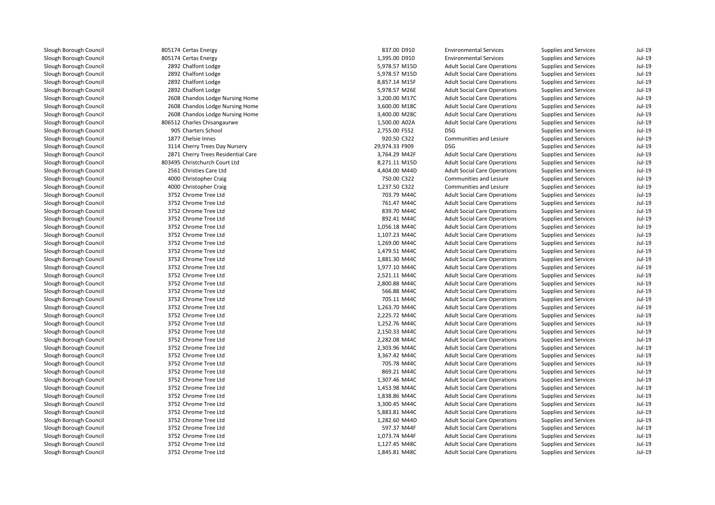| 805174 Certas Energy               | 837.00 D910    | <b>Environmental Services</b>       | Supplies and Services        | $Jul-19$ |
|------------------------------------|----------------|-------------------------------------|------------------------------|----------|
| 805174 Certas Energy               | 1,395.00 D910  | <b>Environmental Services</b>       | Supplies and Services        | $Jul-19$ |
| 2892 Chalfont Lodge                | 5,978.57 M15D  | <b>Adult Social Care Operations</b> | Supplies and Services        | $Jul-19$ |
| 2892 Chalfont Lodge                | 5,978.57 M15D  | <b>Adult Social Care Operations</b> | Supplies and Services        | $Jul-19$ |
| 2892 Chalfont Lodge                | 8,857.14 M15F  | <b>Adult Social Care Operations</b> | Supplies and Services        | $Jul-19$ |
| 2892 Chalfont Lodge                | 5,978.57 M26E  | <b>Adult Social Care Operations</b> | Supplies and Services        | $Jul-19$ |
| 2608 Chandos Lodge Nursing Home    | 3,200.00 M17C  | <b>Adult Social Care Operations</b> | Supplies and Services        | $Jul-19$ |
| 2608 Chandos Lodge Nursing Home    | 3,600.00 M18C  | <b>Adult Social Care Operations</b> | <b>Supplies and Services</b> | $Jul-19$ |
| 2608 Chandos Lodge Nursing Home    | 3,400.00 M28C  | <b>Adult Social Care Operations</b> | Supplies and Services        | $Jul-19$ |
| 806512 Charles Chisangaurwe        | 1,500.00 A02A  | <b>Adult Social Care Operations</b> | Supplies and Services        | $Jul-19$ |
| 905 Charters School                | 2,755.00 F552  | <b>DSG</b>                          | Supplies and Services        | $Jul-19$ |
| 1877 Chelsie Innes                 | 920.50 C322    | Communities and Lesiure             | <b>Supplies and Services</b> | $Jul-19$ |
| 3114 Cherry Trees Day Nursery      | 29,974.33 F909 | <b>DSG</b>                          | Supplies and Services        | $Jul-19$ |
| 2871 Cherry Trees Residential Care | 3,764.29 M42F  | <b>Adult Social Care Operations</b> | Supplies and Services        | $Jul-19$ |
| 803495 Christchurch Court Ltd      | 8,271.11 M15D  | <b>Adult Social Care Operations</b> | Supplies and Services        | $Jul-19$ |
| 2561 Christies Care Ltd            | 4,404.00 M44D  | <b>Adult Social Care Operations</b> | Supplies and Services        | $Jul-19$ |
| 4000 Christopher Craig             | 750.00 C322    | Communities and Lesiure             | Supplies and Services        | $Jul-19$ |
| 4000 Christopher Craig             | 1,237.50 C322  | Communities and Lesiure             | <b>Supplies and Services</b> | $Jul-19$ |
| 3752 Chrome Tree Ltd               | 703.79 M44C    | <b>Adult Social Care Operations</b> | <b>Supplies and Services</b> | $Jul-19$ |
| 3752 Chrome Tree Ltd               | 761.47 M44C    | <b>Adult Social Care Operations</b> | Supplies and Services        | $Jul-19$ |
| 3752 Chrome Tree Ltd               | 839.70 M44C    | <b>Adult Social Care Operations</b> | Supplies and Services        | $Jul-19$ |
| 3752 Chrome Tree Ltd               | 892.41 M44C    | <b>Adult Social Care Operations</b> | Supplies and Services        | $Jul-19$ |
| 3752 Chrome Tree Ltd               | 1,056.18 M44C  | <b>Adult Social Care Operations</b> | Supplies and Services        | $Jul-19$ |
| 3752 Chrome Tree Ltd               | 1,107.23 M44C  | <b>Adult Social Care Operations</b> | Supplies and Services        | $Jul-19$ |
| 3752 Chrome Tree Ltd               | 1,269.00 M44C  | <b>Adult Social Care Operations</b> | Supplies and Services        | $Jul-19$ |
| 3752 Chrome Tree Ltd               | 1,479.51 M44C  | <b>Adult Social Care Operations</b> | <b>Supplies and Services</b> | $Jul-19$ |
| 3752 Chrome Tree Ltd               | 1,881.30 M44C  | <b>Adult Social Care Operations</b> | <b>Supplies and Services</b> | $Jul-19$ |
| 3752 Chrome Tree Ltd               | 1,977.10 M44C  | <b>Adult Social Care Operations</b> | Supplies and Services        | $Jul-19$ |
| 3752 Chrome Tree Ltd               | 2,521.11 M44C  | <b>Adult Social Care Operations</b> | Supplies and Services        | $Jul-19$ |
| 3752 Chrome Tree Ltd               | 2,800.88 M44C  | <b>Adult Social Care Operations</b> | Supplies and Services        | $Jul-19$ |
| 3752 Chrome Tree Ltd               | 566.88 M44C    | <b>Adult Social Care Operations</b> | Supplies and Services        | $Jul-19$ |
| 3752 Chrome Tree Ltd               | 705.11 M44C    | <b>Adult Social Care Operations</b> | Supplies and Services        | $Jul-19$ |
| 3752 Chrome Tree Ltd               | 1,263.70 M44C  | <b>Adult Social Care Operations</b> | Supplies and Services        | $Jul-19$ |
| 3752 Chrome Tree Ltd               | 2,225.72 M44C  | <b>Adult Social Care Operations</b> | Supplies and Services        | $Jul-19$ |
| 3752 Chrome Tree Ltd               | 1,252.76 M44C  | <b>Adult Social Care Operations</b> | Supplies and Services        | $Jul-19$ |
| 3752 Chrome Tree Ltd               | 2,150.33 M44C  | <b>Adult Social Care Operations</b> | <b>Supplies and Services</b> | $Jul-19$ |
| 3752 Chrome Tree Ltd               | 2,282.08 M44C  | <b>Adult Social Care Operations</b> | Supplies and Services        | $Jul-19$ |
| 3752 Chrome Tree Ltd               | 2,303.96 M44C  | <b>Adult Social Care Operations</b> | Supplies and Services        | $Jul-19$ |
| 3752 Chrome Tree Ltd               | 3,367.42 M44C  | <b>Adult Social Care Operations</b> | Supplies and Services        | $Jul-19$ |
| 3752 Chrome Tree Ltd               | 705.78 M44C    | <b>Adult Social Care Operations</b> | <b>Supplies and Services</b> | $Jul-19$ |
| 3752 Chrome Tree Ltd               | 869.21 M44C    | <b>Adult Social Care Operations</b> | Supplies and Services        | $Jul-19$ |
| 3752 Chrome Tree Ltd               | 1,307.46 M44C  | <b>Adult Social Care Operations</b> | Supplies and Services        | $Jul-19$ |
| 3752 Chrome Tree Ltd               | 1,453.98 M44C  | <b>Adult Social Care Operations</b> | Supplies and Services        | $Jul-19$ |
| 3752 Chrome Tree Ltd               | 1,838.86 M44C  | <b>Adult Social Care Operations</b> | Supplies and Services        | $Jul-19$ |
| 3752 Chrome Tree Ltd               | 3,300.45 M44C  | <b>Adult Social Care Operations</b> | Supplies and Services        | $Jul-19$ |
| 3752 Chrome Tree Ltd               | 5,883.81 M44C  | <b>Adult Social Care Operations</b> | Supplies and Services        | $Jul-19$ |
| 3752 Chrome Tree Ltd               | 1,282.60 M44D  | <b>Adult Social Care Operations</b> | Supplies and Services        | $Jul-19$ |
| 3752 Chrome Tree Ltd               | 597.37 M44F    | <b>Adult Social Care Operations</b> | Supplies and Services        | $Jul-19$ |
| 3752 Chrome Tree Ltd               | 1,073.74 M44F  | <b>Adult Social Care Operations</b> | Supplies and Services        | $Jul-19$ |
| 3752 Chrome Tree Ltd               | 1,127.45 M48C  | <b>Adult Social Care Operations</b> | Supplies and Services        | $Jul-19$ |
| 3752 Chrome Tree Ltd               | 1,845.81 M48C  | <b>Adult Social Care Operations</b> | <b>Supplies and Services</b> | $Jul-19$ |
|                                    |                |                                     |                              |          |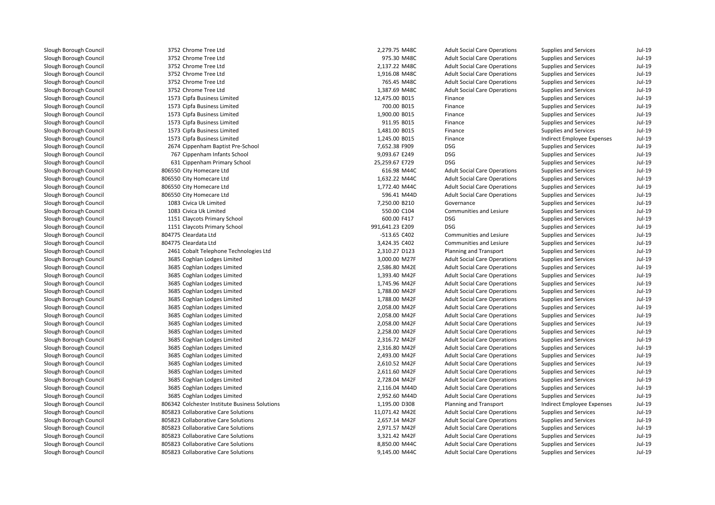| 3752 Chrome Tree Ltd                           | 2,279.75 M48C   | <b>Adult Social Care Operations</b> | Supplies and Services        | Jul-19   |
|------------------------------------------------|-----------------|-------------------------------------|------------------------------|----------|
| 3752 Chrome Tree Ltd                           | 975.30 M48C     | <b>Adult Social Care Operations</b> | Supplies and Services        | $Jul-19$ |
| 3752 Chrome Tree Ltd                           | 2,137.22 M48C   | <b>Adult Social Care Operations</b> | Supplies and Services        | $Jul-19$ |
| 3752 Chrome Tree Ltd                           | 1,916.08 M48C   | <b>Adult Social Care Operations</b> | <b>Supplies and Services</b> | $Jul-19$ |
| 3752 Chrome Tree Ltd                           | 765.45 M48C     | <b>Adult Social Care Operations</b> | Supplies and Services        | $Jul-19$ |
| 3752 Chrome Tree Ltd                           | 1,387.69 M48C   | <b>Adult Social Care Operations</b> | Supplies and Services        | $Jul-19$ |
| 1573 Cipfa Business Limited                    | 12,475.00 B015  | Finance                             | Supplies and Services        | $Jul-19$ |
| 1573 Cipfa Business Limited                    | 700.00 B015     | Finance                             | <b>Supplies and Services</b> | $Jul-19$ |
| 1573 Cipfa Business Limited                    | 1,900.00 B015   | Finance                             | Supplies and Services        | $Jul-19$ |
| 1573 Cipfa Business Limited                    | 911.95 B015     | Finance                             | Supplies and Services        | $Jul-19$ |
| 1573 Cipfa Business Limited                    | 1,481.00 B015   | Finance                             | Supplies and Services        | $Jul-19$ |
| 1573 Cipfa Business Limited                    | 1,245.00 B015   | Finance                             | Indirect Employee Expenses   | $Jul-19$ |
| 2674 Cippenham Baptist Pre-School              | 7,652.38 F909   | <b>DSG</b>                          | Supplies and Services        | $Jul-19$ |
| 767 Cippenham Infants School                   | 9,093.67 E249   | <b>DSG</b>                          | Supplies and Services        | $Jul-19$ |
| 631 Cippenham Primary School                   | 25,259.67 E729  | <b>DSG</b>                          | Supplies and Services        | $Jul-19$ |
| 806550 City Homecare Ltd                       | 616.98 M44C     | <b>Adult Social Care Operations</b> | Supplies and Services        | $Jul-19$ |
| 806550 City Homecare Ltd                       | 1,632.22 M44C   | <b>Adult Social Care Operations</b> | Supplies and Services        | $Jul-19$ |
| 806550 City Homecare Ltd                       | 1,772.40 M44C   | <b>Adult Social Care Operations</b> | Supplies and Services        | $Jul-19$ |
| 806550 City Homecare Ltd                       | 596.41 M44D     | <b>Adult Social Care Operations</b> | Supplies and Services        | $Jul-19$ |
| 1083 Civica Uk Limited                         | 7,250.00 B210   | Governance                          | Supplies and Services        | $Jul-19$ |
| 1083 Civica Uk Limited                         | 550.00 C104     | Communities and Lesiure             | Supplies and Services        | $Jul-19$ |
| 1151 Claycots Primary School                   | 600.00 F417     | <b>DSG</b>                          | Supplies and Services        | $Jul-19$ |
| 1151 Claycots Primary School                   | 991,641.23 E209 | <b>DSG</b>                          | <b>Supplies and Services</b> | $Jul-19$ |
| 804775 Cleardata Ltd                           | -513.65 C402    | Communities and Lesiure             | Supplies and Services        | $Jul-19$ |
| 804775 Cleardata Ltd                           | 3,424.35 C402   | Communities and Lesiure             | Supplies and Services        | $Jul-19$ |
| 2461 Cobalt Telephone Technologies Ltd         | 2,310.27 D123   | Planning and Transport              | Supplies and Services        | $Jul-19$ |
| 3685 Coghlan Lodges Limited                    | 3,000.00 M27F   | <b>Adult Social Care Operations</b> | Supplies and Services        | $Jul-19$ |
| 3685 Coghlan Lodges Limited                    | 2,586.80 M42E   | <b>Adult Social Care Operations</b> | Supplies and Services        | $Jul-19$ |
| 3685 Coghlan Lodges Limited                    | 1,393.40 M42F   | <b>Adult Social Care Operations</b> | <b>Supplies and Services</b> | $Jul-19$ |
| 3685 Coghlan Lodges Limited                    | 1,745.96 M42F   | <b>Adult Social Care Operations</b> | Supplies and Services        | $Jul-19$ |
| 3685 Coghlan Lodges Limited                    | 1,788.00 M42F   | <b>Adult Social Care Operations</b> | Supplies and Services        | $Jul-19$ |
| 3685 Coghlan Lodges Limited                    | 1,788.00 M42F   | <b>Adult Social Care Operations</b> | Supplies and Services        | $Jul-19$ |
| 3685 Coghlan Lodges Limited                    | 2,058.00 M42F   | <b>Adult Social Care Operations</b> | Supplies and Services        | $Jul-19$ |
| 3685 Coghlan Lodges Limited                    | 2,058.00 M42F   | <b>Adult Social Care Operations</b> | Supplies and Services        | $Jul-19$ |
| 3685 Coghlan Lodges Limited                    | 2,058.00 M42F   | <b>Adult Social Care Operations</b> | <b>Supplies and Services</b> | $Jul-19$ |
| 3685 Coghlan Lodges Limited                    | 2,258.00 M42F   | <b>Adult Social Care Operations</b> | <b>Supplies and Services</b> | $Jul-19$ |
| 3685 Coghlan Lodges Limited                    | 2,316.72 M42F   | <b>Adult Social Care Operations</b> | Supplies and Services        | $Jul-19$ |
| 3685 Coghlan Lodges Limited                    | 2,316.80 M42F   | <b>Adult Social Care Operations</b> | Supplies and Services        | $Jul-19$ |
| 3685 Coghlan Lodges Limited                    | 2,493.00 M42F   | <b>Adult Social Care Operations</b> | Supplies and Services        | $Jul-19$ |
| 3685 Coghlan Lodges Limited                    | 2,610.52 M42F   | <b>Adult Social Care Operations</b> | <b>Supplies and Services</b> | $Jul-19$ |
| 3685 Coghlan Lodges Limited                    | 2,611.60 M42F   | <b>Adult Social Care Operations</b> | Supplies and Services        | $Jul-19$ |
| 3685 Coghlan Lodges Limited                    | 2,728.04 M42F   | <b>Adult Social Care Operations</b> | Supplies and Services        | $Jul-19$ |
| 3685 Coghlan Lodges Limited                    | 2,116.04 M44D   | <b>Adult Social Care Operations</b> | Supplies and Services        | $Jul-19$ |
| 3685 Coghlan Lodges Limited                    | 2,952.60 M44D   | <b>Adult Social Care Operations</b> | <b>Supplies and Services</b> | $Jul-19$ |
| 806342 Colchester Institute Business Solutions | 1,195.00 D308   | Planning and Transport              | Indirect Employee Expenses   | $Jul-19$ |
| 805823 Collaborative Care Solutions            | 11,071.42 M42E  | <b>Adult Social Care Operations</b> | Supplies and Services        | $Jul-19$ |
| 805823 Collaborative Care Solutions            | 2,657.14 M42F   | <b>Adult Social Care Operations</b> | Supplies and Services        | $Jul-19$ |
| 805823 Collaborative Care Solutions            | 2,971.57 M42F   | <b>Adult Social Care Operations</b> | Supplies and Services        | $Jul-19$ |
| 805823 Collaborative Care Solutions            | 3,321.42 M42F   | <b>Adult Social Care Operations</b> | Supplies and Services        | $Jul-19$ |
| 805823 Collaborative Care Solutions            | 8,850.00 M44C   | <b>Adult Social Care Operations</b> | Supplies and Services        | $Jul-19$ |
| 805823 Collaborative Care Solutions            | 9,145.00 M44C   | <b>Adult Social Care Operations</b> | <b>Supplies and Services</b> | $Jul-19$ |
|                                                |                 |                                     |                              |          |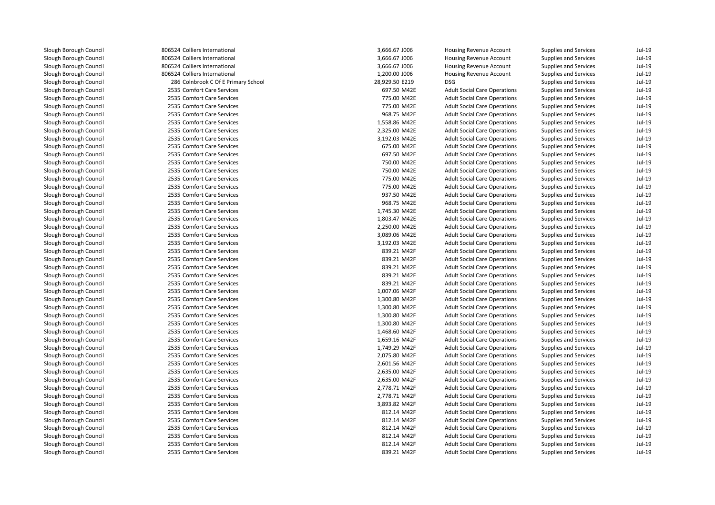| 806524 Colliers International       | 3,666.67 J006  | Housing Revenue Account             | Supplies and Services        | $Jul-19$ |
|-------------------------------------|----------------|-------------------------------------|------------------------------|----------|
| 806524 Colliers International       | 3,666.67 J006  | Housing Revenue Account             | Supplies and Services        | $Jul-19$ |
| 806524 Colliers International       | 3,666.67 J006  | Housing Revenue Account             | Supplies and Services        | $Jul-19$ |
| 806524 Colliers International       | 1,200.00 J006  | Housing Revenue Account             | <b>Supplies and Services</b> | $Jul-19$ |
| 286 Colnbrook C Of E Primary School | 28,929.50 E219 | <b>DSG</b>                          | Supplies and Services        | $Jul-19$ |
| 2535 Comfort Care Services          | 697.50 M42E    | <b>Adult Social Care Operations</b> | Supplies and Services        | $Jul-19$ |
| 2535 Comfort Care Services          | 775.00 M42E    | <b>Adult Social Care Operations</b> | <b>Supplies and Services</b> | $Jul-19$ |
| 2535 Comfort Care Services          | 775.00 M42E    | <b>Adult Social Care Operations</b> | <b>Supplies and Services</b> | $Jul-19$ |
| 2535 Comfort Care Services          | 968.75 M42E    | <b>Adult Social Care Operations</b> | <b>Supplies and Services</b> | $Jul-19$ |
| 2535 Comfort Care Services          | 1,558.86 M42E  | <b>Adult Social Care Operations</b> | Supplies and Services        | $Jul-19$ |
| 2535 Comfort Care Services          | 2,325.00 M42E  | <b>Adult Social Care Operations</b> | Supplies and Services        | $Jul-19$ |
| 2535 Comfort Care Services          | 3,192.03 M42E  | <b>Adult Social Care Operations</b> | Supplies and Services        | $Jul-19$ |
| 2535 Comfort Care Services          | 675.00 M42E    | <b>Adult Social Care Operations</b> | <b>Supplies and Services</b> | $Jul-19$ |
| 2535 Comfort Care Services          | 697.50 M42E    | <b>Adult Social Care Operations</b> | Supplies and Services        | $Jul-19$ |
| 2535 Comfort Care Services          | 750.00 M42E    | <b>Adult Social Care Operations</b> | Supplies and Services        | $Jul-19$ |
| 2535 Comfort Care Services          | 750.00 M42E    | <b>Adult Social Care Operations</b> | Supplies and Services        | $Jul-19$ |
| 2535 Comfort Care Services          | 775.00 M42E    | <b>Adult Social Care Operations</b> | Supplies and Services        | $Jul-19$ |
| 2535 Comfort Care Services          | 775.00 M42E    | <b>Adult Social Care Operations</b> | Supplies and Services        | $Jul-19$ |
| 2535 Comfort Care Services          | 937.50 M42E    | <b>Adult Social Care Operations</b> | <b>Supplies and Services</b> | $Jul-19$ |
| 2535 Comfort Care Services          | 968.75 M42E    | <b>Adult Social Care Operations</b> | Supplies and Services        | $Jul-19$ |
| 2535 Comfort Care Services          | 1,745.30 M42E  | <b>Adult Social Care Operations</b> | Supplies and Services        | $Jul-19$ |
| 2535 Comfort Care Services          | 1,803.47 M42E  | <b>Adult Social Care Operations</b> | Supplies and Services        | $Jul-19$ |
| 2535 Comfort Care Services          | 2,250.00 M42E  | <b>Adult Social Care Operations</b> | <b>Supplies and Services</b> | $Jul-19$ |
| 2535 Comfort Care Services          | 3,089.06 M42E  | <b>Adult Social Care Operations</b> | Supplies and Services        | $Jul-19$ |
| 2535 Comfort Care Services          | 3,192.03 M42E  | <b>Adult Social Care Operations</b> | Supplies and Services        | $Jul-19$ |
| 2535 Comfort Care Services          | 839.21 M42F    | <b>Adult Social Care Operations</b> | Supplies and Services        | $Jul-19$ |
| 2535 Comfort Care Services          | 839.21 M42F    | <b>Adult Social Care Operations</b> | Supplies and Services        | $Jul-19$ |
| 2535 Comfort Care Services          | 839.21 M42F    | <b>Adult Social Care Operations</b> | Supplies and Services        | $Jul-19$ |
| 2535 Comfort Care Services          | 839.21 M42F    | <b>Adult Social Care Operations</b> | <b>Supplies and Services</b> | $Jul-19$ |
| 2535 Comfort Care Services          | 839.21 M42F    | <b>Adult Social Care Operations</b> | Supplies and Services        | $Jul-19$ |
| 2535 Comfort Care Services          | 1,007.06 M42F  | <b>Adult Social Care Operations</b> | Supplies and Services        | $Jul-19$ |
| 2535 Comfort Care Services          | 1,300.80 M42F  | <b>Adult Social Care Operations</b> | Supplies and Services        | $Jul-19$ |
| 2535 Comfort Care Services          | 1,300.80 M42F  | <b>Adult Social Care Operations</b> | Supplies and Services        | $Jul-19$ |
| 2535 Comfort Care Services          | 1,300.80 M42F  | <b>Adult Social Care Operations</b> | Supplies and Services        | $Jul-19$ |
| 2535 Comfort Care Services          | 1,300.80 M42F  | <b>Adult Social Care Operations</b> | <b>Supplies and Services</b> | $Jul-19$ |
| 2535 Comfort Care Services          | 1,468.60 M42F  | <b>Adult Social Care Operations</b> | <b>Supplies and Services</b> | $Jul-19$ |
| 2535 Comfort Care Services          | 1,659.16 M42F  | <b>Adult Social Care Operations</b> | Supplies and Services        | $Jul-19$ |
| 2535 Comfort Care Services          | 1,749.29 M42F  | <b>Adult Social Care Operations</b> | Supplies and Services        | $Jul-19$ |
| 2535 Comfort Care Services          | 2,075.80 M42F  | <b>Adult Social Care Operations</b> | Supplies and Services        | $Jul-19$ |
| 2535 Comfort Care Services          | 2,601.56 M42F  | <b>Adult Social Care Operations</b> | Supplies and Services        | $Jul-19$ |
| 2535 Comfort Care Services          | 2,635.00 M42F  | <b>Adult Social Care Operations</b> | Supplies and Services        | $Jul-19$ |
| 2535 Comfort Care Services          | 2,635.00 M42F  | <b>Adult Social Care Operations</b> | Supplies and Services        | $Jul-19$ |
| 2535 Comfort Care Services          | 2,778.71 M42F  | <b>Adult Social Care Operations</b> | Supplies and Services        | $Jul-19$ |
| 2535 Comfort Care Services          | 2,778.71 M42F  | <b>Adult Social Care Operations</b> | <b>Supplies and Services</b> | $Jul-19$ |
| 2535 Comfort Care Services          | 3,893.82 M42F  | <b>Adult Social Care Operations</b> | Supplies and Services        | $Jul-19$ |
| 2535 Comfort Care Services          | 812.14 M42F    | <b>Adult Social Care Operations</b> | Supplies and Services        | $Jul-19$ |
| 2535 Comfort Care Services          | 812.14 M42F    | <b>Adult Social Care Operations</b> | Supplies and Services        | $Jul-19$ |
| 2535 Comfort Care Services          | 812.14 M42F    | <b>Adult Social Care Operations</b> | Supplies and Services        | $Jul-19$ |
| 2535 Comfort Care Services          | 812.14 M42F    | <b>Adult Social Care Operations</b> | Supplies and Services        | $Jul-19$ |
| 2535 Comfort Care Services          | 812.14 M42F    | <b>Adult Social Care Operations</b> | Supplies and Services        | $Jul-19$ |
| 2535 Comfort Care Services          | 839.21 M42F    | <b>Adult Social Care Operations</b> | <b>Supplies and Services</b> | $Jul-19$ |
|                                     |                |                                     |                              |          |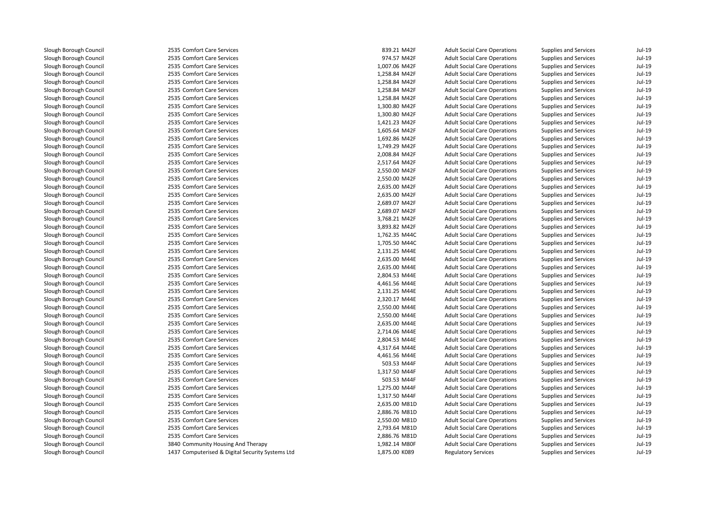| 2535 Comfort Care Services                       | 839.21 M42F   | <b>Adult Social Care Operations</b> | Supplies and Services        | Jul-19   |
|--------------------------------------------------|---------------|-------------------------------------|------------------------------|----------|
| 2535 Comfort Care Services                       | 974.57 M42F   | <b>Adult Social Care Operations</b> | <b>Supplies and Services</b> | $Jul-19$ |
| 2535 Comfort Care Services                       | 1,007.06 M42F | <b>Adult Social Care Operations</b> | Supplies and Services        | $Jul-19$ |
| 2535 Comfort Care Services                       | 1,258.84 M42F | <b>Adult Social Care Operations</b> | Supplies and Services        | $Jul-19$ |
| 2535 Comfort Care Services                       | 1,258.84 M42F | <b>Adult Social Care Operations</b> | Supplies and Services        | $Jul-19$ |
| 2535 Comfort Care Services                       | 1,258.84 M42F | <b>Adult Social Care Operations</b> | Supplies and Services        | $Jul-19$ |
| 2535 Comfort Care Services                       | 1,258.84 M42F | <b>Adult Social Care Operations</b> | Supplies and Services        | $Jul-19$ |
| 2535 Comfort Care Services                       | 1,300.80 M42F | <b>Adult Social Care Operations</b> | Supplies and Services        | $Jul-19$ |
| 2535 Comfort Care Services                       | 1,300.80 M42F | <b>Adult Social Care Operations</b> | <b>Supplies and Services</b> | $Jul-19$ |
| 2535 Comfort Care Services                       | 1,421.23 M42F | <b>Adult Social Care Operations</b> | Supplies and Services        | $Jul-19$ |
| 2535 Comfort Care Services                       | 1,605.64 M42F | <b>Adult Social Care Operations</b> | Supplies and Services        | $Jul-19$ |
| 2535 Comfort Care Services                       | 1,692.86 M42F | <b>Adult Social Care Operations</b> | Supplies and Services        | $Jul-19$ |
| 2535 Comfort Care Services                       | 1,749.29 M42F | <b>Adult Social Care Operations</b> | Supplies and Services        | $Jul-19$ |
| 2535 Comfort Care Services                       | 2,008.84 M42F | <b>Adult Social Care Operations</b> | <b>Supplies and Services</b> | $Jul-19$ |
| 2535 Comfort Care Services                       | 2,517.64 M42F | <b>Adult Social Care Operations</b> | <b>Supplies and Services</b> | $Jul-19$ |
| 2535 Comfort Care Services                       | 2,550.00 M42F | <b>Adult Social Care Operations</b> | Supplies and Services        | $Jul-19$ |
| 2535 Comfort Care Services                       | 2,550.00 M42F | <b>Adult Social Care Operations</b> | Supplies and Services        | $Jul-19$ |
| 2535 Comfort Care Services                       | 2,635.00 M42F | <b>Adult Social Care Operations</b> | Supplies and Services        | Jul-19   |
| 2535 Comfort Care Services                       | 2,635.00 M42F | <b>Adult Social Care Operations</b> | <b>Supplies and Services</b> | $Jul-19$ |
| 2535 Comfort Care Services                       | 2,689.07 M42F | <b>Adult Social Care Operations</b> | Supplies and Services        | $Jul-19$ |
| 2535 Comfort Care Services                       | 2,689.07 M42F | <b>Adult Social Care Operations</b> | Supplies and Services        | $Jul-19$ |
| 2535 Comfort Care Services                       | 3,768.21 M42F | <b>Adult Social Care Operations</b> | Supplies and Services        | $Jul-19$ |
| 2535 Comfort Care Services                       | 3,893.82 M42F | <b>Adult Social Care Operations</b> | Supplies and Services        | $Jul-19$ |
| 2535 Comfort Care Services                       | 1,762.35 M44C | <b>Adult Social Care Operations</b> | Supplies and Services        | $Jul-19$ |
| 2535 Comfort Care Services                       | 1,705.50 M44C | <b>Adult Social Care Operations</b> | Supplies and Services        | $Jul-19$ |
| 2535 Comfort Care Services                       | 2,131.25 M44E | <b>Adult Social Care Operations</b> | Supplies and Services        | $Jul-19$ |
| 2535 Comfort Care Services                       | 2,635.00 M44E | <b>Adult Social Care Operations</b> | <b>Supplies and Services</b> | $Jul-19$ |
| 2535 Comfort Care Services                       | 2,635.00 M44E | <b>Adult Social Care Operations</b> | Supplies and Services        | $Jul-19$ |
| 2535 Comfort Care Services                       | 2,804.53 M44E | <b>Adult Social Care Operations</b> | Supplies and Services        | $Jul-19$ |
| 2535 Comfort Care Services                       | 4,461.56 M44E | <b>Adult Social Care Operations</b> | Supplies and Services        | $Jul-19$ |
| 2535 Comfort Care Services                       | 2,131.25 M44E | <b>Adult Social Care Operations</b> | Supplies and Services        | $Jul-19$ |
| 2535 Comfort Care Services                       | 2,320.17 M44E | <b>Adult Social Care Operations</b> | <b>Supplies and Services</b> | $Jul-19$ |
| 2535 Comfort Care Services                       | 2,550.00 M44E | <b>Adult Social Care Operations</b> | Supplies and Services        | $Jul-19$ |
| 2535 Comfort Care Services                       | 2,550.00 M44E | <b>Adult Social Care Operations</b> | Supplies and Services        | $Jul-19$ |
| 2535 Comfort Care Services                       | 2,635.00 M44E | <b>Adult Social Care Operations</b> | Supplies and Services        | $Jul-19$ |
| 2535 Comfort Care Services                       | 2,714.06 M44E | <b>Adult Social Care Operations</b> | Supplies and Services        | $Jul-19$ |
| 2535 Comfort Care Services                       | 2,804.53 M44E | <b>Adult Social Care Operations</b> | Supplies and Services        | Jul-19   |
| 2535 Comfort Care Services                       | 4,317.64 M44E | <b>Adult Social Care Operations</b> | Supplies and Services        | $Jul-19$ |
| 2535 Comfort Care Services                       | 4,461.56 M44E | <b>Adult Social Care Operations</b> | Supplies and Services        | $Jul-19$ |
| 2535 Comfort Care Services                       | 503.53 M44F   | <b>Adult Social Care Operations</b> | Supplies and Services        | $Jul-19$ |
| 2535 Comfort Care Services                       | 1,317.50 M44F | <b>Adult Social Care Operations</b> | Supplies and Services        | $Jul-19$ |
| 2535 Comfort Care Services                       | 503.53 M44F   | <b>Adult Social Care Operations</b> | <b>Supplies and Services</b> | $Jul-19$ |
| 2535 Comfort Care Services                       | 1,275.00 M44F | <b>Adult Social Care Operations</b> | Supplies and Services        | $Jul-19$ |
| 2535 Comfort Care Services                       | 1,317.50 M44F | <b>Adult Social Care Operations</b> | Supplies and Services        | $Jul-19$ |
| 2535 Comfort Care Services                       | 2,635.00 M81D | <b>Adult Social Care Operations</b> | Supplies and Services        | $Jul-19$ |
| 2535 Comfort Care Services                       | 2,886.76 M81D | <b>Adult Social Care Operations</b> | Supplies and Services        | $Jul-19$ |
| 2535 Comfort Care Services                       | 2,550.00 M81D | <b>Adult Social Care Operations</b> | Supplies and Services        | $Jul-19$ |
| 2535 Comfort Care Services                       | 2,793.64 M81D | <b>Adult Social Care Operations</b> | Supplies and Services        | $Jul-19$ |
| 2535 Comfort Care Services                       | 2,886.76 M81D | <b>Adult Social Care Operations</b> | Supplies and Services        | $Jul-19$ |
| 3840 Community Housing And Therapy               | 1,982.14 M80F | <b>Adult Social Care Operations</b> | Supplies and Services        | $Jul-19$ |
| 1437 Computerised & Digital Security Systems Ltd | 1,875.00 K089 | <b>Regulatory Services</b>          | <b>Supplies and Services</b> | $Jul-19$ |
|                                                  |               |                                     |                              |          |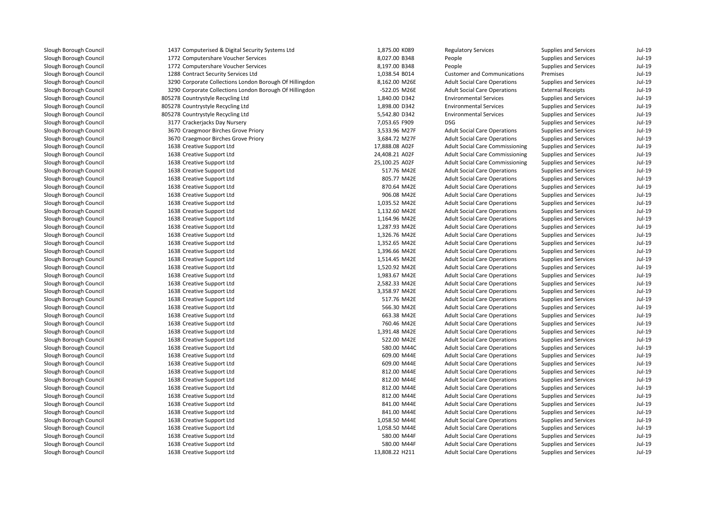| 1437 Computerised & Digital Security Systems Ltd        | 1,875.00 K089  | <b>Regulatory Services</b>             | <b>Supplies and Services</b> | Jul-19   |
|---------------------------------------------------------|----------------|----------------------------------------|------------------------------|----------|
| 1772 Computershare Voucher Services                     | 8,027.00 B348  | People                                 | Supplies and Services        | Jul-19   |
| 1772 Computershare Voucher Services                     | 8,197.00 B348  | People                                 | <b>Supplies and Services</b> | Jul-19   |
| 1288 Contract Security Services Ltd                     | 1,038.54 B014  | <b>Customer and Communications</b>     | Premises                     | $Jul-19$ |
| 3290 Corporate Collections London Borough Of Hillingdon | 8,162.00 M26E  | <b>Adult Social Care Operations</b>    | <b>Supplies and Services</b> | Jul-19   |
| 3290 Corporate Collections London Borough Of Hillingdon | -522.05 M26E   | <b>Adult Social Care Operations</b>    | <b>External Receipts</b>     | Jul-19   |
| 805278 Countrystyle Recycling Ltd                       | 1,840.00 D342  | <b>Environmental Services</b>          | Supplies and Services        | Jul-19   |
| 805278 Countrystyle Recycling Ltd                       | 1,898.00 D342  | <b>Environmental Services</b>          | <b>Supplies and Services</b> | Jul-19   |
| 805278 Countrystyle Recycling Ltd                       | 5,542.80 D342  | <b>Environmental Services</b>          | Supplies and Services        | Jul-19   |
| 3177 Crackerjacks Day Nursery                           | 7,053.65 F909  | <b>DSG</b>                             | <b>Supplies and Services</b> | Jul-19   |
| 3670 Craegmoor Birches Grove Priory                     | 3,533.96 M27F  | <b>Adult Social Care Operations</b>    | Supplies and Services        | Jul-19   |
| 3670 Craegmoor Birches Grove Priory                     | 3,684.72 M27F  | <b>Adult Social Care Operations</b>    | <b>Supplies and Services</b> | Jul-19   |
| 1638 Creative Support Ltd                               | 17,888.08 A02F | <b>Adult Social Care Commissioning</b> | <b>Supplies and Services</b> | Jul-19   |
| 1638 Creative Support Ltd                               | 24,408.21 A02F | <b>Adult Social Care Commissioning</b> | <b>Supplies and Services</b> | Jul-19   |
| 1638 Creative Support Ltd                               | 25,100.25 A02F | <b>Adult Social Care Commissioning</b> | <b>Supplies and Services</b> | Jul-19   |
| 1638 Creative Support Ltd                               | 517.76 M42E    | <b>Adult Social Care Operations</b>    | <b>Supplies and Services</b> | Jul-19   |
| 1638 Creative Support Ltd                               | 805.77 M42E    | <b>Adult Social Care Operations</b>    | <b>Supplies and Services</b> | Jul-19   |
| 1638 Creative Support Ltd                               | 870.64 M42E    | <b>Adult Social Care Operations</b>    | <b>Supplies and Services</b> | Jul-19   |
| 1638 Creative Support Ltd                               | 906.08 M42E    | <b>Adult Social Care Operations</b>    | <b>Supplies and Services</b> | Jul-19   |
| 1638 Creative Support Ltd                               | 1,035.52 M42E  | <b>Adult Social Care Operations</b>    | <b>Supplies and Services</b> | Jul-19   |
| 1638 Creative Support Ltd                               | 1,132.60 M42E  | <b>Adult Social Care Operations</b>    | <b>Supplies and Services</b> | Jul-19   |
| 1638 Creative Support Ltd                               | 1,164.96 M42E  | <b>Adult Social Care Operations</b>    | <b>Supplies and Services</b> | Jul-19   |
| 1638 Creative Support Ltd                               | 1,287.93 M42E  | <b>Adult Social Care Operations</b>    | <b>Supplies and Services</b> | Jul-19   |
| 1638 Creative Support Ltd                               | 1,326.76 M42E  | <b>Adult Social Care Operations</b>    | <b>Supplies and Services</b> | Jul-19   |
| 1638 Creative Support Ltd                               | 1,352.65 M42E  | <b>Adult Social Care Operations</b>    | <b>Supplies and Services</b> | Jul-19   |
| 1638 Creative Support Ltd                               | 1,396.66 M42E  | <b>Adult Social Care Operations</b>    | <b>Supplies and Services</b> | Jul-19   |
| 1638 Creative Support Ltd                               | 1,514.45 M42E  | <b>Adult Social Care Operations</b>    | <b>Supplies and Services</b> | Jul-19   |
| 1638 Creative Support Ltd                               | 1,520.92 M42E  | <b>Adult Social Care Operations</b>    | <b>Supplies and Services</b> | Jul-19   |
| 1638 Creative Support Ltd                               | 1,983.67 M42E  | <b>Adult Social Care Operations</b>    | <b>Supplies and Services</b> | Jul-19   |
| 1638 Creative Support Ltd                               | 2,582.33 M42E  | <b>Adult Social Care Operations</b>    | <b>Supplies and Services</b> | Jul-19   |
| 1638 Creative Support Ltd                               | 3,358.97 M42E  | <b>Adult Social Care Operations</b>    | <b>Supplies and Services</b> | Jul-19   |
| 1638 Creative Support Ltd                               | 517.76 M42E    | <b>Adult Social Care Operations</b>    | <b>Supplies and Services</b> | Jul-19   |
| 1638 Creative Support Ltd                               | 566.30 M42E    | <b>Adult Social Care Operations</b>    | <b>Supplies and Services</b> | Jul-19   |
| 1638 Creative Support Ltd                               | 663.38 M42E    | <b>Adult Social Care Operations</b>    | <b>Supplies and Services</b> | Jul-19   |
| 1638 Creative Support Ltd                               | 760.46 M42E    | <b>Adult Social Care Operations</b>    | <b>Supplies and Services</b> | Jul-19   |
| 1638 Creative Support Ltd                               | 1,391.48 M42E  | <b>Adult Social Care Operations</b>    | <b>Supplies and Services</b> | Jul-19   |
| 1638 Creative Support Ltd                               | 522.00 M42E    | <b>Adult Social Care Operations</b>    | <b>Supplies and Services</b> | Jul-19   |
| 1638 Creative Support Ltd                               | 580.00 M44C    | <b>Adult Social Care Operations</b>    | <b>Supplies and Services</b> | Jul-19   |
| 1638 Creative Support Ltd                               | 609.00 M44E    | <b>Adult Social Care Operations</b>    | <b>Supplies and Services</b> | Jul-19   |
| 1638 Creative Support Ltd                               | 609.00 M44E    | <b>Adult Social Care Operations</b>    | <b>Supplies and Services</b> | Jul-19   |
| 1638 Creative Support Ltd                               | 812.00 M44E    | <b>Adult Social Care Operations</b>    | <b>Supplies and Services</b> | Jul-19   |
| 1638 Creative Support Ltd                               | 812.00 M44E    | <b>Adult Social Care Operations</b>    | <b>Supplies and Services</b> | $Jul-19$ |
| 1638 Creative Support Ltd                               | 812.00 M44E    | <b>Adult Social Care Operations</b>    | <b>Supplies and Services</b> | Jul-19   |
| 1638 Creative Support Ltd                               | 812.00 M44E    | <b>Adult Social Care Operations</b>    | <b>Supplies and Services</b> | Jul-19   |
| 1638 Creative Support Ltd                               | 841.00 M44E    | <b>Adult Social Care Operations</b>    | <b>Supplies and Services</b> | $Jul-19$ |
| 1638 Creative Support Ltd                               | 841.00 M44E    | <b>Adult Social Care Operations</b>    | <b>Supplies and Services</b> | Jul-19   |
| 1638 Creative Support Ltd                               | 1,058.50 M44E  | <b>Adult Social Care Operations</b>    | <b>Supplies and Services</b> | Jul-19   |
| 1638 Creative Support Ltd                               | 1,058.50 M44E  | <b>Adult Social Care Operations</b>    | <b>Supplies and Services</b> | Jul-19   |
| 1638 Creative Support Ltd                               | 580.00 M44F    | <b>Adult Social Care Operations</b>    | <b>Supplies and Services</b> | Jul-19   |
| 1638 Creative Support Ltd                               | 580.00 M44F    | <b>Adult Social Care Operations</b>    | <b>Supplies and Services</b> | Jul-19   |
| 1638 Creative Support Ltd                               | 13,808.22 H211 | <b>Adult Social Care Operations</b>    | <b>Supplies and Services</b> | Jul-19   |
|                                                         |                |                                        |                              |          |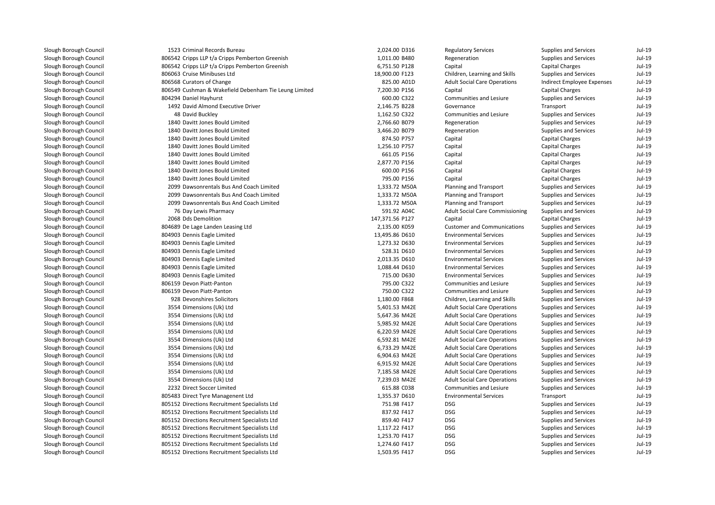| 1523 Criminal Records Bureau                          | 2,024.00 D316   | <b>Regulatory Services</b>             | Supplies and Services        | $Jul-19$ |
|-------------------------------------------------------|-----------------|----------------------------------------|------------------------------|----------|
| 806542 Cripps LLP t/a Cripps Pemberton Greenish       | 1,011.00 B480   | Regeneration                           | Supplies and Services        | $Jul-19$ |
| 806542 Cripps LLP t/a Cripps Pemberton Greenish       | 6,751.50 P128   | Capital                                | <b>Capital Charges</b>       | $Jul-19$ |
| 806063 Cruise Minibuses Ltd                           | 18,900.00 F123  | Children, Learning and Skills          | Supplies and Services        | $Jul-19$ |
| 806568 Curators of Change                             | 825.00 A01D     | <b>Adult Social Care Operations</b>    | Indirect Employee Expenses   | $Jul-19$ |
| 806549 Cushman & Wakefield Debenham Tie Leung Limited | 7,200.30 P156   | Capital                                | <b>Capital Charges</b>       | $Jul-19$ |
| 804294 Daniel Hayhurst                                | 600.00 C322     | Communities and Lesiure                | Supplies and Services        | $Jul-19$ |
| 1492 David Almond Executive Driver                    | 2,146.75 B228   | Governance                             | Transport                    | $Jul-19$ |
| 48 David Buckley                                      | 1,162.50 C322   | Communities and Lesiure                | Supplies and Services        | $Jul-19$ |
| 1840 Davitt Jones Bould Limited                       | 2,766.60 B079   | Regeneration                           | Supplies and Services        | $Jul-19$ |
| 1840 Davitt Jones Bould Limited                       | 3,466.20 B079   | Regeneration                           | Supplies and Services        | $Jul-19$ |
| 1840 Davitt Jones Bould Limited                       | 874.50 P757     | Capital                                | <b>Capital Charges</b>       | $Jul-19$ |
| 1840 Davitt Jones Bould Limited                       | 1,256.10 P757   | Capital                                | <b>Capital Charges</b>       | $Jul-19$ |
| 1840 Davitt Jones Bould Limited                       | 661.05 P156     | Capital                                | <b>Capital Charges</b>       | $Jul-19$ |
| 1840 Davitt Jones Bould Limited                       | 2,877.70 P156   | Capital                                | <b>Capital Charges</b>       | $Jul-19$ |
| 1840 Davitt Jones Bould Limited                       | 600.00 P156     | Capital                                | <b>Capital Charges</b>       | $Jul-19$ |
| 1840 Davitt Jones Bould Limited                       | 795.00 P156     | Capital                                | <b>Capital Charges</b>       | $Jul-19$ |
| 2099 Dawsonrentals Bus And Coach Limited              | 1,333.72 M50A   | Planning and Transport                 | Supplies and Services        | $Jul-19$ |
| 2099 Dawsonrentals Bus And Coach Limited              | 1,333.72 M50A   | Planning and Transport                 | Supplies and Services        | $Jul-19$ |
| 2099 Dawsonrentals Bus And Coach Limited              | 1,333.72 M50A   | Planning and Transport                 | Supplies and Services        | $Jul-19$ |
| 76 Day Lewis Pharmacy                                 | 591.92 A04C     | <b>Adult Social Care Commissioning</b> | Supplies and Services        | $Jul-19$ |
| 2068 Dds Demolition                                   | 147,371.56 P127 | Capital                                | <b>Capital Charges</b>       | $Jul-19$ |
| 804689 De Lage Landen Leasing Ltd                     | 2,135.00 K059   | <b>Customer and Communications</b>     | Supplies and Services        | $Jul-19$ |
| 804903 Dennis Eagle Limited                           | 13,495.86 D610  | <b>Environmental Services</b>          | Supplies and Services        | $Jul-19$ |
| 804903 Dennis Eagle Limited                           | 1,273.32 D630   | <b>Environmental Services</b>          | Supplies and Services        | $Jul-19$ |
| 804903 Dennis Eagle Limited                           | 528.31 D610     | <b>Environmental Services</b>          | Supplies and Services        | $Jul-19$ |
| 804903 Dennis Eagle Limited                           | 2,013.35 D610   | <b>Environmental Services</b>          | Supplies and Services        | $Jul-19$ |
| 804903 Dennis Eagle Limited                           | 1,088.44 D610   | <b>Environmental Services</b>          | Supplies and Services        | $Jul-19$ |
| 804903 Dennis Eagle Limited                           | 715.00 D630     | <b>Environmental Services</b>          | Supplies and Services        | $Jul-19$ |
| 806159 Devon Piatt-Panton                             | 795.00 C322     | Communities and Lesiure                | Supplies and Services        | $Jul-19$ |
| 806159 Devon Piatt-Panton                             | 750.00 C322     | Communities and Lesiure                | Supplies and Services        | $Jul-19$ |
| 928 Devonshires Solicitors                            | 1,180.00 F868   | Children, Learning and Skills          | Supplies and Services        | $Jul-19$ |
| 3554 Dimensions (Uk) Ltd                              | 5,401.53 M42E   | <b>Adult Social Care Operations</b>    | <b>Supplies and Services</b> | $Jul-19$ |
| 3554 Dimensions (Uk) Ltd                              | 5,647.36 M42E   | <b>Adult Social Care Operations</b>    | <b>Supplies and Services</b> | $Jul-19$ |
| 3554 Dimensions (Uk) Ltd                              | 5,985.92 M42E   | <b>Adult Social Care Operations</b>    | Supplies and Services        | $Jul-19$ |
| 3554 Dimensions (Uk) Ltd                              | 6,220.59 M42E   | <b>Adult Social Care Operations</b>    | Supplies and Services        | $Jul-19$ |
| 3554 Dimensions (Uk) Ltd                              | 6,592.81 M42E   | <b>Adult Social Care Operations</b>    | Supplies and Services        | $Jul-19$ |
| 3554 Dimensions (Uk) Ltd                              | 6,733.29 M42E   | <b>Adult Social Care Operations</b>    | Supplies and Services        | $Jul-19$ |
| 3554 Dimensions (Uk) Ltd                              | 6,904.63 M42E   | <b>Adult Social Care Operations</b>    | Supplies and Services        | $Jul-19$ |
| 3554 Dimensions (Uk) Ltd                              | 6,915.92 M42E   | <b>Adult Social Care Operations</b>    | Supplies and Services        | $Jul-19$ |
| 3554 Dimensions (Uk) Ltd                              | 7,185.58 M42E   | <b>Adult Social Care Operations</b>    | Supplies and Services        | $Jul-19$ |
| 3554 Dimensions (Uk) Ltd                              | 7,239.03 M42E   | <b>Adult Social Care Operations</b>    | Supplies and Services        | $Jul-19$ |
| 2232 Direct Soccer Limited                            | 615.88 C038     | Communities and Lesiure                | Supplies and Services        | Jul-19   |
| 805483 Direct Tyre Managenent Ltd                     | 1,355.37 D610   | <b>Environmental Services</b>          | Transport                    | $Jul-19$ |
| 805152 Directions Recruitment Specialists Ltd         | 751.98 F417     | <b>DSG</b>                             | Supplies and Services        | $Jul-19$ |
| 805152 Directions Recruitment Specialists Ltd         | 837.92 F417     | <b>DSG</b>                             | Supplies and Services        | $Jul-19$ |
| 805152 Directions Recruitment Specialists Ltd         | 859.40 F417     | <b>DSG</b>                             | Supplies and Services        | $Jul-19$ |
| 805152 Directions Recruitment Specialists Ltd         | 1,117.22 F417   | <b>DSG</b>                             | Supplies and Services        | $Jul-19$ |
| 805152 Directions Recruitment Specialists Ltd         | 1,253.70 F417   | <b>DSG</b>                             | Supplies and Services        | $Jul-19$ |
| 805152 Directions Recruitment Specialists Ltd         | 1,274.60 F417   | <b>DSG</b>                             | Supplies and Services        | $Jul-19$ |
| 805152 Directions Recruitment Specialists Ltd         | 1,503.95 F417   | <b>DSG</b>                             | <b>Supplies and Services</b> | Jul-19   |
|                                                       |                 |                                        |                              |          |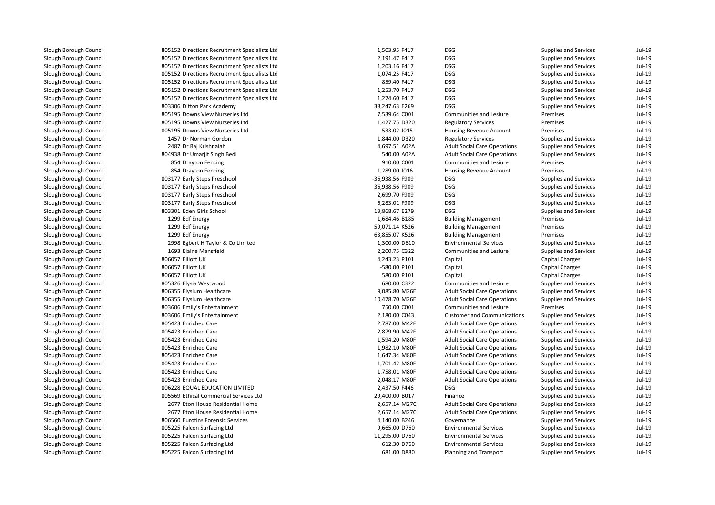805152 Directions Recruitment Specialists Ltd 805152 Directions Recruitment Specialists Ltd 805152 Directions Recruitment Specialists Ltd 805152 Directions Recruitment Specialists Ltd 805152 Directions Recruitment Specialists Ltd 805152 Directions Recruitment Specialists Ltd 805152 Directions Recruitment Specialists Ltd 803306 Ditton Park Academy 38,247.63 E269 DSG 805195 Downs View Nurseries Ltd 805195 Downs View Nurseries Ltd 805195 Downs View Nurseries Ltd 1457 Dr Norman Gordon 2487 Dr Raj Krishnaiahh 4,697.51 A02A **1** San Bang Bedi 540.00 A02A Server States 1980 States 1980 States 1980 States 1980 States 1980 States 1980 States 1 854 Drayton Fencing 854 Drayton Fencing l and the Subset of Steps Preschool and the Steps Preschool of Steps Preschool and the Steps Preschool of Steps Preschool and the Steps Preschool of Steps Preschool of Steps Preschool of Steps Preschool of Steps Preschool 803177 Early Steps Preschool 36,938.56 F909 DSG 803177 Early Steps Preschool 2,699.70 F909 DSG 803177 Early Steps Preschool 6,283.01 F909 DSG 803301 Eden Girls School 13,868.67 E279 DSG1299 Edf Energy 1299 Edf Energy 1299 Edf Energy 2998 Egbert H Taylor & Co Limited 1693 Elaine Mansfield 806057 Elliott UK 806057 Elliott UK 806057 Elliott UK 805326 Elysia Westwood806355 Elysium Healthcare 806355 Elysium Healthcare 803606 Emily's Entertainment 803606 Emily's Entertainment 805423 Enriched Care 805423 Enriched Care 805423 Enriched Care 805423 Enriched Care 805423 Enriched Care 805423 Enriched Care 805423 Enriched Care 805423 Enriched Care 806228 EQUAL EDUCATION LIMITED 805569 Ethical Commercial Services Ltd 2677 Eton House Residential Home 2,657.14 M27C 2677 Eton House Residential Home 2,657.14 M27C806560 Eurofins Forensic Services 805225 Falcon Surfacing Ltd 805225 Falcon Surfacing Ltd 805225 Falcon Surfacing Ltd805225 Falcon Surfacing Ltd

| 2 Directions Recruitment Specialists Ltd | 1,503.95 F417   | <b>DSG</b>                          | Supplies and Services        | $Jul-19$ |
|------------------------------------------|-----------------|-------------------------------------|------------------------------|----------|
| 2 Directions Recruitment Specialists Ltd | 2,191.47 F417   | <b>DSG</b>                          | Supplies and Services        | $Jul-19$ |
| 2 Directions Recruitment Specialists Ltd | 1,203.16 F417   | <b>DSG</b>                          | <b>Supplies and Services</b> | $Jul-19$ |
| 2 Directions Recruitment Specialists Ltd | 1,074.25 F417   | <b>DSG</b>                          | <b>Supplies and Services</b> | $Jul-19$ |
| 2 Directions Recruitment Specialists Ltd | 859.40 F417     | <b>DSG</b>                          | <b>Supplies and Services</b> | Jul-19   |
| 2 Directions Recruitment Specialists Ltd | 1,253.70 F417   | <b>DSG</b>                          | Supplies and Services        | Jul-19   |
| 2 Directions Recruitment Specialists Ltd | 1,274.60 F417   | <b>DSG</b>                          | Supplies and Services        | $Jul-19$ |
| 6 Ditton Park Academy                    | 38,247.63 E269  | <b>DSG</b>                          | <b>Supplies and Services</b> | $Jul-19$ |
| 5 Downs View Nurseries Ltd               | 7,539.64 C001   | Communities and Lesiure             | Premises                     | Jul-19   |
| 5 Downs View Nurseries Ltd               | 1,427.75 D320   | <b>Regulatory Services</b>          | Premises                     | Jul-19   |
| 5 Downs View Nurseries Ltd               | 533.02 J015     | Housing Revenue Account             | Premises                     | Jul-19   |
| 7 Dr Norman Gordon                       | 1,844.00 D320   | <b>Regulatory Services</b>          | <b>Supplies and Services</b> | $Jul-19$ |
| 7 Dr Raj Krishnaiah                      | 4,697.51 A02A   | <b>Adult Social Care Operations</b> | Supplies and Services        | Jul-19   |
| 8 Dr Umarjit Singh Bedi                  | 540.00 A02A     | <b>Adult Social Care Operations</b> | Supplies and Services        | Jul-19   |
| 4 Drayton Fencing                        | 910.00 C001     | Communities and Lesiure             | Premises                     | Jul-19   |
| 4 Drayton Fencing                        | 1,289.00 J016   | <b>Housing Revenue Account</b>      | Premises                     | Jul-19   |
| 7 Early Steps Preschool                  | -36,938.56 F909 | <b>DSG</b>                          | <b>Supplies and Services</b> | Jul-19   |
| 7 Early Steps Preschool                  | 36,938.56 F909  | <b>DSG</b>                          | <b>Supplies and Services</b> | Jul-19   |
| 7 Early Steps Preschool                  | 2,699.70 F909   | <b>DSG</b>                          | <b>Supplies and Services</b> | Jul-19   |
| 7 Early Steps Preschool                  | 6,283.01 F909   | <b>DSG</b>                          | Supplies and Services        | Jul-19   |
| 1 Eden Girls School                      | 13,868.67 E279  | <b>DSG</b>                          | Supplies and Services        | $Jul-19$ |
| 9 Edf Energy                             | 1,684.46 B185   | <b>Building Management</b>          | Premises                     | $Jul-19$ |
| 9 Edf Energy                             | 59,071.14 K526  | <b>Building Management</b>          | Premises                     | $Jul-19$ |
| 9 Edf Energy                             | 63,855.07 K526  | <b>Building Management</b>          | Premises                     | Jul-19   |
| 8 Egbert H Taylor & Co Limited           | 1,300.00 D610   | <b>Environmental Services</b>       | <b>Supplies and Services</b> | Jul-19   |
| 3 Elaine Mansfield                       | 2,200.75 C322   | Communities and Lesiure             | <b>Supplies and Services</b> | Jul-19   |
| 7 Elliott UK                             | 4,243.23 P101   | Capital                             | <b>Capital Charges</b>       | Jul-19   |
| 7 Elliott UK                             | -580.00 P101    | Capital                             | <b>Capital Charges</b>       | Jul-19   |
| 7 Elliott UK                             | 580.00 P101     | Capital                             | <b>Capital Charges</b>       | Jul-19   |
| 6 Elysia Westwood                        | 680.00 C322     | Communities and Lesiure             | Supplies and Services        | $Jul-19$ |
| 5 Elysium Healthcare                     | 9,085.80 M26E   | <b>Adult Social Care Operations</b> | <b>Supplies and Services</b> | Jul-19   |
| 5 Elysium Healthcare                     | 10,478.70 M26E  | <b>Adult Social Care Operations</b> | Supplies and Services        | Jul-19   |
| 6 Emily's Entertainment                  | 750.00 C001     | Communities and Lesiure             | Premises                     | Jul-19   |
| 6 Emily's Entertainment                  | 2,180.00 C043   | <b>Customer and Communications</b>  | Supplies and Services        | $Jul-19$ |
| 3 Enriched Care                          | 2,787.00 M42F   | <b>Adult Social Care Operations</b> | <b>Supplies and Services</b> | $Jul-19$ |
| 3 Enriched Care                          | 2,879.90 M42F   | <b>Adult Social Care Operations</b> | <b>Supplies and Services</b> | $Jul-19$ |
| 3 Enriched Care                          | 1,594.20 M80F   | <b>Adult Social Care Operations</b> | Supplies and Services        | Jul-19   |
| 3 Enriched Care                          | 1,982.10 M80F   | <b>Adult Social Care Operations</b> | Supplies and Services        | Jul-19   |
| 3 Enriched Care                          | 1,647.34 M80F   | <b>Adult Social Care Operations</b> | Supplies and Services        | Jul-19   |
| 3 Enriched Care                          | 1,701.42 M80F   | <b>Adult Social Care Operations</b> | <b>Supplies and Services</b> | $Jul-19$ |
| 3 Enriched Care                          | 1,758.01 M80F   | <b>Adult Social Care Operations</b> | <b>Supplies and Services</b> | Jul-19   |
| 3 Enriched Care                          | 2,048.17 M80F   | <b>Adult Social Care Operations</b> | Supplies and Services        | Jul-19   |
| 8 EQUAL EDUCATION LIMITED                | 2,437.50 F446   | <b>DSG</b>                          | Supplies and Services        | Jul-19   |
| 9 Ethical Commercial Services Ltd        | 29,400.00 B017  | Finance                             | Supplies and Services        | $Jul-19$ |
| 7 Eton House Residential Home            | 2,657.14 M27C   | <b>Adult Social Care Operations</b> | Supplies and Services        | Jul-19   |
| 7 Eton House Residential Home            | 2,657.14 M27C   | <b>Adult Social Care Operations</b> | Supplies and Services        | Jul-19   |
| 0 Eurofins Forensic Services             | 4,140.00 B246   | Governance                          | Supplies and Services        | Jul-19   |
| 5 Falcon Surfacing Ltd                   | 9,665.00 D760   | <b>Environmental Services</b>       | Supplies and Services        | Jul-19   |
| 5 Falcon Surfacing Ltd                   | 11,295.00 D760  | <b>Environmental Services</b>       | <b>Supplies and Services</b> | Jul-19   |
| 5 Falcon Surfacing Ltd                   | 612.30 D760     | <b>Environmental Services</b>       | <b>Supplies and Services</b> | Jul-19   |
| 5 Falcon Surfacing Ltd                   | 681.00 D880     | Planning and Transport              | <b>Supplies and Services</b> | Jul-19   |
|                                          |                 |                                     |                              |          |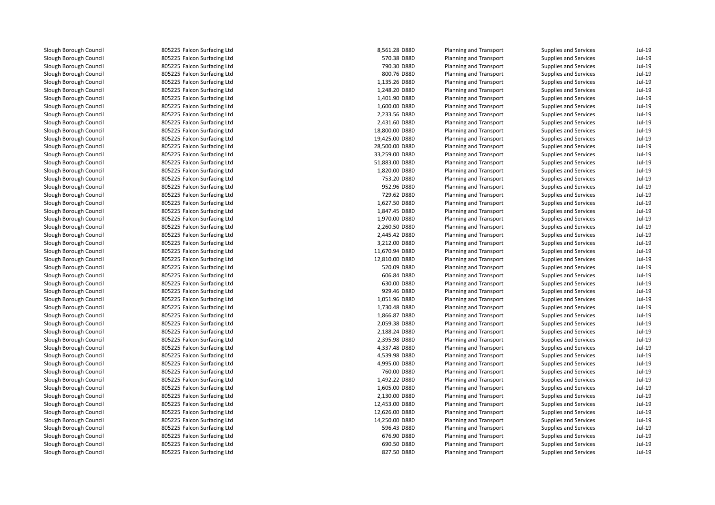805225 Falcon Surfacing Ltd 805225 Falcon Surfacing Ltd 805225 Falcon Surfacing Ltd 805225 Falcon Surfacing Ltd 805225 Falcon Surfacing Ltd 805225 Falcon Surfacing Ltd 805225 Falcon Surfacing Ltd 805225 Falcon Surfacing Ltd 805225 Falcon Surfacing Ltd 805225 Falcon Surfacing Ltd 805225 Falcon Surfacing Ltd 805225 Falcon Surfacing Ltd 805225 Falcon Surfacing Ltd 805225 Falcon Surfacing Ltd 805225 Falcon Surfacing Ltd 805225 Falcon Surfacing Ltd 805225 Falcon Surfacing Ltd 805225 Falcon Surfacing Ltd 805225 Falcon Surfacing Ltd 805225 Falcon Surfacing Ltd 805225 Falcon Surfacing Ltd 805225 Falcon Surfacing Ltd 805225 Falcon Surfacing Ltd 805225 Falcon Surfacing Ltd 805225 Falcon Surfacing Ltd 805225 Falcon Surfacing Ltd 805225 Falcon Surfacing Ltd 805225 Falcon Surfacing Ltd 805225 Falcon Surfacing Ltd 805225 Falcon Surfacing Ltd 805225 Falcon Surfacing Ltd 805225 Falcon Surfacing Ltd 805225 Falcon Surfacing Ltd 805225 Falcon Surfacing Ltd 805225 Falcon Surfacing Ltd 805225 Falcon Surfacing Ltd 805225 Falcon Surfacing Ltd 805225 Falcon Surfacing Ltd 805225 Falcon Surfacing Ltd 805225 Falcon Surfacing Ltd 805225 Falcon Surfacing Ltd 805225 Falcon Surfacing Ltd 805225 Falcon Surfacing Ltd 805225 Falcon Surfacing Ltd 805225 Falcon Surfacing Ltd 805225 Falcon Surfacing Ltd 805225 Falcon Surfacing Ltd 805225 Falcon Surfacing Ltd 805225 Falcon Surfacing Ltd 805225 Falcon Surfacing Ltd805225 Falcon Surfacing Ltd

| d | 8,561.28 D880  | Planning and Transport | <b>Supplies and Services</b> | Jul-19   |
|---|----------------|------------------------|------------------------------|----------|
| d | 570.38 D880    | Planning and Transport | <b>Supplies and Services</b> | Jul-19   |
| d | 790.30 D880    | Planning and Transport | <b>Supplies and Services</b> | Jul-19   |
| d | 800.76 D880    | Planning and Transport | <b>Supplies and Services</b> | Jul-19   |
| d | 1,135.26 D880  | Planning and Transport | <b>Supplies and Services</b> | Jul-19   |
| d | 1,248.20 D880  | Planning and Transport | <b>Supplies and Services</b> | Jul-19   |
| d | 1,401.90 D880  | Planning and Transport | <b>Supplies and Services</b> | Jul-19   |
| d | 1,600.00 D880  | Planning and Transport | <b>Supplies and Services</b> | Jul-19   |
| d | 2,233.56 D880  | Planning and Transport | <b>Supplies and Services</b> | $Jul-19$ |
| d | 2,431.60 D880  | Planning and Transport | <b>Supplies and Services</b> | Jul-19   |
| d | 18,800.00 D880 | Planning and Transport | <b>Supplies and Services</b> | Jul-19   |
| d | 19,425.00 D880 | Planning and Transport | <b>Supplies and Services</b> | Jul-19   |
| d | 28,500.00 D880 | Planning and Transport | <b>Supplies and Services</b> | Jul-19   |
| d | 33,259.00 D880 | Planning and Transport | <b>Supplies and Services</b> | Jul-19   |
| d | 51,883.00 D880 | Planning and Transport | <b>Supplies and Services</b> | Jul-19   |
| d | 1,820.00 D880  | Planning and Transport | <b>Supplies and Services</b> | Jul-19   |
| d | 753.20 D880    | Planning and Transport | <b>Supplies and Services</b> | Jul-19   |
| d | 952.96 D880    | Planning and Transport | <b>Supplies and Services</b> | Jul-19   |
| d | 729.62 D880    | Planning and Transport | <b>Supplies and Services</b> | $Jul-19$ |
| d | 1,627.50 D880  | Planning and Transport | <b>Supplies and Services</b> | Jul-19   |
| d | 1,847.45 D880  | Planning and Transport | <b>Supplies and Services</b> | Jul-19   |
| d | 1,970.00 D880  | Planning and Transport | <b>Supplies and Services</b> | Jul-19   |
| d | 2,260.50 D880  | Planning and Transport | <b>Supplies and Services</b> | Jul-19   |
| d | 2,445.42 D880  | Planning and Transport | <b>Supplies and Services</b> | $Jul-19$ |
| d | 3,212.00 D880  | Planning and Transport | <b>Supplies and Services</b> | Jul-19   |
| d | 11,670.94 D880 | Planning and Transport | <b>Supplies and Services</b> | Jul-19   |
| d | 12,810.00 D880 | Planning and Transport | <b>Supplies and Services</b> | Jul-19   |
| d | 520.09 D880    | Planning and Transport | <b>Supplies and Services</b> | Jul-19   |
| d | 606.84 D880    | Planning and Transport | <b>Supplies and Services</b> | Jul-19   |
| d | 630.00 D880    | Planning and Transport | <b>Supplies and Services</b> | Jul-19   |
| d | 929.46 D880    | Planning and Transport | <b>Supplies and Services</b> | Jul-19   |
| d | 1,051.96 D880  | Planning and Transport | <b>Supplies and Services</b> | Jul-19   |
| d | 1,730.48 D880  | Planning and Transport | <b>Supplies and Services</b> | Jul-19   |
| d | 1,866.87 D880  | Planning and Transport | <b>Supplies and Services</b> | Jul-19   |
| d | 2,059.38 D880  | Planning and Transport | <b>Supplies and Services</b> | Jul-19   |
| d | 2,188.24 D880  | Planning and Transport | <b>Supplies and Services</b> | Jul-19   |
| d | 2,395.98 D880  | Planning and Transport | <b>Supplies and Services</b> | Jul-19   |
| d | 4,337.48 D880  | Planning and Transport | <b>Supplies and Services</b> | Jul-19   |
| d | 4,539.98 D880  | Planning and Transport | <b>Supplies and Services</b> | $Jul-19$ |
| d | 4,995.00 D880  | Planning and Transport | Supplies and Services        | $Jul-19$ |
| d | 760.00 D880    | Planning and Transport | <b>Supplies and Services</b> | Jul-19   |
| d | 1,492.22 D880  | Planning and Transport | <b>Supplies and Services</b> | Jul-19   |
| d | 1,605.00 D880  | Planning and Transport | <b>Supplies and Services</b> | Jul-19   |
| d | 2,130.00 D880  | Planning and Transport | <b>Supplies and Services</b> | Jul-19   |
| d | 12,453.00 D880 | Planning and Transport | <b>Supplies and Services</b> | Jul-19   |
| d | 12,626.00 D880 | Planning and Transport | Supplies and Services        | $Jul-19$ |
| d | 14,250.00 D880 | Planning and Transport | <b>Supplies and Services</b> | Jul-19   |
| d | 596.43 D880    | Planning and Transport | <b>Supplies and Services</b> | Jul-19   |
| d | 676.90 D880    | Planning and Transport | <b>Supplies and Services</b> | Jul-19   |
| d | 690.50 D880    | Planning and Transport | <b>Supplies and Services</b> | Jul-19   |
| d | 827.50 D880    | Planning and Transport | <b>Supplies and Services</b> | Jul-19   |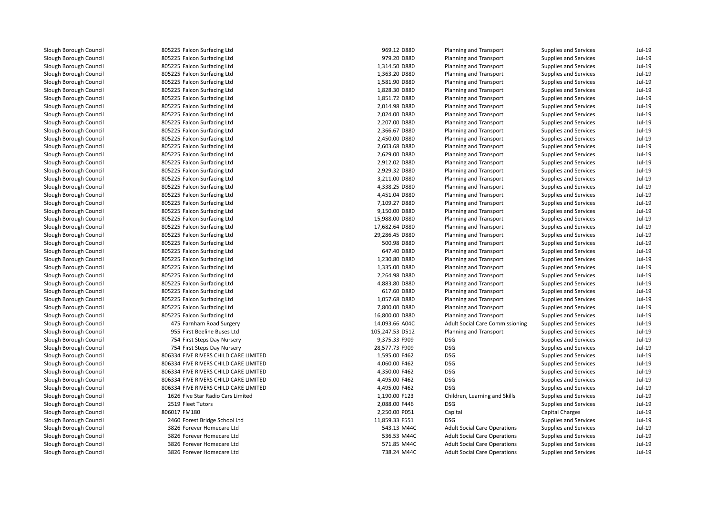805225 Falcon Surfacing Ltd 805225 Falcon Surfacing Ltd 805225 Falcon Surfacing Ltd 805225 Falcon Surfacing Ltd 805225 Falcon Surfacing Ltd 805225 Falcon Surfacing Ltd 805225 Falcon Surfacing Ltd 805225 Falcon Surfacing Ltd 805225 Falcon Surfacing Ltd 805225 Falcon Surfacing Ltd 805225 Falcon Surfacing Ltd 805225 Falcon Surfacing Ltd 805225 Falcon Surfacing Ltd 805225 Falcon Surfacing Ltd 805225 Falcon Surfacing Ltd 805225 Falcon Surfacing Ltd 805225 Falcon Surfacing Ltd 805225 Falcon Surfacing Ltd 805225 Falcon Surfacing Ltd 805225 Falcon Surfacing Ltd 805225 Falcon Surfacing Ltd 805225 Falcon Surfacing Ltd 805225 Falcon Surfacing Ltd 805225 Falcon Surfacing Ltd 805225 Falcon Surfacing Ltd 805225 Falcon Surfacing Ltd 805225 Falcon Surfacing Ltd 805225 Falcon Surfacing Ltd 805225 Falcon Surfacing Ltd 805225 Falcon Surfacing Ltd 805225 Falcon Surfacing Ltd 805225 Falcon Surfacing Ltd 805225 Falcon Surfacing Ltd 805225 Falcon Surfacing Ltd 475 Farnham Road Surgery 14,093.66 A04C 955 First Beeline Buses Ltd 754 First Steps Day Nursery 9,375.33 F909 DSG 754 First Steps Day Nursery 28,577.73 F909 DSG 806334 FIVE RIVERS CHILD CARE LIMITED 806334 FIVE RIVERS CHILD CARE LIMITED 806334 FIVE RIVERS CHILD CARE LIMITED 806334 FIVE RIVERS CHILD CARE LIMITED 806334 FIVE RIVERS CHILD CARE LIMITED 1626 Five Star Radio Cars Limited2519 Fleet Tutors 806017 FM180 2460 Forest Bridge School Ltd 3826 Forever Homecare Ltd 3826 Forever Homecare Ltd 3826 Forever Homecare Ltd3826 Forever Homecare Ltd

| 5 Falcon Surfacing Ltd           | 969.12 D880     | Planning and Transport                 | Supplies and Services        | Jul-19 |
|----------------------------------|-----------------|----------------------------------------|------------------------------|--------|
| 5 Falcon Surfacing Ltd           | 979.20 D880     | Planning and Transport                 | <b>Supplies and Services</b> | Jul-19 |
| 5 Falcon Surfacing Ltd           | 1,314.50 D880   | Planning and Transport                 | Supplies and Services        | Jul-19 |
| 5 Falcon Surfacing Ltd           | 1,363.20 D880   | Planning and Transport                 | Supplies and Services        | Jul-19 |
| 5 Falcon Surfacing Ltd           | 1,581.90 D880   | Planning and Transport                 | Supplies and Services        | Jul-19 |
| 5 Falcon Surfacing Ltd           | 1,828.30 D880   | Planning and Transport                 | Supplies and Services        | Jul-19 |
| 5 Falcon Surfacing Ltd           | 1,851.72 D880   | Planning and Transport                 | Supplies and Services        | Jul-19 |
| 5 Falcon Surfacing Ltd           | 2,014.98 D880   | Planning and Transport                 | Supplies and Services        | Jul-19 |
| 5 Falcon Surfacing Ltd           | 2,024.00 D880   | Planning and Transport                 | <b>Supplies and Services</b> | Jul-19 |
| 5 Falcon Surfacing Ltd           | 2,207.00 D880   | Planning and Transport                 | Supplies and Services        | Jul-19 |
| 5 Falcon Surfacing Ltd           | 2,366.67 D880   | Planning and Transport                 | Supplies and Services        | Jul-19 |
| 5 Falcon Surfacing Ltd           | 2,450.00 D880   | Planning and Transport                 | <b>Supplies and Services</b> | Jul-19 |
| 5 Falcon Surfacing Ltd           | 2,603.68 D880   | Planning and Transport                 | Supplies and Services        | Jul-19 |
| 5 Falcon Surfacing Ltd           | 2,629.00 D880   | Planning and Transport                 | Supplies and Services        | Jul-19 |
| 5 Falcon Surfacing Ltd           | 2,912.02 D880   | Planning and Transport                 | Supplies and Services        | Jul-19 |
| 5 Falcon Surfacing Ltd           | 2,929.32 D880   | Planning and Transport                 | Supplies and Services        | Jul-19 |
| 5 Falcon Surfacing Ltd           | 3,211.00 D880   | Planning and Transport                 | Supplies and Services        | Jul-19 |
| 5 Falcon Surfacing Ltd           | 4,338.25 D880   | Planning and Transport                 | Supplies and Services        | Jul-19 |
| 5 Falcon Surfacing Ltd           | 4,451.04 D880   | Planning and Transport                 | Supplies and Services        | Jul-19 |
| 5 Falcon Surfacing Ltd           | 7,109.27 D880   | Planning and Transport                 | Supplies and Services        | Jul-19 |
| 5 Falcon Surfacing Ltd           | 9,150.00 D880   | Planning and Transport                 | Supplies and Services        | Jul-19 |
| 5 Falcon Surfacing Ltd           | 15,988.00 D880  | Planning and Transport                 | Supplies and Services        | Jul-19 |
| 5 Falcon Surfacing Ltd           | 17,682.64 D880  | Planning and Transport                 | <b>Supplies and Services</b> | Jul-19 |
| 5 Falcon Surfacing Ltd           | 29,286.45 D880  | Planning and Transport                 | Supplies and Services        | Jul-19 |
| 5 Falcon Surfacing Ltd           | 500.98 D880     | Planning and Transport                 | Supplies and Services        | Jul-19 |
| 5 Falcon Surfacing Ltd           | 647.40 D880     | Planning and Transport                 | Supplies and Services        | Jul-19 |
| 5 Falcon Surfacing Ltd           | 1,230.80 D880   | Planning and Transport                 | <b>Supplies and Services</b> | Jul-19 |
| 5 Falcon Surfacing Ltd           | 1,335.00 D880   | Planning and Transport                 | Supplies and Services        | Jul-19 |
| 5 Falcon Surfacing Ltd           | 2,264.98 D880   | Planning and Transport                 | Supplies and Services        | Jul-19 |
| 5 Falcon Surfacing Ltd           | 4,883.80 D880   | Planning and Transport                 | Supplies and Services        | Jul-19 |
| 5 Falcon Surfacing Ltd           | 617.60 D880     | Planning and Transport                 | Supplies and Services        | Jul-19 |
| 5 Falcon Surfacing Ltd           | 1,057.68 D880   | Planning and Transport                 | Supplies and Services        | Jul-19 |
| 5 Falcon Surfacing Ltd           | 7,800.00 D880   | Planning and Transport                 | Supplies and Services        | Jul-19 |
| 5 Falcon Surfacing Ltd           | 16,800.00 D880  | Planning and Transport                 | <b>Supplies and Services</b> | Jul-19 |
| 5 Farnham Road Surgery           | 14,093.66 A04C  | <b>Adult Social Care Commissioning</b> | Supplies and Services        | Jul-19 |
| 5 First Beeline Buses Ltd        | 105,247.53 D512 | Planning and Transport                 | Supplies and Services        | Jul-19 |
| 4 First Steps Day Nursery        | 9,375.33 F909   | <b>DSG</b>                             | <b>Supplies and Services</b> | Jul-19 |
| 4 First Steps Day Nursery        | 28,577.73 F909  | <b>DSG</b>                             | Supplies and Services        | Jul-19 |
| 4 FIVE RIVERS CHILD CARE LIMITED | 1,595.00 F462   | <b>DSG</b>                             | Supplies and Services        | Jul-19 |
| 4 FIVE RIVERS CHILD CARE LIMITED | 4,060.00 F462   | <b>DSG</b>                             | <b>Supplies and Services</b> | Jul-19 |
| 4 FIVE RIVERS CHILD CARE LIMITED | 4,350.00 F462   | <b>DSG</b>                             | <b>Supplies and Services</b> | Jul-19 |
| 4 FIVE RIVERS CHILD CARE LIMITED | 4,495.00 F462   | <b>DSG</b>                             | Supplies and Services        | Jul-19 |
| 4 FIVE RIVERS CHILD CARE LIMITED | 4,495.00 F462   | <b>DSG</b>                             | Supplies and Services        | Jul-19 |
| 6 Five Star Radio Cars Limited   | 1,190.00 F123   | Children, Learning and Skills          | Supplies and Services        | Jul-19 |
| 9 Fleet Tutors                   | 2,088.00 F446   | <b>DSG</b>                             | Supplies and Services        | Jul-19 |
| 7 FM180                          | 2,250.00 P051   | Capital                                | <b>Capital Charges</b>       | Jul-19 |
| 0 Forest Bridge School Ltd       | 11,859.33 F551  | <b>DSG</b>                             | Supplies and Services        | Jul-19 |
| 6 Forever Homecare Ltd           | 543.13 M44C     | <b>Adult Social Care Operations</b>    | Supplies and Services        | Jul-19 |
| 6 Forever Homecare Ltd           | 536.53 M44C     | <b>Adult Social Care Operations</b>    | Supplies and Services        | Jul-19 |
| 6 Forever Homecare Ltd           | 571.85 M44C     | <b>Adult Social Care Operations</b>    | Supplies and Services        | Jul-19 |
| 6 Forever Homecare Ltd           | 738.24 M44C     | <b>Adult Social Care Operations</b>    | <b>Supplies and Services</b> | Jul-19 |
|                                  |                 |                                        |                              |        |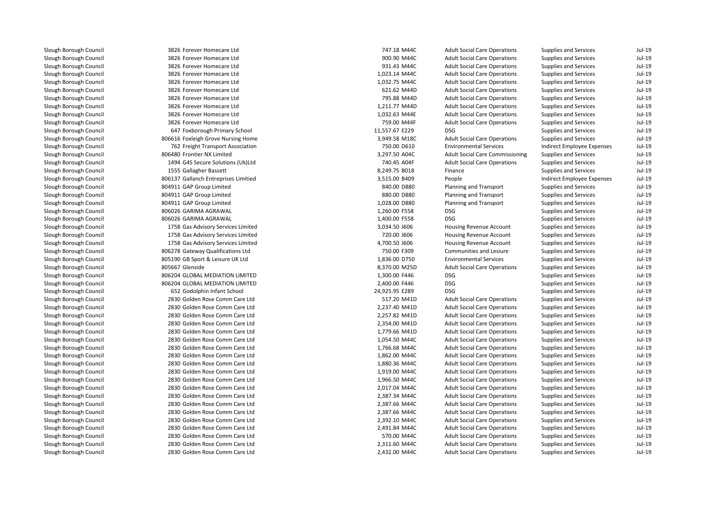3826 Forever Homecare Ltd 3826 Forever Homecare Ltd 3826 Forever Homecare Ltd 3826 Forever Homecare Ltd 3826 Forever Homecare Ltd 3826 Forever Homecare Ltd 3826 Forever Homecare Ltd 3826 Forever Homecare Ltd 3826 Forever Homecare Ltd 3826 Forever Homecare Ltd 647 Foxborough Primary School 11,557.67 E229 DSG**1** 3,949.58 M18C 806616 Foxleigh Grove Nursing Home 3,949.58 M18C 762 Freight Transport Association 806480 Frontier NX Limited 3,297.50 A04C 1494 G4S Secure Solutions (Uk)Ltd1555 Gallagher Bassett 806137 Gallanch Entreprises Limitied 804911 GAP Group Limited 804911 GAP Group Limited 804911 GAP Group Limitedl 1,260.00 F558 BO6026 GARIMA AGRAWAL 1,260.00 F558 BSG 806026 GARIMA AGRAWAL 1,400.00 F558 DSG 1758 Gas Advisory Services Limited 1758 Gas Advisory Services Limited 1758 Gas Advisory Services Limited 806278 Gateway Qualifications Ltd 805190 GB Sport & Leisure UK Ltd805667 Glenside Glenside 8,370.00 M25D 806204 GLOBAL MEDIATION LIMITED 806204 GLOBAL MEDIATION LIMITED 652G52 Godolphin Infant School 24, 2830 Golden Rose Comm Care Ltd 2830 Golden Rose Comm Care Ltd 2830 Golden Rose Comm Care Ltd 2830 Golden Rose Comm Care Ltd 2830 Golden Rose Comm Care Ltd 2830 Golden Rose Comm Care Ltd 2830 Golden Rose Comm Care Ltd 2830 Golden Rose Comm Care Ltd 2830 Golden Rose Comm Care Ltd 2830 Golden Rose Comm Care Ltd 2830 Golden Rose Comm Care Ltd 2830 Golden Rose Comm Care Ltd 2830 Golden Rose Comm Care Ltd 2830 Golden Rose Comm Care Ltd 2830 Golden Rose Comm Care Ltd 2830 Golden Rose Comm Care Ltd 2830 Golden Rose Comm Care Ltd 2830 Golden Rose Comm Care Ltd 2830 Golden Rose Comm Care Ltd2830 Golden Rose Comm Care Ltd

| 6 Forever Homecare Ltd          | 747.18 M44C    | <b>Adult Social Care Operations</b>    | <b>Supplies and Services</b> | $Jul-19$ |
|---------------------------------|----------------|----------------------------------------|------------------------------|----------|
| 6 Forever Homecare Ltd          | 900.90 M44C    | <b>Adult Social Care Operations</b>    | <b>Supplies and Services</b> | $Jul-19$ |
| 6 Forever Homecare Ltd          | 931.43 M44C    | <b>Adult Social Care Operations</b>    | Supplies and Services        | Jul-19   |
| 6 Forever Homecare Ltd          | 1,023.14 M44C  | <b>Adult Social Care Operations</b>    | Supplies and Services        | Jul-19   |
| 6 Forever Homecare Ltd          | 1,032.75 M44C  | <b>Adult Social Care Operations</b>    | <b>Supplies and Services</b> | $Jul-19$ |
| 6 Forever Homecare Ltd          | 621.62 M44D    | <b>Adult Social Care Operations</b>    | <b>Supplies and Services</b> | $Jul-19$ |
| 6 Forever Homecare Ltd          | 795.88 M44D    | <b>Adult Social Care Operations</b>    | Supplies and Services        | Jul-19   |
| 6 Forever Homecare Ltd          | 1,211.77 M44D  | <b>Adult Social Care Operations</b>    | <b>Supplies and Services</b> | Jul-19   |
| 6 Forever Homecare Ltd          | 1,032.63 M44E  | <b>Adult Social Care Operations</b>    | <b>Supplies and Services</b> | $Jul-19$ |
| 6 Forever Homecare Ltd          | 759.00 M44F    | <b>Adult Social Care Operations</b>    | <b>Supplies and Services</b> | Jul-19   |
| 7 Foxborough Primary School     | 11,557.67 E229 | <b>DSG</b>                             | Supplies and Services        | Jul-19   |
| 6 Foxleigh Grove Nursing Home   | 3,949.58 M18C  | <b>Adult Social Care Operations</b>    | Supplies and Services        | Jul-19   |
| 2 Freight Transport Association | 750.00 D610    | <b>Environmental Services</b>          | Indirect Employee Expenses   | Jul-19   |
| 0 Frontier NX Limited           | 3,297.50 A04C  | <b>Adult Social Care Commissioning</b> | Supplies and Services        | Jul-19   |
| 4 G4S Secure Solutions (Uk)Ltd  | 740.45 A04F    | <b>Adult Social Care Operations</b>    | <b>Supplies and Services</b> | $Jul-19$ |
| 5 Gallagher Bassett             | 8,249.75 B018  | Finance                                | Supplies and Services        | Jul-19   |
| 7 Gallanch Entreprises Limitied | 3,515.00 B409  | People                                 | Indirect Employee Expenses   | Jul-19   |
| 1 GAP Group Limited             | 840.00 D880    | Planning and Transport                 | <b>Supplies and Services</b> | $Jul-19$ |
| 1 GAP Group Limited             | 880.00 D880    | Planning and Transport                 | <b>Supplies and Services</b> | $Jul-19$ |
| 1 GAP Group Limited             | 1,028.00 D880  | Planning and Transport                 | Supplies and Services        | $Jul-19$ |
| 6 GARIMA AGRAWAL                | 1,260.00 F558  | <b>DSG</b>                             | Supplies and Services        | Jul-19   |
| 6 GARIMA AGRAWAL                | 1,400.00 F558  | <b>DSG</b>                             | <b>Supplies and Services</b> | $Jul-19$ |
| 8 Gas Advisory Services Limited | 3,034.50 J606  | Housing Revenue Account                | <b>Supplies and Services</b> | $Jul-19$ |
| 8 Gas Advisory Services Limited | 720.00 J606    | Housing Revenue Account                | Supplies and Services        | Jul-19   |
| 8 Gas Advisory Services Limited | 4,700.50 J606  | Housing Revenue Account                | Supplies and Services        | Jul-19   |
| 8 Gateway Qualifications Ltd    | 750.00 F309    | Communities and Lesiure                | <b>Supplies and Services</b> | $Jul-19$ |
| 0 GB Sport & Leisure UK Ltd     | 1,836.00 D750  | <b>Environmental Services</b>          | <b>Supplies and Services</b> | Jul-19   |
| 7 Glenside                      | 8,370.00 M25D  | <b>Adult Social Care Operations</b>    | Supplies and Services        | Jul-19   |
| 4 GLOBAL MEDIATION LIMITED      | 1,300.00 F446  | <b>DSG</b>                             | Supplies and Services        | Jul-19   |
| 4 GLOBAL MEDIATION LIMITED      | 2,400.00 F446  | <b>DSG</b>                             | Supplies and Services        | $Jul-19$ |
| 2 Godolphin Infant School       | 24,925.95 E289 | <b>DSG</b>                             | <b>Supplies and Services</b> | Jul-19   |
| 0 Golden Rose Comm Care Ltd     | 517.20 M41D    | <b>Adult Social Care Operations</b>    | Supplies and Services        | Jul-19   |
| 0 Golden Rose Comm Care Ltd     | 2,237.40 M41D  | <b>Adult Social Care Operations</b>    | Supplies and Services        | Jul-19   |
| 0 Golden Rose Comm Care Ltd     | 2,257.82 M41D  | <b>Adult Social Care Operations</b>    | Supplies and Services        | Jul-19   |
| 0 Golden Rose Comm Care Ltd     | 2,354.00 M41D  | <b>Adult Social Care Operations</b>    | <b>Supplies and Services</b> | $Jul-19$ |
| 0 Golden Rose Comm Care Ltd     | 1,779.66 M41D  | <b>Adult Social Care Operations</b>    | <b>Supplies and Services</b> | $Jul-19$ |
| 0 Golden Rose Comm Care Ltd     | 1,054.50 M44C  | <b>Adult Social Care Operations</b>    | Supplies and Services        | Jul-19   |
| 0 Golden Rose Comm Care Ltd     | 1,766.68 M44C  | <b>Adult Social Care Operations</b>    | Supplies and Services        | Jul-19   |
| 0 Golden Rose Comm Care Ltd     | 1,862.00 M44C  | <b>Adult Social Care Operations</b>    | <b>Supplies and Services</b> | $Jul-19$ |
| 0 Golden Rose Comm Care Ltd     | 1,880.36 M44C  | <b>Adult Social Care Operations</b>    | <b>Supplies and Services</b> | $Jul-19$ |
| 0 Golden Rose Comm Care Ltd     | 1,919.00 M44C  | <b>Adult Social Care Operations</b>    | Supplies and Services        | Jul-19   |
| 0 Golden Rose Comm Care Ltd     | 1,966.50 M44C  | <b>Adult Social Care Operations</b>    | Supplies and Services        | Jul-19   |
| 0 Golden Rose Comm Care Ltd     | 2,017.04 M44C  | <b>Adult Social Care Operations</b>    | <b>Supplies and Services</b> | $Jul-19$ |
| 0 Golden Rose Comm Care Ltd     | 2,387.34 M44C  | <b>Adult Social Care Operations</b>    | <b>Supplies and Services</b> | Jul-19   |
| 0 Golden Rose Comm Care Ltd     | 2,387.66 M44C  | <b>Adult Social Care Operations</b>    | Supplies and Services        | Jul-19   |
| 0 Golden Rose Comm Care Ltd     | 2,387.66 M44C  | <b>Adult Social Care Operations</b>    | Supplies and Services        | Jul-19   |
| 0 Golden Rose Comm Care Ltd     | 2,392.10 M44C  | <b>Adult Social Care Operations</b>    | Supplies and Services        | Jul-19   |
| 0 Golden Rose Comm Care Ltd     | 2,491.84 M44C  | <b>Adult Social Care Operations</b>    | <b>Supplies and Services</b> | Jul-19   |
| 0 Golden Rose Comm Care Ltd     | 570.00 M44C    | <b>Adult Social Care Operations</b>    | Supplies and Services        | Jul-19   |
| 0 Golden Rose Comm Care Ltd     | 2,311.60 M44C  | <b>Adult Social Care Operations</b>    | <b>Supplies and Services</b> | $Jul-19$ |
| 0 Golden Rose Comm Care Ltd     | 2.432.00 M44C  | <b>Adult Social Care Operations</b>    | Supplies and Services        | $Jul-19$ |

| pplies and Services      | Jul-19   |
|--------------------------|----------|
| pplies and Services      | $Jul-19$ |
| pplies and Services      | $Jul-19$ |
| pplies and Services      | $Jul-19$ |
| pplies and Services      | $Jul-19$ |
| pplies and Services      | Jul-19   |
| pplies and Services      | $Jul-19$ |
| pplies and Services      | $Jul-19$ |
| pplies and Services      | Jul-19   |
| pplies and Services      | Jul-19   |
| pplies and Services      | $Jul-19$ |
| pplies and Services      | $Jul-19$ |
| direct Employee Expenses | $Jul-19$ |
| pplies and Services      | Jul-19   |
| pplies and Services      | Jul-19   |
| pplies and Services      | Jul-19   |
| direct Employee Expenses | Jul-19   |
| pplies and Services      | Jul-19   |
| pplies and Services      | $Jul-19$ |
| pplies and Services      | $Jul-19$ |
| pplies and Services      | Jul-19   |
| pplies and Services      | Jul-19   |
| pplies and Services      | $Jul-19$ |
| pplies and Services      | Jul-19   |
| pplies and Services      | Jul-19   |
| pplies and Services      | Jul-19   |
|                          | Jul-19   |
| pplies and Services      | Jul-19   |
| pplies and Services      |          |
| pplies and Services      | Jul-19   |
| pplies and Services      | $Jul-19$ |
| pplies and Services      | Jul-19   |
| pplies and Services      | $Jul-19$ |
| pplies and Services      | $Jul-19$ |
| pplies and Services      | Jul-19   |
| pplies and Services      | $Jul-19$ |
| pplies and Services      | $Jul-19$ |
| pplies and Services      | $Jul-19$ |
| pplies and Services      | $Jul-19$ |
| pplies and Services      | $Jul-19$ |
| pplies and Services      | $Jul-19$ |
| pplies and Services      | $Jul-19$ |
| pplies and Services      | Jul-19   |
| pplies and Services      | Jul-19   |
| pplies and Services      | Jul-19   |
| pplies and Services      | $Jul-19$ |
| pplies and Services      | Jul-19   |
| pplies and Services      | $Jul-19$ |
| pplies and Services      | $Jul-19$ |
| pplies and Services      | $Jul-19$ |
| pplies and Services      | Jul-19   |
| pplies and Services      | $Jul-19$ |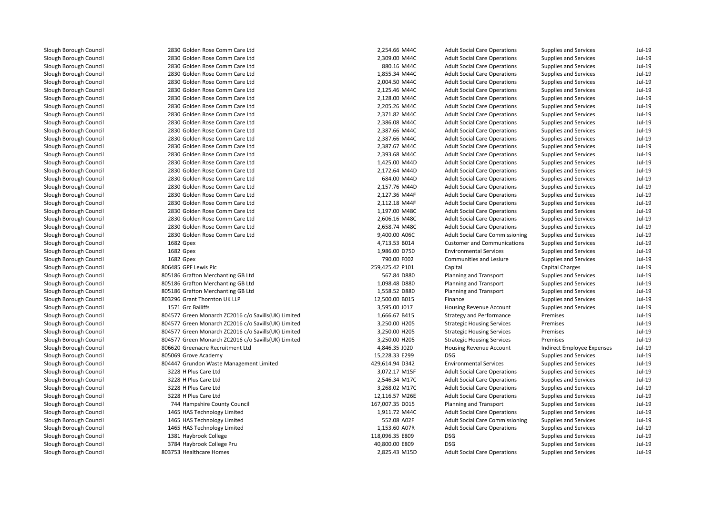2830 Golden Rose Comm Care Ltd 2830 Golden Rose Comm Care Ltd 2830 Golden Rose Comm Care Ltd 2830 Golden Rose Comm Care Ltd 2830 Golden Rose Comm Care Ltd 2830 Golden Rose Comm Care Ltd 2830 Golden Rose Comm Care Ltd 2830 Golden Rose Comm Care Ltd 2830 Golden Rose Comm Care Ltd 2830 Golden Rose Comm Care Ltd 2830 Golden Rose Comm Care Ltd 2830 Golden Rose Comm Care Ltd 2830 Golden Rose Comm Care Ltd 2830 Golden Rose Comm Care Ltd 2830 Golden Rose Comm Care Ltd 2830 Golden Rose Comm Care Ltd 2830 Golden Rose Comm Care Ltd 2830 Golden Rose Comm Care Ltd 2830 Golden Rose Comm Care Ltd 2830 Golden Rose Comm Care Ltd 2830 Golden Rose Comm Care Ltd 2830 Golden Rose Comm Care Ltd 2830 Golden Rose Comm Care Ltd 2830 Golden Rose Comm Care Ltd1682 Gpex 1682 Gpex 1682 Gpex 806485 GPF Lewis Plc 805186 Grafton Merchanting GB Ltd 805186 Grafton Merchanting GB Ltd 805186 Grafton Merchanting GB Ltd 803296 Grant Thornton UK LLP1571 Grc Bailiffs 804577 Green Monarch ZC2016 c/o Savills(UK) Limited 804577 Green Monarch ZC2016 c/o Savills(UK) Limited 804577 Green Monarch ZC2016 c/o Savills(UK) Limited 804577 Green Monarch ZC2016 c/o Savills(UK) Limited 806620 Greenacre Recruitment Ltdl 15,228.33 E299 DSG و 805069 Grove Academy 15,228.33 E299 bSG 804447 Grundon Waste Management Limited 3228 H Plus Care Ltd 3228 H Plus Care Ltdd  $2,546.34$  M17C 3228 H Plus Care Ltdd 3,268.02 M17C 3228 H Plus Care Ltd744 Hampshire County Council 1465 HAS Technology Limitedd 1,911.72 M44C 1465 HAS Technology Limited 1465 HAS Technology Limitedd 1,153.60 A07R 1381 Haybrook College 118,096.35 E809 DSG 3784 Haybrook College Prul and the solution of the SO3753 Healthcare Homes 2,825.43 M15D and the SO2753 Healthcare Homes 2,825.43 M15D

| 0 Golden Rose Comm Care Ltd                    | 2,254.66 M44C   | <b>Adult Social Care Operations</b>    | Supplies and Services        | Jul-19   |
|------------------------------------------------|-----------------|----------------------------------------|------------------------------|----------|
| 0 Golden Rose Comm Care Ltd                    | 2,309.00 M44C   | <b>Adult Social Care Operations</b>    | <b>Supplies and Services</b> | $Jul-19$ |
| 0 Golden Rose Comm Care Ltd                    | 880.16 M44C     | <b>Adult Social Care Operations</b>    | <b>Supplies and Services</b> | $Jul-19$ |
| 0 Golden Rose Comm Care Ltd                    | 1,855.34 M44C   | <b>Adult Social Care Operations</b>    | <b>Supplies and Services</b> | $Jul-19$ |
| 0 Golden Rose Comm Care Ltd                    | 2,004.50 M44C   | <b>Adult Social Care Operations</b>    | <b>Supplies and Services</b> | $Jul-19$ |
| 0 Golden Rose Comm Care Ltd                    | 2,125.46 M44C   | <b>Adult Social Care Operations</b>    | Supplies and Services        | Jul-19   |
| 0 Golden Rose Comm Care Ltd                    | 2,128.00 M44C   | <b>Adult Social Care Operations</b>    | Supplies and Services        | Jul-19   |
| 0 Golden Rose Comm Care Ltd                    | 2,205.26 M44C   | <b>Adult Social Care Operations</b>    | <b>Supplies and Services</b> | $Jul-19$ |
| 0 Golden Rose Comm Care Ltd                    | 2,371.82 M44C   | <b>Adult Social Care Operations</b>    | <b>Supplies and Services</b> | Jul-19   |
| 0 Golden Rose Comm Care Ltd                    | 2,386.08 M44C   | <b>Adult Social Care Operations</b>    | Supplies and Services        | Jul-19   |
| 0 Golden Rose Comm Care Ltd                    | 2,387.66 M44C   | <b>Adult Social Care Operations</b>    | Supplies and Services        | Jul-19   |
| 0 Golden Rose Comm Care Ltd                    | 2,387.66 M44C   | <b>Adult Social Care Operations</b>    | Supplies and Services        | $Jul-19$ |
| 0 Golden Rose Comm Care Ltd                    | 2,387.67 M44C   | <b>Adult Social Care Operations</b>    | <b>Supplies and Services</b> | $Jul-19$ |
| 0 Golden Rose Comm Care Ltd                    | 2,393.68 M44C   | <b>Adult Social Care Operations</b>    | <b>Supplies and Services</b> | Jul-19   |
| 0 Golden Rose Comm Care Ltd                    | 1,425.00 M44D   | <b>Adult Social Care Operations</b>    | <b>Supplies and Services</b> | Jul-19   |
| 0 Golden Rose Comm Care Ltd                    | 2,172.64 M44D   | <b>Adult Social Care Operations</b>    | Supplies and Services        | Jul-19   |
| 0 Golden Rose Comm Care Ltd                    | 684.00 M44D     | <b>Adult Social Care Operations</b>    | Supplies and Services        | $Jul-19$ |
| 0 Golden Rose Comm Care Ltd                    | 2,157.76 M44D   | <b>Adult Social Care Operations</b>    | <b>Supplies and Services</b> | $Jul-19$ |
| 0 Golden Rose Comm Care Ltd                    | 2,127.36 M44F   | <b>Adult Social Care Operations</b>    | <b>Supplies and Services</b> | $Jul-19$ |
| 0 Golden Rose Comm Care Ltd                    | 2,112.18 M44F   | <b>Adult Social Care Operations</b>    | Supplies and Services        | $Jul-19$ |
| 0 Golden Rose Comm Care Ltd                    | 1,197.00 M48C   | <b>Adult Social Care Operations</b>    | Supplies and Services        | Jul-19   |
| 0 Golden Rose Comm Care Ltd                    | 2,606.16 M48C   | <b>Adult Social Care Operations</b>    | Supplies and Services        | Jul-19   |
| 0 Golden Rose Comm Care Ltd                    | 2,658.74 M48C   | <b>Adult Social Care Operations</b>    | <b>Supplies and Services</b> | $Jul-19$ |
| 0 Golden Rose Comm Care Ltd                    | 9,400.00 A06C   | <b>Adult Social Care Commissioning</b> | <b>Supplies and Services</b> | Jul-19   |
| 2 Gpex                                         | 4,713.53 B014   | <b>Customer and Communications</b>     | Supplies and Services        | Jul-19   |
| 2 Gpex                                         | 1,986.00 D750   | <b>Environmental Services</b>          | Supplies and Services        | Jul-19   |
| 2 Gpex                                         | 790.00 F002     | <b>Communities and Lesiure</b>         | <b>Supplies and Services</b> | $Jul-19$ |
| 5 GPF Lewis Plc                                | 259,425.42 P101 | Capital                                | Capital Charges              | Jul-19   |
| 6 Grafton Merchanting GB Ltd                   | 567.84 D880     | Planning and Transport                 | <b>Supplies and Services</b> | $Jul-19$ |
| 6 Grafton Merchanting GB Ltd                   | 1,098.48 D880   | Planning and Transport                 | <b>Supplies and Services</b> | Jul-19   |
| 6 Grafton Merchanting GB Ltd                   | 1,558.52 D880   | Planning and Transport                 | <b>Supplies and Services</b> | Jul-19   |
| 6 Grant Thornton UK LLP                        | 12,500.00 B015  | Finance                                | Supplies and Services        | $Jul-19$ |
| 1 Grc Bailiffs                                 | 3,595.00 J017   | Housing Revenue Account                | <b>Supplies and Services</b> | $Jul-19$ |
| 7 Green Monarch ZC2016 c/o Savills(UK) Limited | 1,666.67 B415   | <b>Strategy and Performance</b>        | Premises                     | $Jul-19$ |
| 7 Green Monarch ZC2016 c/o Savills(UK) Limited | 3,250.00 H205   | <b>Strategic Housing Services</b>      | Premises                     | Jul-19   |
| 7 Green Monarch ZC2016 c/o Savills(UK) Limited | 3,250.00 H205   | <b>Strategic Housing Services</b>      | Premises                     | $Jul-19$ |
| 7 Green Monarch ZC2016 c/o Savills(UK) Limited | 3,250.00 H205   | <b>Strategic Housing Services</b>      | Premises                     | Jul-19   |
| 0 Greenacre Recruitment Ltd                    | 4,846.35 J020   | <b>Housing Revenue Account</b>         | Indirect Employee Expenses   | Jul-19   |
| 9 Grove Academy                                | 15,228.33 E299  | <b>DSG</b>                             | <b>Supplies and Services</b> | Jul-19   |
| 7 Grundon Waste Management Limited             | 429,614.94 D342 | <b>Environmental Services</b>          | <b>Supplies and Services</b> | Jul-19   |
| 8 H Plus Care Ltd                              | 3,072.17 M15F   | <b>Adult Social Care Operations</b>    | Supplies and Services        | Jul-19   |
| 8 H Plus Care Ltd                              | 2,546.34 M17C   | <b>Adult Social Care Operations</b>    | Supplies and Services        | Jul-19   |
| 8 H Plus Care Ltd                              | 3,268.02 M17C   | <b>Adult Social Care Operations</b>    | <b>Supplies and Services</b> | $Jul-19$ |
| 8 H Plus Care Ltd                              | 12,116.57 M26E  | <b>Adult Social Care Operations</b>    | Supplies and Services        | $Jul-19$ |
| 4 Hampshire County Council                     | 167,007.35 D015 | Planning and Transport                 | Supplies and Services        | Jul-19   |
| 5 HAS Technology Limited                       | 1,911.72 M44C   | <b>Adult Social Care Operations</b>    | Supplies and Services        | Jul-19   |
| 5 HAS Technology Limited                       | 552.08 A02F     | <b>Adult Social Care Commissioning</b> | Supplies and Services        | $Jul-19$ |
| 5 HAS Technology Limited                       | 1,153.60 A07R   | <b>Adult Social Care Operations</b>    | <b>Supplies and Services</b> | $Jul-19$ |
| 1 Haybrook College                             | 118,096.35 E809 | <b>DSG</b>                             | <b>Supplies and Services</b> | $Jul-19$ |
| 4 Haybrook College Pru                         | 40,800.00 E809  | <b>DSG</b>                             | <b>Supplies and Services</b> | Jul-19   |
| 3 Healthcare Homes                             | 2,825.43 M15D   | <b>Adult Social Care Operations</b>    | <b>Supplies and Services</b> | $Jul-19$ |
|                                                |                 |                                        |                              |          |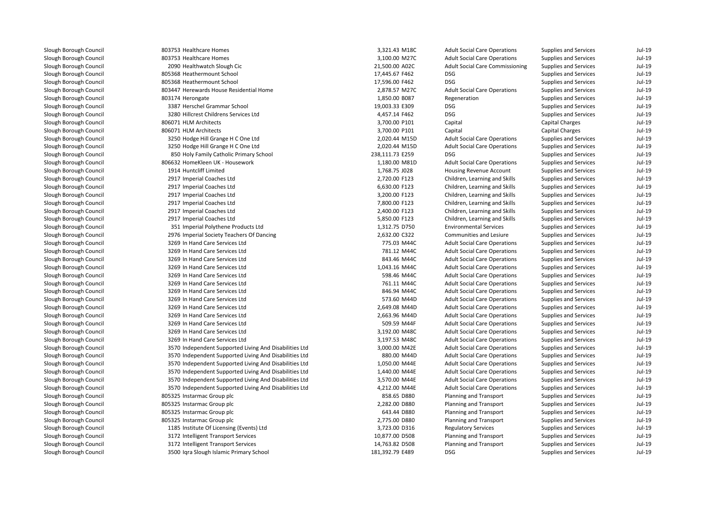| 803753 Healthcare Homes                                | 3,321.43 M18C   | <b>Adult Social Care Operations</b>    | Supplies and Services        | $Jul-19$ |
|--------------------------------------------------------|-----------------|----------------------------------------|------------------------------|----------|
| 803753 Healthcare Homes                                | 3,100.00 M27C   | <b>Adult Social Care Operations</b>    | Supplies and Services        | $Jul-19$ |
| 2090 Healthwatch Slough Cic                            | 21,500.00 A02C  | <b>Adult Social Care Commissioning</b> | Supplies and Services        | $Jul-19$ |
| 805368 Heathermount School                             | 17,445.67 F462  | <b>DSG</b>                             | <b>Supplies and Services</b> | $Jul-19$ |
| 805368 Heathermount School                             | 17,596.00 F462  | <b>DSG</b>                             | Supplies and Services        | $Jul-19$ |
| 803447 Herewards House Residential Home                | 2,878.57 M27C   | <b>Adult Social Care Operations</b>    | Supplies and Services        | $Jul-19$ |
| 803174 Herongate                                       | 1,850.00 B087   | Regeneration                           | <b>Supplies and Services</b> | $Jul-19$ |
| 3387 Herschel Grammar School                           | 19,003.33 E309  | <b>DSG</b>                             | <b>Supplies and Services</b> | $Jul-19$ |
| 3280 Hillcrest Childrens Services Ltd                  | 4,457.14 F462   | <b>DSG</b>                             | <b>Supplies and Services</b> | $Jul-19$ |
| 806071 HLM Architects                                  | 3,700.00 P101   | Capital                                | <b>Capital Charges</b>       | $Jul-19$ |
| 806071 HLM Architects                                  | 3,700.00 P101   | Capital                                | Capital Charges              | $Jul-19$ |
| 3250 Hodge Hill Grange H C One Ltd                     | 2,020.44 M15D   | <b>Adult Social Care Operations</b>    | Supplies and Services        | $Jul-19$ |
| 3250 Hodge Hill Grange H C One Ltd                     | 2,020.44 M15D   | <b>Adult Social Care Operations</b>    | Supplies and Services        | $Jul-19$ |
| 850 Holy Family Catholic Primary School                | 238,111.73 E259 | <b>DSG</b>                             | Supplies and Services        | $Jul-19$ |
| 806632 HomeKleen UK - Housework                        | 1,180.00 M81D   | <b>Adult Social Care Operations</b>    | Supplies and Services        | $Jul-19$ |
| 1914 Huntcliff Limited                                 | 1,768.75 J028   | <b>Housing Revenue Account</b>         | <b>Supplies and Services</b> | $Jul-19$ |
| 2917 Imperial Coaches Ltd                              | 2,720.00 F123   | Children, Learning and Skills          | Supplies and Services        | $Jul-19$ |
| 2917 Imperial Coaches Ltd                              | 6,630.00 F123   | Children, Learning and Skills          | <b>Supplies and Services</b> | $Jul-19$ |
| 2917 Imperial Coaches Ltd                              | 3,200.00 F123   | Children, Learning and Skills          | <b>Supplies and Services</b> | $Jul-19$ |
| 2917 Imperial Coaches Ltd                              | 7,800.00 F123   | Children, Learning and Skills          | Supplies and Services        | $Jul-19$ |
| 2917 Imperial Coaches Ltd                              | 2,400.00 F123   | Children, Learning and Skills          | Supplies and Services        | $Jul-19$ |
| 2917 Imperial Coaches Ltd                              | 5,850.00 F123   | Children, Learning and Skills          | Supplies and Services        | $Jul-19$ |
| 351 Imperial Polythene Products Ltd                    | 1,312.75 D750   | <b>Environmental Services</b>          | <b>Supplies and Services</b> | $Jul-19$ |
| 2976 Imperial Society Teachers Of Dancing              | 2,632.00 C322   | Communities and Lesiure                | Supplies and Services        | $Jul-19$ |
| 3269 In Hand Care Services Ltd                         | 775.03 M44C     | <b>Adult Social Care Operations</b>    | Supplies and Services        | $Jul-19$ |
| 3269 In Hand Care Services Ltd                         | 781.12 M44C     | <b>Adult Social Care Operations</b>    | Supplies and Services        | $Jul-19$ |
| 3269 In Hand Care Services Ltd                         | 843.46 M44C     | <b>Adult Social Care Operations</b>    | Supplies and Services        | $Jul-19$ |
| 3269 In Hand Care Services Ltd                         | 1,043.16 M44C   | <b>Adult Social Care Operations</b>    | Supplies and Services        | $Jul-19$ |
| 3269 In Hand Care Services Ltd                         | 598.46 M44C     | <b>Adult Social Care Operations</b>    | <b>Supplies and Services</b> | $Jul-19$ |
| 3269 In Hand Care Services Ltd                         | 761.11 M44C     | <b>Adult Social Care Operations</b>    | Supplies and Services        | $Jul-19$ |
| 3269 In Hand Care Services Ltd                         | 846.94 M44C     | <b>Adult Social Care Operations</b>    | Supplies and Services        | $Jul-19$ |
| 3269 In Hand Care Services Ltd                         | 573.60 M44D     | <b>Adult Social Care Operations</b>    | Supplies and Services        | $Jul-19$ |
| 3269 In Hand Care Services Ltd                         | 2,649.08 M44D   | <b>Adult Social Care Operations</b>    | Supplies and Services        | $Jul-19$ |
| 3269 In Hand Care Services Ltd                         | 2,663.96 M44D   | <b>Adult Social Care Operations</b>    | <b>Supplies and Services</b> | $Jul-19$ |
| 3269 In Hand Care Services Ltd                         | 509.59 M44F     | <b>Adult Social Care Operations</b>    | Supplies and Services        | $Jul-19$ |
| 3269 In Hand Care Services Ltd                         | 3,192.00 M48C   | <b>Adult Social Care Operations</b>    | <b>Supplies and Services</b> | $Jul-19$ |
| 3269 In Hand Care Services Ltd                         | 3,197.53 M48C   | <b>Adult Social Care Operations</b>    | Supplies and Services        | $Jul-19$ |
| 3570 Independent Supported Living And Disabilities Ltd | 3,000.00 M42E   | <b>Adult Social Care Operations</b>    | Supplies and Services        | $Jul-19$ |
| 3570 Independent Supported Living And Disabilities Ltd | 880.00 M44D     | <b>Adult Social Care Operations</b>    | Supplies and Services        | $Jul-19$ |
| 3570 Independent Supported Living And Disabilities Ltd | 1,050.00 M44E   | <b>Adult Social Care Operations</b>    | Supplies and Services        | $Jul-19$ |
| 3570 Independent Supported Living And Disabilities Ltd | 1,440.00 M44E   | <b>Adult Social Care Operations</b>    | <b>Supplies and Services</b> | $Jul-19$ |
| 3570 Independent Supported Living And Disabilities Ltd | 3,570.00 M44E   | <b>Adult Social Care Operations</b>    | Supplies and Services        | $Jul-19$ |
| 3570 Independent Supported Living And Disabilities Ltd | 4,212.00 M44E   | <b>Adult Social Care Operations</b>    | Supplies and Services        | Jul-19   |
| 805325 Instarmac Group plc                             | 858.65 D880     | Planning and Transport                 | Supplies and Services        | $Jul-19$ |
| 805325 Instarmac Group plc                             | 2,282.00 D880   | Planning and Transport                 | Supplies and Services        | $Jul-19$ |
| 805325 Instarmac Group plc                             | 643.44 D880     | Planning and Transport                 | Supplies and Services        | $Jul-19$ |
| 805325 Instarmac Group plc                             | 2,775.00 D880   | Planning and Transport                 | <b>Supplies and Services</b> | $Jul-19$ |
| 1185 Institute Of Licensing (Events) Ltd               | 3,723.00 D316   | <b>Regulatory Services</b>             | <b>Supplies and Services</b> | $Jul-19$ |
| 3172 Intelligent Transport Services                    | 10,877.00 D508  | Planning and Transport                 | Supplies and Services        | $Jul-19$ |
| 3172 Intelligent Transport Services                    | 14,763.82 D508  | Planning and Transport                 | Supplies and Services        | $Jul-19$ |
| 3500 Iqra Slough Islamic Primary School                | 181,392.79 E489 | <b>DSG</b>                             | Supplies and Services        | Jul-19   |
|                                                        |                 |                                        |                              |          |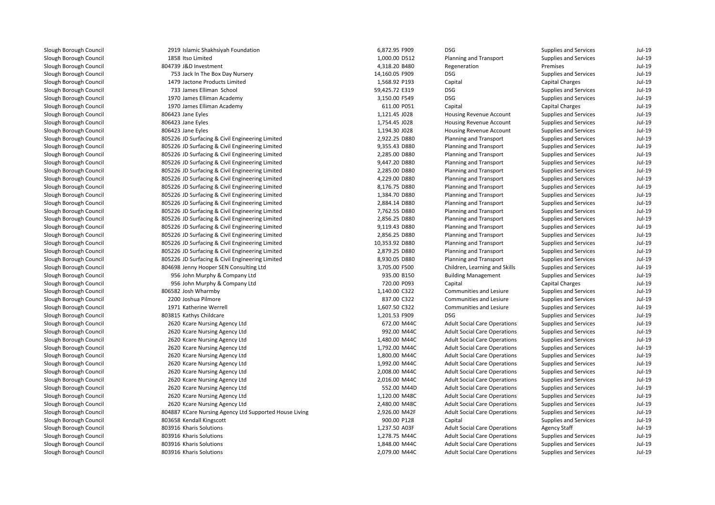| 2919 Islamic Shakhsiyah Foundation                     | 6,872.95 F909  | <b>DSG</b>                          | Supplies and Services        | $Jul-19$ |
|--------------------------------------------------------|----------------|-------------------------------------|------------------------------|----------|
| 1858 Itso Limited                                      | 1,000.00 D512  | Planning and Transport              | Supplies and Services        | $Jul-19$ |
| 804739 J&D Investment                                  | 4,318.20 B480  | Regeneration                        | Premises                     | $Jul-19$ |
| 753 Jack In The Box Day Nursery                        | 14,160.05 F909 | <b>DSG</b>                          | Supplies and Services        | $Jul-19$ |
| 1479 Jactone Products Limited                          | 1,568.92 P193  | Capital                             | <b>Capital Charges</b>       | $Jul-19$ |
| 733 James Elliman School                               | 59,425.72 E319 | <b>DSG</b>                          | Supplies and Services        | $Jul-19$ |
| 1970 James Elliman Academy                             | 3,150.00 F549  | <b>DSG</b>                          | Supplies and Services        | $Jul-19$ |
| 1970 James Elliman Academy                             | 611.00 P051    | Capital                             | <b>Capital Charges</b>       | $Jul-19$ |
| 806423 Jane Eyles                                      | 1,121.45 J028  | Housing Revenue Account             | Supplies and Services        | $Jul-19$ |
| 806423 Jane Eyles                                      | 1,754.45 J028  | Housing Revenue Account             | Supplies and Services        | $Jul-19$ |
| 806423 Jane Eyles                                      | 1,194.30 J028  | Housing Revenue Account             | Supplies and Services        | $Jul-19$ |
| 805226 JD Surfacing & Civil Engineering Limited        | 2,922.25 D880  | Planning and Transport              | <b>Supplies and Services</b> | $Jul-19$ |
| 805226 JD Surfacing & Civil Engineering Limited        | 9,355.43 D880  | Planning and Transport              | Supplies and Services        | $Jul-19$ |
| 805226 JD Surfacing & Civil Engineering Limited        | 2,285.00 D880  | Planning and Transport              | Supplies and Services        | $Jul-19$ |
| 805226 JD Surfacing & Civil Engineering Limited        | 9,447.20 D880  | Planning and Transport              | <b>Supplies and Services</b> | $Jul-19$ |
| 805226 JD Surfacing & Civil Engineering Limited        | 2,285.00 D880  | Planning and Transport              | Supplies and Services        | $Jul-19$ |
| 805226 JD Surfacing & Civil Engineering Limited        | 4,229.00 D880  | Planning and Transport              | <b>Supplies and Services</b> | $Jul-19$ |
| 805226 JD Surfacing & Civil Engineering Limited        | 8,176.75 D880  | Planning and Transport              | Supplies and Services        | $Jul-19$ |
| 805226 JD Surfacing & Civil Engineering Limited        | 1,384.70 D880  | Planning and Transport              | <b>Supplies and Services</b> | $Jul-19$ |
| 805226 JD Surfacing & Civil Engineering Limited        | 2,884.14 D880  | Planning and Transport              | Supplies and Services        | $Jul-19$ |
| 805226 JD Surfacing & Civil Engineering Limited        | 7,762.55 D880  | Planning and Transport              | Supplies and Services        | $Jul-19$ |
| 805226 JD Surfacing & Civil Engineering Limited        | 2,856.25 D880  | Planning and Transport              | Supplies and Services        | $Jul-19$ |
| 805226 JD Surfacing & Civil Engineering Limited        | 9,119.43 D880  | Planning and Transport              | Supplies and Services        | $Jul-19$ |
| 805226 JD Surfacing & Civil Engineering Limited        | 2,856.25 D880  | Planning and Transport              | Supplies and Services        | $Jul-19$ |
| 805226 JD Surfacing & Civil Engineering Limited        | 10,353.92 D880 | Planning and Transport              | Supplies and Services        | $Jul-19$ |
| 805226 JD Surfacing & Civil Engineering Limited        | 2,879.25 D880  | Planning and Transport              | Supplies and Services        | $Jul-19$ |
| 805226 JD Surfacing & Civil Engineering Limited        | 8,930.05 D880  | Planning and Transport              | Supplies and Services        | $Jul-19$ |
| 804698 Jenny Hooper SEN Consulting Ltd                 | 3,705.00 F500  | Children, Learning and Skills       | Supplies and Services        | $Jul-19$ |
| 956 John Murphy & Company Ltd                          | 935.00 B150    | <b>Building Management</b>          | <b>Supplies and Services</b> | $Jul-19$ |
| 956 John Murphy & Company Ltd                          | 720.00 P093    | Capital                             | Capital Charges              | $Jul-19$ |
| 806582 Josh Wharmby                                    | 1,140.00 C322  | Communities and Lesiure             | Supplies and Services        | $Jul-19$ |
| 2200 Joshua Pilmore                                    | 837.00 C322    | Communities and Lesiure             | Supplies and Services        | $Jul-19$ |
| 1971 Katherine Werrell                                 | 1,607.50 C322  | Communities and Lesiure             | Supplies and Services        | $Jul-19$ |
| 803815 Kathys Childcare                                | 1,201.53 F909  | <b>DSG</b>                          | <b>Supplies and Services</b> | $Jul-19$ |
| 2620 Kcare Nursing Agency Ltd                          | 672.00 M44C    | <b>Adult Social Care Operations</b> | Supplies and Services        | $Jul-19$ |
| 2620 Kcare Nursing Agency Ltd                          | 992.00 M44C    | <b>Adult Social Care Operations</b> | <b>Supplies and Services</b> | $Jul-19$ |
| 2620 Kcare Nursing Agency Ltd                          | 1,480.00 M44C  | <b>Adult Social Care Operations</b> | Supplies and Services        | $Jul-19$ |
| 2620 Kcare Nursing Agency Ltd                          | 1,792.00 M44C  | <b>Adult Social Care Operations</b> | <b>Supplies and Services</b> | $Jul-19$ |
| 2620 Kcare Nursing Agency Ltd                          | 1,800.00 M44C  | <b>Adult Social Care Operations</b> | Supplies and Services        | $Jul-19$ |
| 2620 Kcare Nursing Agency Ltd                          | 1,992.00 M44C  | <b>Adult Social Care Operations</b> | Supplies and Services        | $Jul-19$ |
| 2620 Kcare Nursing Agency Ltd                          | 2,008.00 M44C  | <b>Adult Social Care Operations</b> | Supplies and Services        | $Jul-19$ |
| 2620 Kcare Nursing Agency Ltd                          | 2,016.00 M44C  | <b>Adult Social Care Operations</b> | <b>Supplies and Services</b> | $Jul-19$ |
| 2620 Kcare Nursing Agency Ltd                          | 552.00 M44D    | <b>Adult Social Care Operations</b> | Supplies and Services        | $Jul-19$ |
| 2620 Kcare Nursing Agency Ltd                          | 1,120.00 M48C  | <b>Adult Social Care Operations</b> | Supplies and Services        | $Jul-19$ |
| 2620 Kcare Nursing Agency Ltd                          | 2,480.00 M48C  | <b>Adult Social Care Operations</b> | Supplies and Services        | $Jul-19$ |
| 804887 KCare Nursing Agency Ltd Supported House Living | 2,926.00 M42F  | <b>Adult Social Care Operations</b> | Supplies and Services        | $Jul-19$ |
| 803658 Kendall Kingscott                               | 900.00 P128    | Capital                             | Supplies and Services        | $Jul-19$ |
| 803916 Kharis Solutions                                | 1,237.50 A03F  | <b>Adult Social Care Operations</b> | <b>Agency Staff</b>          | $Jul-19$ |
| 803916 Kharis Solutions                                | 1,278.75 M44C  | <b>Adult Social Care Operations</b> | Supplies and Services        | $Jul-19$ |
| 803916 Kharis Solutions                                | 1,848.00 M44C  | <b>Adult Social Care Operations</b> | Supplies and Services        | $Jul-19$ |
| 803916 Kharis Solutions                                | 2,079.00 M44C  | <b>Adult Social Care Operations</b> | <b>Supplies and Services</b> | $Jul-19$ |
|                                                        |                |                                     |                              |          |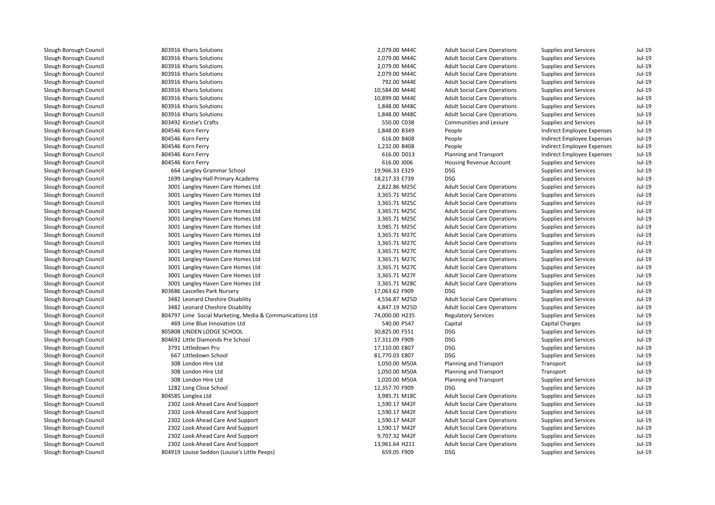| 803916 Kharis Solutions                                  | 2,079.00 M44C                  | <b>Adult Social Care Operations</b> | Supplies and Services        | $Jul-19$ |
|----------------------------------------------------------|--------------------------------|-------------------------------------|------------------------------|----------|
| 803916 Kharis Solutions                                  | 2,079.00 M44C                  | <b>Adult Social Care Operations</b> | <b>Supplies and Services</b> | $Jul-19$ |
| 803916 Kharis Solutions                                  | 2,079.00 M44C                  | <b>Adult Social Care Operations</b> | Supplies and Services        | $Jul-19$ |
| 803916 Kharis Solutions                                  | 2,079.00 M44C                  | <b>Adult Social Care Operations</b> | Supplies and Services        | $Jul-19$ |
| 803916 Kharis Solutions                                  | 792.00 M44E                    | <b>Adult Social Care Operations</b> | Supplies and Services        | $Jul-19$ |
| 803916 Kharis Solutions                                  | 10,584.00 M44E                 | <b>Adult Social Care Operations</b> | Supplies and Services        | $Jul-19$ |
| 803916 Kharis Solutions                                  | 10,899.00 M44E                 | <b>Adult Social Care Operations</b> | Supplies and Services        | $Jul-19$ |
| 803916 Kharis Solutions                                  | 1,848.00 M48C                  | <b>Adult Social Care Operations</b> | <b>Supplies and Services</b> | $Jul-19$ |
| 803916 Kharis Solutions                                  | 1,848.00 M48C                  | <b>Adult Social Care Operations</b> | Supplies and Services        | $Jul-19$ |
| 803492 Kirstie's Crafts                                  | 550.00 C038                    | Communities and Lesiure             | Supplies and Services        | Jul-19   |
| 804546 Korn Ferry                                        | 1,848.00 B349                  | People                              | Indirect Employee Expenses   | $Jul-19$ |
| 804546 Korn Ferry                                        | 616.00 B408                    | People                              | Indirect Employee Expenses   | $Jul-19$ |
| 804546 Korn Ferry                                        | 1,232.00 B408                  | People                              | Indirect Employee Expenses   | $Jul-19$ |
| 804546 Korn Ferry                                        | 616.00 D013                    | Planning and Transport              | Indirect Employee Expenses   | $Jul-19$ |
| 804546 Korn Ferry                                        | 616.00 J006                    | Housing Revenue Account             | <b>Supplies and Services</b> | $Jul-19$ |
| 664 Langley Grammar School                               | 19,966.33 E329                 | <b>DSG</b>                          | <b>Supplies and Services</b> | $Jul-19$ |
| 1699 Langley Hall Primary Academy                        | 18,217.33 E739                 | <b>DSG</b>                          | Supplies and Services        | $Jul-19$ |
| 3001 Langley Haven Care Homes Ltd                        | 2,822.86 M25C                  | <b>Adult Social Care Operations</b> | Supplies and Services        | $Jul-19$ |
| 3001 Langley Haven Care Homes Ltd                        | 3,365.71 M25C                  | <b>Adult Social Care Operations</b> | <b>Supplies and Services</b> | $Jul-19$ |
| 3001 Langley Haven Care Homes Ltd                        | 3,365.71 M25C                  | <b>Adult Social Care Operations</b> | Supplies and Services        | $Jul-19$ |
| 3001 Langley Haven Care Homes Ltd                        | 3,365.71 M25C                  | <b>Adult Social Care Operations</b> | Supplies and Services        | $Jul-19$ |
| 3001 Langley Haven Care Homes Ltd                        | 3,365.71 M25C                  | <b>Adult Social Care Operations</b> | Supplies and Services        | $Jul-19$ |
|                                                          | 3,985.71 M25C                  | <b>Adult Social Care Operations</b> | Supplies and Services        | $Jul-19$ |
| 3001 Langley Haven Care Homes Ltd                        |                                |                                     |                              | $Jul-19$ |
| 3001 Langley Haven Care Homes Ltd                        | 3,365.71 M27C<br>3,365.71 M27C | <b>Adult Social Care Operations</b> | Supplies and Services        | $Jul-19$ |
| 3001 Langley Haven Care Homes Ltd                        |                                | <b>Adult Social Care Operations</b> | Supplies and Services        |          |
| 3001 Langley Haven Care Homes Ltd                        | 3,365.71 M27C                  | <b>Adult Social Care Operations</b> | Supplies and Services        | $Jul-19$ |
| 3001 Langley Haven Care Homes Ltd                        | 3,365.71 M27C                  | <b>Adult Social Care Operations</b> | Supplies and Services        | $Jul-19$ |
| 3001 Langley Haven Care Homes Ltd                        | 3,365.71 M27C                  | <b>Adult Social Care Operations</b> | Supplies and Services        | $Jul-19$ |
| 3001 Langley Haven Care Homes Ltd                        | 3,365.71 M27F                  | <b>Adult Social Care Operations</b> | Supplies and Services        | $Jul-19$ |
| 3001 Langley Haven Care Homes Ltd                        | 3,365.71 M28C                  | <b>Adult Social Care Operations</b> | Supplies and Services        | $Jul-19$ |
| 803686 Lascelles Park Nursery                            | 17,063.62 F909                 | <b>DSG</b>                          | <b>Supplies and Services</b> | $Jul-19$ |
| 3482 Leonard Cheshire Disability                         | 4,556.87 M25D                  | <b>Adult Social Care Operations</b> | Supplies and Services        | $Jul-19$ |
| 3482 Leonard Cheshire Disability                         | 4,847.19 M25D                  | <b>Adult Social Care Operations</b> | Supplies and Services        | $Jul-19$ |
| 804797 Lime Social Marketing, Media & Communications Ltd | 74,000.00 H235                 | <b>Regulatory Services</b>          | <b>Supplies and Services</b> | $Jul-19$ |
| 469 Lime Blue Innovation Ltd                             | 540.00 P547                    | Capital                             | <b>Capital Charges</b>       | $Jul-19$ |
| 805808 LINDEN LODGE SCHOOL                               | 30,825.00 F551                 | <b>DSG</b>                          | Supplies and Services        | $Jul-19$ |
| 804692 Little Diamonds Pre School                        | 17,311.09 F909                 | <b>DSG</b>                          | Supplies and Services        | $Jul-19$ |
| 3791 Littledown Pru                                      | 17,110.00 E807                 | <b>DSG</b>                          | Supplies and Services        | $Jul-19$ |
| 667 Littledown School                                    | 81,770.03 E807                 | <b>DSG</b>                          | <b>Supplies and Services</b> | $Jul-19$ |
| 308 London Hire Ltd                                      | 1,050.00 M50A                  | Planning and Transport              | Transport                    | $Jul-19$ |
| 308 London Hire Ltd                                      | 1,050.00 M50A                  | Planning and Transport              | Transport                    | $Jul-19$ |
| 308 London Hire Ltd                                      | 1,020.00 M50A                  | Planning and Transport              | Supplies and Services        | $Jul-19$ |
| 1282 Long Close School                                   | 12,357.70 F909                 | <b>DSG</b>                          | Supplies and Services        | $Jul-19$ |
| 804585 Longlea Ltd                                       | 3,985.71 M18C                  | <b>Adult Social Care Operations</b> | <b>Supplies and Services</b> | $Jul-19$ |
| 2302 Look Ahead Care And Support                         | 1,590.17 M42F                  | <b>Adult Social Care Operations</b> | Supplies and Services        | $Jul-19$ |
| 2302 Look Ahead Care And Support                         | 1,590.17 M42F                  | <b>Adult Social Care Operations</b> | Supplies and Services        | $Jul-19$ |
| 2302 Look Ahead Care And Support                         | 1,590.17 M42F                  | <b>Adult Social Care Operations</b> | Supplies and Services        | $Jul-19$ |
| 2302 Look Ahead Care And Support                         | 1,590.17 M42F                  | <b>Adult Social Care Operations</b> | Supplies and Services        | $Jul-19$ |
| 2302 Look Ahead Care And Support                         | 9,707.32 M42F                  | <b>Adult Social Care Operations</b> | Supplies and Services        | $Jul-19$ |
| 2302 Look Ahead Care And Support                         | 13,961.64 H211                 | <b>Adult Social Care Operations</b> | Supplies and Services        | $Jul-19$ |
| 804919 Louise Seddon (Louise's Little Peeps)             | 659.05 F909                    | <b>DSG</b>                          | <b>Supplies and Services</b> | Jul-19   |
|                                                          |                                |                                     |                              |          |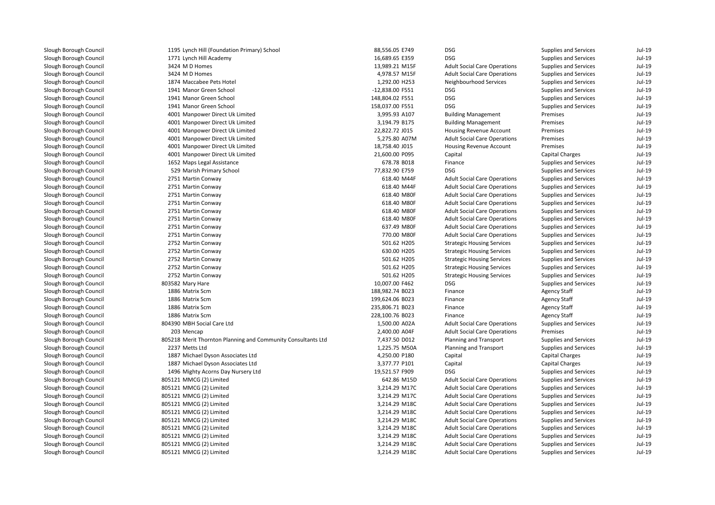Slough Borough Council 1195Slough Borough Council 1771Slough Borough Council 3424Slough Borough Council 3424Slough Borough Council 1874Slough Borough Council 1941Slough Borough Council 1941Slough Borough Council 1941Slough Borough Council 4001Slough Borough Council 4001Slough Borough Council 4001Slough Borough Council 4001Slough Borough Council 4001Slough Borough Council 4001Slough Borough Council 1652Slough Borough Council 529Slough Borough Council 2751Slough Borough Council 2751Slough Borough Council 2751Slough Borough Council 2751Slough Borough Council 2751Slough Borough Council 2751Slough Borough Council 2751Slough Borough Council 2751Slough Borough Council 2752Slough Borough Council 2752Slough Borough Council 2752Slough Borough Council 2752Slough Borough Council 2752Slough Borough Council 803582Slough Borough Council 1886Slough Borough Council 1886Slough Borough Council 1886Slough Borough Council 1886Slough Borough Council 804390Slough Borough Council 203Slough Borough Council 805218Slough Borough Council 2237Slough Borough Council 1887Slough Borough Council 1887Slough Borough Council 1496Slough Borough Council 805121Slough Borough Council 805121Slough Borough Council 805121Slough Borough Council 805121Slough Borough Council 805121Slough Borough Council 805121Slough Borough Council 805121Slough Borough Council 805121Slough Borough Council 805121Slough Borough Council805121 MMCG (2) Limited

| 1195 Lynch Hill (Foundation Primary) School                  | 88,556.05 E749  | <b>DSG</b>                          | Supplies and Services        | Jul-19   |
|--------------------------------------------------------------|-----------------|-------------------------------------|------------------------------|----------|
| 1771 Lynch Hill Academy                                      | 16,689.65 E359  | <b>DSG</b>                          | <b>Supplies and Services</b> | Jul-19   |
| 3424 M D Homes                                               | 13,989.21 M15F  | <b>Adult Social Care Operations</b> | <b>Supplies and Services</b> | Jul-19   |
| 3424 M D Homes                                               | 4,978.57 M15F   | <b>Adult Social Care Operations</b> | <b>Supplies and Services</b> | Jul-19   |
| 1874 Maccabee Pets Hotel                                     | 1,292.00 H253   | Neighbourhood Services              | <b>Supplies and Services</b> | Jul-19   |
| 1941 Manor Green School                                      | -12,838.00 F551 | <b>DSG</b>                          | Supplies and Services        | Jul-19   |
| 1941 Manor Green School                                      | 148,804.02 F551 | <b>DSG</b>                          | Supplies and Services        | Jul-19   |
| 1941 Manor Green School                                      | 158,037.00 F551 | <b>DSG</b>                          | <b>Supplies and Services</b> | Jul-19   |
| 4001 Manpower Direct Uk Limited                              | 3,995.93 A107   | <b>Building Management</b>          | Premises                     | Jul-19   |
| 4001 Manpower Direct Uk Limited                              | 3,194.79 B175   | <b>Building Management</b>          | Premises                     | Jul-19   |
| 4001 Manpower Direct Uk Limited                              | 22,822.72 J015  | Housing Revenue Account             | Premises                     | Jul-19   |
| 4001 Manpower Direct Uk Limited                              | 5,275.80 A07M   | <b>Adult Social Care Operations</b> | Premises                     | Jul-19   |
| 4001 Manpower Direct Uk Limited                              | 18,758.40 J015  | Housing Revenue Account             | Premises                     | Jul-19   |
| 4001 Manpower Direct Uk Limited                              | 21,600.00 P095  | Capital                             | <b>Capital Charges</b>       | Jul-19   |
| 1652 Maps Legal Assistance                                   | 678.78 B018     | Finance                             | <b>Supplies and Services</b> | Jul-19   |
| 529 Marish Primary School                                    | 77,832.90 E759  | <b>DSG</b>                          | Supplies and Services        | Jul-19   |
| 2751 Martin Conway                                           | 618.40 M44F     | <b>Adult Social Care Operations</b> | Supplies and Services        | Jul-19   |
| 2751 Martin Conway                                           | 618.40 M44F     | <b>Adult Social Care Operations</b> | Supplies and Services        | Jul-19   |
| 2751 Martin Conway                                           | 618.40 M80F     | <b>Adult Social Care Operations</b> | <b>Supplies and Services</b> | Jul-19   |
| 2751 Martin Conway                                           | 618.40 M80F     | <b>Adult Social Care Operations</b> | <b>Supplies and Services</b> | Jul-19   |
| 2751 Martin Conway                                           | 618.40 M80F     | <b>Adult Social Care Operations</b> | Supplies and Services        | Jul-19   |
| 2751 Martin Conway                                           | 618.40 M80F     | <b>Adult Social Care Operations</b> | <b>Supplies and Services</b> | Jul-19   |
| 2751 Martin Conway                                           | 637.49 M80F     | <b>Adult Social Care Operations</b> | Supplies and Services        | Jul-19   |
| 2751 Martin Conway                                           | 770.00 M80F     | <b>Adult Social Care Operations</b> | Supplies and Services        | Jul-19   |
| 2752 Martin Conway                                           | 501.62 H205     | <b>Strategic Housing Services</b>   | <b>Supplies and Services</b> | Jul-19   |
| 2752 Martin Conway                                           | 630.00 H205     | <b>Strategic Housing Services</b>   | <b>Supplies and Services</b> | Jul-19   |
| 2752 Martin Conway                                           | 501.62 H205     | <b>Strategic Housing Services</b>   | <b>Supplies and Services</b> | Jul-19   |
| 2752 Martin Conway                                           | 501.62 H205     | <b>Strategic Housing Services</b>   | Supplies and Services        | Jul-19   |
| 2752 Martin Conway                                           | 501.62 H205     | <b>Strategic Housing Services</b>   | Supplies and Services        | Jul-19   |
| 803582 Mary Hare                                             | 10,007.00 F462  | <b>DSG</b>                          | <b>Supplies and Services</b> | Jul-19   |
| 1886 Matrix Scm                                              | 188,982.74 B023 | Finance                             | <b>Agency Staff</b>          | Jul-19   |
| 1886 Matrix Scm                                              | 199,624.06 B023 | Finance                             | <b>Agency Staff</b>          | Jul-19   |
| 1886 Matrix Scm                                              | 235,806.71 B023 | Finance                             | <b>Agency Staff</b>          | Jul-19   |
| 1886 Matrix Scm                                              | 228,100.76 B023 | Finance                             | <b>Agency Staff</b>          | Jul-19   |
| 804390 MBH Social Care Ltd                                   | 1,500.00 A02A   | <b>Adult Social Care Operations</b> | Supplies and Services        | Jul-19   |
| 203 Mencap                                                   | 2,400.00 A04F   | <b>Adult Social Care Operations</b> | Premises                     | Jul-19   |
| 805218 Merit Thornton Planning and Community Consultants Ltd | 7,437.50 D012   | Planning and Transport              | <b>Supplies and Services</b> | Jul-19   |
| 2237 Metts Ltd                                               | 1,225.75 M50A   | Planning and Transport              | <b>Supplies and Services</b> | Jul-19   |
| 1887 Michael Dyson Associates Ltd                            | 4,250.00 P180   | Capital                             | <b>Capital Charges</b>       | Jul-19   |
| 1887 Michael Dyson Associates Ltd                            | 3,377.77 P101   | Capital                             | <b>Capital Charges</b>       | Jul-19   |
| 1496 Mighty Acorns Day Nursery Ltd                           | 19,521.57 F909  | DSG                                 | <b>Supplies and Services</b> | Jul-19   |
| 805121 MMCG (2) Limited                                      | 642.86 M15D     | <b>Adult Social Care Operations</b> | <b>Supplies and Services</b> | Jul-19   |
| 805121 MMCG (2) Limited                                      | 3,214.29 M17C   | <b>Adult Social Care Operations</b> | <b>Supplies and Services</b> | Jul-19   |
| 805121 MMCG (2) Limited                                      | 3,214.29 M17C   | <b>Adult Social Care Operations</b> | Supplies and Services        | Jul-19   |
| 805121 MMCG (2) Limited                                      | 3,214.29 M18C   | <b>Adult Social Care Operations</b> | Supplies and Services        | Jul-19   |
| 805121 MMCG (2) Limited                                      | 3,214.29 M18C   | <b>Adult Social Care Operations</b> | Supplies and Services        | Jul-19   |
| 805121 MMCG (2) Limited                                      | 3,214.29 M18C   | <b>Adult Social Care Operations</b> | <b>Supplies and Services</b> | Jul-19   |
| 805121 MMCG (2) Limited                                      | 3,214.29 M18C   | <b>Adult Social Care Operations</b> | <b>Supplies and Services</b> | Jul-19   |
| 805121 MMCG (2) Limited                                      | 3,214.29 M18C   | <b>Adult Social Care Operations</b> | <b>Supplies and Services</b> | Jul-19   |
| 805121 MMCG (2) Limited                                      | 3,214.29 M18C   | <b>Adult Social Care Operations</b> | <b>Supplies and Services</b> | Jul-19   |
| 805121 MMCG (2) Limited                                      | 3.214.29 M18C   | <b>Adult Social Care Operations</b> | Supplies and Services        | $Jul-19$ |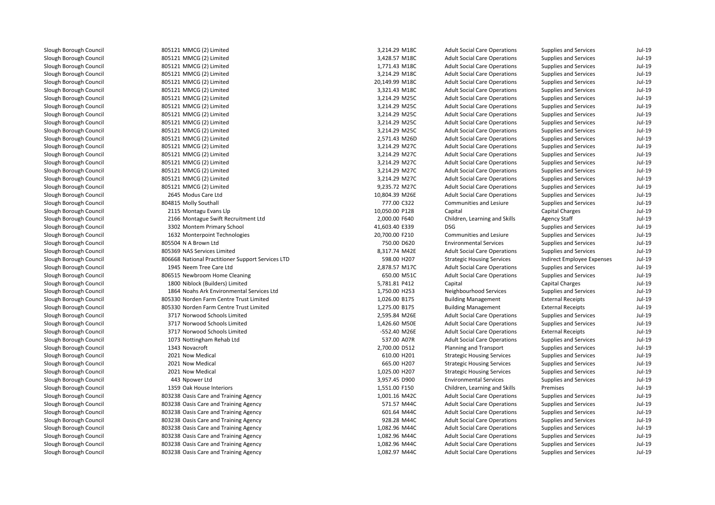| 805121 MMCG (2) Limited                           | 3,214.29 M18C  | <b>Adult Social Care Operations</b> | Supplies and Services        | Jul-19   |
|---------------------------------------------------|----------------|-------------------------------------|------------------------------|----------|
| 805121 MMCG (2) Limited                           | 3,428.57 M18C  | <b>Adult Social Care Operations</b> | Supplies and Services        | $Jul-19$ |
| 805121 MMCG (2) Limited                           | 1,771.43 M18C  | <b>Adult Social Care Operations</b> | Supplies and Services        | $Jul-19$ |
| 805121 MMCG (2) Limited                           | 3,214.29 M18C  | <b>Adult Social Care Operations</b> | Supplies and Services        | $Jul-19$ |
| 805121 MMCG (2) Limited                           | 20,149.99 M18C | <b>Adult Social Care Operations</b> | <b>Supplies and Services</b> | $Jul-19$ |
| 805121 MMCG (2) Limited                           | 3,321.43 M18C  | <b>Adult Social Care Operations</b> | Supplies and Services        | $Jul-19$ |
| 805121 MMCG (2) Limited                           | 3,214.29 M25C  | <b>Adult Social Care Operations</b> | Supplies and Services        | $Jul-19$ |
| 805121 MMCG (2) Limited                           | 3,214.29 M25C  | <b>Adult Social Care Operations</b> | Supplies and Services        | $Jul-19$ |
| 805121 MMCG (2) Limited                           | 3,214.29 M25C  | <b>Adult Social Care Operations</b> | <b>Supplies and Services</b> | $Jul-19$ |
| 805121 MMCG (2) Limited                           | 3,214.29 M25C  | <b>Adult Social Care Operations</b> | Supplies and Services        | $Jul-19$ |
| 805121 MMCG (2) Limited                           | 3,214.29 M25C  | <b>Adult Social Care Operations</b> | Supplies and Services        | $Jul-19$ |
| 805121 MMCG (2) Limited                           | 2,571.43 M26D  | <b>Adult Social Care Operations</b> | Supplies and Services        | $Jul-19$ |
| 805121 MMCG (2) Limited                           | 3,214.29 M27C  | <b>Adult Social Care Operations</b> | Supplies and Services        | $Jul-19$ |
| 805121 MMCG (2) Limited                           | 3,214.29 M27C  | <b>Adult Social Care Operations</b> | Supplies and Services        | $Jul-19$ |
| 805121 MMCG (2) Limited                           | 3,214.29 M27C  | <b>Adult Social Care Operations</b> | <b>Supplies and Services</b> | $Jul-19$ |
| 805121 MMCG (2) Limited                           | 3,214.29 M27C  | <b>Adult Social Care Operations</b> | Supplies and Services        | $Jul-19$ |
| 805121 MMCG (2) Limited                           | 3,214.29 M27C  | <b>Adult Social Care Operations</b> | Supplies and Services        | $Jul-19$ |
| 805121 MMCG (2) Limited                           | 9,235.72 M27C  | <b>Adult Social Care Operations</b> | Supplies and Services        | $Jul-19$ |
| 2645 Modus Care Ltd                               | 10,804.39 M26E | <b>Adult Social Care Operations</b> | <b>Supplies and Services</b> | $Jul-19$ |
| 804815 Molly Southall                             | 777.00 C322    | Communities and Lesiure             | Supplies and Services        | $Jul-19$ |
| 2115 Montagu Evans Llp                            | 10,050.00 P128 | Capital                             | <b>Capital Charges</b>       | $Jul-19$ |
| 2166 Montague Swift Recruitment Ltd               | 2,000.00 F640  | Children, Learning and Skills       | <b>Agency Staff</b>          | $Jul-19$ |
| 3302 Montem Primary School                        | 41,603.40 E339 | <b>DSG</b>                          | Supplies and Services        | $Jul-19$ |
| 1632 Monterpoint Technologies                     | 20,700.00 F210 | Communities and Lesiure             | Supplies and Services        | $Jul-19$ |
| 805504 N A Brown Ltd                              | 750.00 D620    | <b>Environmental Services</b>       | Supplies and Services        | $Jul-19$ |
| 805369 NAS Services Limited                       | 8,317.74 M42E  | <b>Adult Social Care Operations</b> | Supplies and Services        | $Jul-19$ |
| 806668 National Practitioner Support Services LTD | 598.00 H207    | <b>Strategic Housing Services</b>   | Indirect Employee Expenses   | $Jul-19$ |
| 1945 Neem Tree Care Ltd                           | 2,878.57 M17C  | <b>Adult Social Care Operations</b> | Supplies and Services        | $Jul-19$ |
| 806515 Newbroom Home Cleaning                     | 650.00 M51C    | <b>Adult Social Care Operations</b> | Supplies and Services        | $Jul-19$ |
| 1800 Niblock (Builders) Limited                   | 5,781.81 P412  | Capital                             | Capital Charges              | $Jul-19$ |
| 1864 Noahs Ark Environmental Services Ltd         | 1,750.00 H253  | Neighbourhood Services              | Supplies and Services        | $Jul-19$ |
| 805330 Norden Farm Centre Trust Limited           | 1,026.00 B175  | <b>Building Management</b>          | <b>External Receipts</b>     | $Jul-19$ |
| 805330 Norden Farm Centre Trust Limited           | 1,275.00 B175  | <b>Building Management</b>          | <b>External Receipts</b>     | $Jul-19$ |
| 3717 Norwood Schools Limited                      | 2,595.84 M26E  | <b>Adult Social Care Operations</b> | Supplies and Services        | $Jul-19$ |
| 3717 Norwood Schools Limited                      | 1,426.60 M50E  | <b>Adult Social Care Operations</b> | Supplies and Services        | $Jul-19$ |
| 3717 Norwood Schools Limited                      | -552.40 M26E   | <b>Adult Social Care Operations</b> | <b>External Receipts</b>     | $Jul-19$ |
| 1073 Nottingham Rehab Ltd                         | 537.00 A07R    | <b>Adult Social Care Operations</b> | Supplies and Services        | $Jul-19$ |
| 1343 Novacroft                                    | 2,700.00 D512  | Planning and Transport              | Supplies and Services        | $Jul-19$ |
| 2021 Now Medical                                  | 610.00 H201    | <b>Strategic Housing Services</b>   | Supplies and Services        | $Jul-19$ |
| 2021 Now Medical                                  | 665.00 H207    | <b>Strategic Housing Services</b>   | Supplies and Services        | $Jul-19$ |
| 2021 Now Medical                                  | 1,025.00 H207  | <b>Strategic Housing Services</b>   | Supplies and Services        | $Jul-19$ |
| 443 Npower Ltd                                    | 3,957.45 D900  | <b>Environmental Services</b>       | <b>Supplies and Services</b> | $Jul-19$ |
| 1359 Oak House Interiors                          | 1,551.00 F150  | Children, Learning and Skills       | Premises                     | $Jul-19$ |
| 803238 Oasis Care and Training Agency             | 1,001.16 M42C  | <b>Adult Social Care Operations</b> | Supplies and Services        | $Jul-19$ |
| 803238 Oasis Care and Training Agency             | 571.57 M44C    | <b>Adult Social Care Operations</b> | Supplies and Services        | $Jul-19$ |
| 803238 Oasis Care and Training Agency             | 601.64 M44C    | <b>Adult Social Care Operations</b> | Supplies and Services        | $Jul-19$ |
| 803238 Oasis Care and Training Agency             | 928.28 M44C    | <b>Adult Social Care Operations</b> | Supplies and Services        | $Jul-19$ |
| 803238 Oasis Care and Training Agency             | 1,082.96 M44C  | <b>Adult Social Care Operations</b> | Supplies and Services        | $Jul-19$ |
| 803238 Oasis Care and Training Agency             | 1,082.96 M44C  | <b>Adult Social Care Operations</b> | Supplies and Services        | $Jul-19$ |
| 803238 Oasis Care and Training Agency             | 1,082.96 M44C  | <b>Adult Social Care Operations</b> | Supplies and Services        | $Jul-19$ |
| 803238 Oasis Care and Training Agency             | 1,082.97 M44C  | <b>Adult Social Care Operations</b> | <b>Supplies and Services</b> | $Jul-19$ |
|                                                   |                |                                     |                              |          |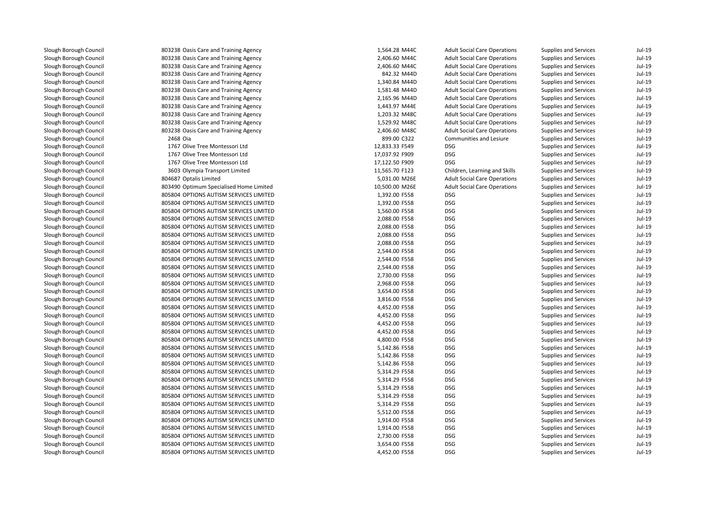| 803238 Oasis Care and Training Agency   | 1,564.28 M44C  | <b>Adult Social Care Operations</b> | <b>Supplies and Services</b> | Jul-19   |
|-----------------------------------------|----------------|-------------------------------------|------------------------------|----------|
| 803238 Oasis Care and Training Agency   | 2,406.60 M44C  | <b>Adult Social Care Operations</b> | <b>Supplies and Services</b> | Jul-19   |
| 803238 Oasis Care and Training Agency   | 2,406.60 M44C  | <b>Adult Social Care Operations</b> | <b>Supplies and Services</b> | Jul-19   |
| 803238 Oasis Care and Training Agency   | 842.32 M44D    | <b>Adult Social Care Operations</b> | Supplies and Services        | Jul-19   |
| 803238 Oasis Care and Training Agency   | 1,340.84 M44D  | <b>Adult Social Care Operations</b> | <b>Supplies and Services</b> | Jul-19   |
| 803238 Oasis Care and Training Agency   | 1,581.48 M44D  | <b>Adult Social Care Operations</b> | <b>Supplies and Services</b> | Jul-19   |
| 803238 Oasis Care and Training Agency   | 2,165.96 M44D  | <b>Adult Social Care Operations</b> | <b>Supplies and Services</b> | Jul-19   |
| 803238 Oasis Care and Training Agency   | 1,443.97 M44E  | <b>Adult Social Care Operations</b> | <b>Supplies and Services</b> | Jul-19   |
| 803238 Oasis Care and Training Agency   | 1,203.32 M48C  | <b>Adult Social Care Operations</b> | <b>Supplies and Services</b> | Jul-19   |
| 803238 Oasis Care and Training Agency   | 1,529.92 M48C  | <b>Adult Social Care Operations</b> | <b>Supplies and Services</b> | Jul-19   |
| 803238 Oasis Care and Training Agency   | 2,406.60 M48C  | <b>Adult Social Care Operations</b> | <b>Supplies and Services</b> | Jul-19   |
| 2468 Oia                                | 899.00 C322    | Communities and Lesiure             | <b>Supplies and Services</b> | Jul-19   |
| 1767 Olive Tree Montessori Ltd          | 12,833.33 F549 | <b>DSG</b>                          | <b>Supplies and Services</b> | Jul-19   |
| 1767 Olive Tree Montessori Ltd          | 17,037.92 F909 | <b>DSG</b>                          | Supplies and Services        | Jul-19   |
| 1767 Olive Tree Montessori Ltd          | 17,122.50 F909 | <b>DSG</b>                          | <b>Supplies and Services</b> | Jul-19   |
| 3603 Olympia Transport Limited          | 11,565.70 F123 | Children, Learning and Skills       | <b>Supplies and Services</b> | Jul-19   |
| 804687 Optalis Limited                  | 5,031.00 M26E  | <b>Adult Social Care Operations</b> | <b>Supplies and Services</b> | Jul-19   |
| 803490 Optimum Specialised Home Limited | 10,500.00 M26E | <b>Adult Social Care Operations</b> | <b>Supplies and Services</b> | Jul-19   |
| 805804 OPTIONS AUTISM SERVICES LIMITED  | 1,392.00 F558  | <b>DSG</b>                          | <b>Supplies and Services</b> | Jul-19   |
| 805804 OPTIONS AUTISM SERVICES LIMITED  | 1,392.00 F558  | <b>DSG</b>                          | <b>Supplies and Services</b> | Jul-19   |
| 805804 OPTIONS AUTISM SERVICES LIMITED  | 1,560.00 F558  | <b>DSG</b>                          | <b>Supplies and Services</b> | Jul-19   |
| 805804 OPTIONS AUTISM SERVICES LIMITED  | 2,088.00 F558  | <b>DSG</b>                          | <b>Supplies and Services</b> | Jul-19   |
| 805804 OPTIONS AUTISM SERVICES LIMITED  | 2,088.00 F558  | <b>DSG</b>                          | Supplies and Services        | Jul-19   |
| 805804 OPTIONS AUTISM SERVICES LIMITED  | 2,088.00 F558  | <b>DSG</b>                          | <b>Supplies and Services</b> | Jul-19   |
| 805804 OPTIONS AUTISM SERVICES LIMITED  | 2,088.00 F558  | <b>DSG</b>                          | <b>Supplies and Services</b> | Jul-19   |
| 805804 OPTIONS AUTISM SERVICES LIMITED  | 2,544.00 F558  | <b>DSG</b>                          | <b>Supplies and Services</b> | Jul-19   |
| 805804 OPTIONS AUTISM SERVICES LIMITED  | 2,544.00 F558  | <b>DSG</b>                          | <b>Supplies and Services</b> | Jul-19   |
| 805804 OPTIONS AUTISM SERVICES LIMITED  | 2,544.00 F558  | <b>DSG</b>                          | <b>Supplies and Services</b> | Jul-19   |
| 805804 OPTIONS AUTISM SERVICES LIMITED  | 2,730.00 F558  | <b>DSG</b>                          | <b>Supplies and Services</b> | Jul-19   |
| 805804 OPTIONS AUTISM SERVICES LIMITED  | 2,968.00 F558  | <b>DSG</b>                          | <b>Supplies and Services</b> | Jul-19   |
| 805804 OPTIONS AUTISM SERVICES LIMITED  | 3,654.00 F558  | <b>DSG</b>                          | <b>Supplies and Services</b> | Jul-19   |
| 805804 OPTIONS AUTISM SERVICES LIMITED  | 3,816.00 F558  | <b>DSG</b>                          | <b>Supplies and Services</b> | Jul-19   |
| 805804 OPTIONS AUTISM SERVICES LIMITED  | 4,452.00 F558  | <b>DSG</b>                          | <b>Supplies and Services</b> | Jul-19   |
| 805804 OPTIONS AUTISM SERVICES LIMITED  | 4,452.00 F558  | <b>DSG</b>                          | <b>Supplies and Services</b> | Jul-19   |
| 805804 OPTIONS AUTISM SERVICES LIMITED  | 4,452.00 F558  | <b>DSG</b>                          | <b>Supplies and Services</b> | Jul-19   |
| 805804 OPTIONS AUTISM SERVICES LIMITED  | 4,452.00 F558  | <b>DSG</b>                          | <b>Supplies and Services</b> | Jul-19   |
| 805804 OPTIONS AUTISM SERVICES LIMITED  | 4,800.00 F558  | <b>DSG</b>                          | <b>Supplies and Services</b> | Jul-19   |
| 805804 OPTIONS AUTISM SERVICES LIMITED  | 5,142.86 F558  | <b>DSG</b>                          | <b>Supplies and Services</b> | Jul-19   |
| 805804 OPTIONS AUTISM SERVICES LIMITED  | 5,142.86 F558  | <b>DSG</b>                          | <b>Supplies and Services</b> | Jul-19   |
| 805804 OPTIONS AUTISM SERVICES LIMITED  | 5,142.86 F558  | <b>DSG</b>                          | <b>Supplies and Services</b> | Jul-19   |
| 805804 OPTIONS AUTISM SERVICES LIMITED  | 5,314.29 F558  | <b>DSG</b>                          | <b>Supplies and Services</b> | Jul-19   |
| 805804 OPTIONS AUTISM SERVICES LIMITED  | 5,314.29 F558  | <b>DSG</b>                          | <b>Supplies and Services</b> | Jul-19   |
| 805804 OPTIONS AUTISM SERVICES LIMITED  | 5,314.29 F558  | <b>DSG</b>                          | <b>Supplies and Services</b> | Jul-19   |
| 805804 OPTIONS AUTISM SERVICES LIMITED  | 5,314.29 F558  | <b>DSG</b>                          | Supplies and Services        | Jul-19   |
| 805804 OPTIONS AUTISM SERVICES LIMITED  | 5,314.29 F558  | <b>DSG</b>                          | <b>Supplies and Services</b> | Jul-19   |
| 805804 OPTIONS AUTISM SERVICES LIMITED  | 5,512.00 F558  | <b>DSG</b>                          | <b>Supplies and Services</b> | Jul-19   |
| 805804 OPTIONS AUTISM SERVICES LIMITED  | 1,914.00 F558  | <b>DSG</b>                          | <b>Supplies and Services</b> | Jul-19   |
| 805804 OPTIONS AUTISM SERVICES LIMITED  | 1,914.00 F558  | DSG                                 | Supplies and Services        | Jul-19   |
| 805804 OPTIONS AUTISM SERVICES LIMITED  | 2,730.00 F558  | <b>DSG</b>                          | <b>Supplies and Services</b> | Jul-19   |
| 805804 OPTIONS AUTISM SERVICES LIMITED  | 3,654.00 F558  | <b>DSG</b>                          | <b>Supplies and Services</b> | Jul-19   |
| 805804 OPTIONS AUTISM SERVICES LIMITED  | 4.452.00 F558  | <b>DSG</b>                          | Supplies and Services        | $Jul-19$ |
|                                         |                |                                     |                              |          |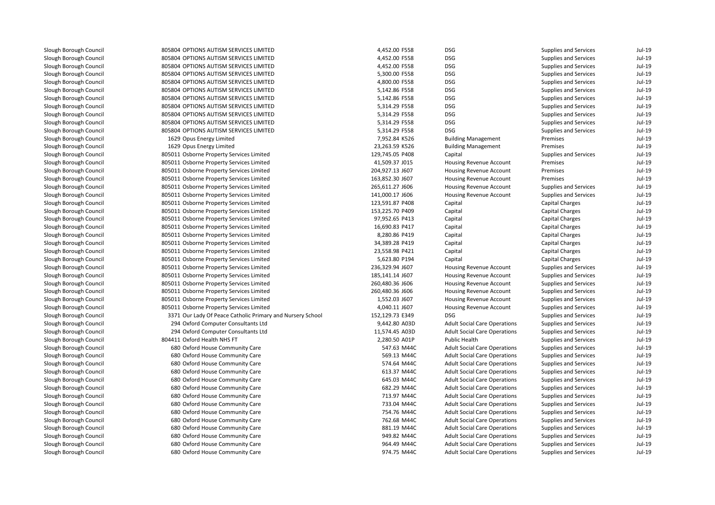| 805804 OPTIONS AUTISM SERVICES LIMITED                     | 4,452.00 F558   | <b>DSG</b>                          | Supplies and Services        | Jul-19   |
|------------------------------------------------------------|-----------------|-------------------------------------|------------------------------|----------|
| 805804 OPTIONS AUTISM SERVICES LIMITED                     | 4,452.00 F558   | <b>DSG</b>                          | Supplies and Services        | $Jul-19$ |
| 805804 OPTIONS AUTISM SERVICES LIMITED                     | 4,452.00 F558   | <b>DSG</b>                          | Supplies and Services        | $Jul-19$ |
| 805804 OPTIONS AUTISM SERVICES LIMITED                     | 5,300.00 F558   | <b>DSG</b>                          | <b>Supplies and Services</b> | $Jul-19$ |
| 805804 OPTIONS AUTISM SERVICES LIMITED                     | 4,800.00 F558   | <b>DSG</b>                          | <b>Supplies and Services</b> | $Jul-19$ |
| 805804 OPTIONS AUTISM SERVICES LIMITED                     | 5,142.86 F558   | <b>DSG</b>                          | Supplies and Services        | $Jul-19$ |
| 805804 OPTIONS AUTISM SERVICES LIMITED                     | 5,142.86 F558   | <b>DSG</b>                          | Supplies and Services        | $Jul-19$ |
| 805804 OPTIONS AUTISM SERVICES LIMITED                     | 5,314.29 F558   | <b>DSG</b>                          | <b>Supplies and Services</b> | $Jul-19$ |
| 805804 OPTIONS AUTISM SERVICES LIMITED                     | 5,314.29 F558   | <b>DSG</b>                          | Supplies and Services        | $Jul-19$ |
| 805804 OPTIONS AUTISM SERVICES LIMITED                     | 5,314.29 F558   | <b>DSG</b>                          | Supplies and Services        | $Jul-19$ |
| 805804 OPTIONS AUTISM SERVICES LIMITED                     | 5,314.29 F558   | <b>DSG</b>                          | Supplies and Services        | $Jul-19$ |
| 1629 Opus Energy Limited                                   | 7,952.84 K526   | <b>Building Management</b>          | Premises                     | $Jul-19$ |
| 1629 Opus Energy Limited                                   | 23,263.59 K526  | <b>Building Management</b>          | Premises                     | $Jul-19$ |
| 805011 Osborne Property Services Limited                   | 129,745.05 P408 | Capital                             | Supplies and Services        | $Jul-19$ |
| 805011 Osborne Property Services Limited                   | 41,509.37 J015  | Housing Revenue Account             | Premises                     | $Jul-19$ |
| 805011 Osborne Property Services Limited                   | 204,927.13 J607 | Housing Revenue Account             | Premises                     | $Jul-19$ |
| 805011 Osborne Property Services Limited                   | 163,852.30 J607 | Housing Revenue Account             | Premises                     | $Jul-19$ |
| 805011 Osborne Property Services Limited                   | 265,611.27 J606 | Housing Revenue Account             | Supplies and Services        | $Jul-19$ |
| 805011 Osborne Property Services Limited                   | 141,000.17 J606 | Housing Revenue Account             | Supplies and Services        | $Jul-19$ |
| 805011 Osborne Property Services Limited                   | 123,591.87 P408 | Capital                             | Capital Charges              | $Jul-19$ |
| 805011 Osborne Property Services Limited                   | 153,225.70 P409 | Capital                             | <b>Capital Charges</b>       | $Jul-19$ |
| 805011 Osborne Property Services Limited                   | 97,952.65 P413  | Capital                             | Capital Charges              | $Jul-19$ |
| 805011 Osborne Property Services Limited                   | 16,690.83 P417  | Capital                             | Capital Charges              | $Jul-19$ |
| 805011 Osborne Property Services Limited                   | 8,280.86 P419   | Capital                             | Capital Charges              | $Jul-19$ |
| 805011 Osborne Property Services Limited                   | 34,389.28 P419  | Capital                             | <b>Capital Charges</b>       | $Jul-19$ |
| 805011 Osborne Property Services Limited                   | 23,558.98 P421  | Capital                             | Capital Charges              | $Jul-19$ |
| 805011 Osborne Property Services Limited                   | 5,623.80 P194   | Capital                             | <b>Capital Charges</b>       | $Jul-19$ |
| 805011 Osborne Property Services Limited                   | 236,329.94 J607 | Housing Revenue Account             | Supplies and Services        | $Jul-19$ |
| 805011 Osborne Property Services Limited                   | 185,141.14 J607 | <b>Housing Revenue Account</b>      | <b>Supplies and Services</b> | $Jul-19$ |
| 805011 Osborne Property Services Limited                   | 260,480.36 J606 | Housing Revenue Account             | Supplies and Services        | $Jul-19$ |
| 805011 Osborne Property Services Limited                   | 260,480.36 J606 | Housing Revenue Account             | Supplies and Services        | $Jul-19$ |
| 805011 Osborne Property Services Limited                   | 1,552.03 J607   | Housing Revenue Account             | Supplies and Services        | $Jul-19$ |
| 805011 Osborne Property Services Limited                   | 4,040.11 J607   | Housing Revenue Account             | Supplies and Services        | $Jul-19$ |
| 3371 Our Lady Of Peace Catholic Primary and Nursery School | 152,129.73 E349 | <b>DSG</b>                          | Supplies and Services        | $Jul-19$ |
| 294 Oxford Computer Consultants Ltd                        | 9,442.80 A03D   | <b>Adult Social Care Operations</b> | <b>Supplies and Services</b> | $Jul-19$ |
| 294 Oxford Computer Consultants Ltd                        | 11,574.45 A03D  | <b>Adult Social Care Operations</b> | <b>Supplies and Services</b> | $Jul-19$ |
| 804411 Oxford Health NHS FT                                | 2,280.50 A01P   | <b>Public Health</b>                | Supplies and Services        | $Jul-19$ |
| 680 Oxford House Community Care                            | 547.63 M44C     | <b>Adult Social Care Operations</b> | <b>Supplies and Services</b> | $Jul-19$ |
| 680 Oxford House Community Care                            | 569.13 M44C     | <b>Adult Social Care Operations</b> | Supplies and Services        | $Jul-19$ |
| 680 Oxford House Community Care                            | 574.64 M44C     | <b>Adult Social Care Operations</b> | <b>Supplies and Services</b> | $Jul-19$ |
| 680 Oxford House Community Care                            | 613.37 M44C     | <b>Adult Social Care Operations</b> | Supplies and Services        | $Jul-19$ |
| 680 Oxford House Community Care                            | 645.03 M44C     | <b>Adult Social Care Operations</b> | Supplies and Services        | $Jul-19$ |
| 680 Oxford House Community Care                            | 682.29 M44C     | <b>Adult Social Care Operations</b> | Supplies and Services        | $Jul-19$ |
| 680 Oxford House Community Care                            | 713.97 M44C     | <b>Adult Social Care Operations</b> | <b>Supplies and Services</b> | $Jul-19$ |
| 680 Oxford House Community Care                            | 733.04 M44C     | <b>Adult Social Care Operations</b> | Supplies and Services        | $Jul-19$ |
| 680 Oxford House Community Care                            | 754.76 M44C     | <b>Adult Social Care Operations</b> | Supplies and Services        | $Jul-19$ |
| 680 Oxford House Community Care                            | 762.68 M44C     | <b>Adult Social Care Operations</b> | Supplies and Services        | $Jul-19$ |
| 680 Oxford House Community Care                            | 881.19 M44C     | <b>Adult Social Care Operations</b> | Supplies and Services        | $Jul-19$ |
| 680 Oxford House Community Care                            | 949.82 M44C     | <b>Adult Social Care Operations</b> | Supplies and Services        | $Jul-19$ |
| 680 Oxford House Community Care                            | 964.49 M44C     | <b>Adult Social Care Operations</b> | Supplies and Services        | $Jul-19$ |
| 680 Oxford House Community Care                            | 974.75 M44C     | <b>Adult Social Care Operations</b> | <b>Supplies and Services</b> | $Jul-19$ |
|                                                            |                 |                                     |                              |          |

| ΈD                    | 4,452.00 F558   | DSG                                 | <b>Supplies and Services</b> | Jul-19   |
|-----------------------|-----------------|-------------------------------------|------------------------------|----------|
| ED                    | 4,452.00 F558   | <b>DSG</b>                          | <b>Supplies and Services</b> | $Jul-19$ |
| ED                    | 4,452.00 F558   | <b>DSG</b>                          | <b>Supplies and Services</b> | $Jul-19$ |
| ED                    | 5,300.00 F558   | DSG                                 | Supplies and Services        | Jul-19   |
| ED                    | 4,800.00 F558   | <b>DSG</b>                          | Supplies and Services        | Jul-19   |
| ED                    | 5,142.86 F558   | <b>DSG</b>                          | <b>Supplies and Services</b> | $Jul-19$ |
| ED                    | 5,142.86 F558   | <b>DSG</b>                          | <b>Supplies and Services</b> | Jul-19   |
| ED                    | 5,314.29 F558   | <b>DSG</b>                          | <b>Supplies and Services</b> | Jul-19   |
| ΈD                    | 5,314.29 F558   | DSG                                 | Supplies and Services        | Jul-19   |
| ED                    | 5,314.29 F558   | <b>DSG</b>                          | <b>Supplies and Services</b> | Jul-19   |
| ED                    | 5,314.29 F558   | <b>DSG</b>                          | <b>Supplies and Services</b> | Jul-19   |
|                       | 7,952.84 K526   | <b>Building Management</b>          | Premises                     | Jul-19   |
|                       | 23,263.59 K526  | <b>Building Management</b>          | Premises                     | $Jul-19$ |
| d                     | 129,745.05 P408 | Capital                             | <b>Supplies and Services</b> | Jul-19   |
| d                     | 41,509.37 J015  | Housing Revenue Account             | Premises                     | $Jul-19$ |
| d                     | 204,927.13 J607 | Housing Revenue Account             | Premises                     | Jul-19   |
| d                     | 163,852.30 J607 | Housing Revenue Account             | Premises                     | $Jul-19$ |
| d                     | 265,611.27 J606 | Housing Revenue Account             | <b>Supplies and Services</b> | $Jul-19$ |
| d                     | 141,000.17 J606 | Housing Revenue Account             | <b>Supplies and Services</b> | $Jul-19$ |
| d                     | 123,591.87 P408 | Capital                             | Capital Charges              | Jul-19   |
| d                     | 153,225.70 P409 | Capital                             | <b>Capital Charges</b>       | Jul-19   |
| d                     | 97,952.65 P413  | Capital                             | <b>Capital Charges</b>       | $Jul-19$ |
| d                     | 16,690.83 P417  | Capital                             | <b>Capital Charges</b>       | Jul-19   |
| d                     | 8,280.86 P419   | Capital                             | Capital Charges              | Jul-19   |
| d                     | 34,389.28 P419  | Capital                             | Capital Charges              | Jul-19   |
| d                     | 23,558.98 P421  | Capital                             | <b>Capital Charges</b>       | $Jul-19$ |
| d                     | 5,623.80 P194   | Capital                             | Capital Charges              | Jul-19   |
| d                     | 236,329.94 J607 | Housing Revenue Account             | Supplies and Services        | Jul-19   |
| d                     | 185,141.14 J607 | Housing Revenue Account             | Supplies and Services        | $Jul-19$ |
| d                     | 260,480.36 J606 | Housing Revenue Account             | <b>Supplies and Services</b> | $Jul-19$ |
| d                     | 260,480.36 J606 | Housing Revenue Account             | Supplies and Services        | Jul-19   |
| d                     | 1,552.03 J607   | Housing Revenue Account             | Supplies and Services        | Jul-19   |
| d                     | 4,040.11 J607   | Housing Revenue Account             | <b>Supplies and Services</b> | $Jul-19$ |
| ry and Nursery School | 152,129.73 E349 | <b>DSG</b>                          | <b>Supplies and Services</b> | $Jul-19$ |
|                       | 9,442.80 A03D   | <b>Adult Social Care Operations</b> | Supplies and Services        | Jul-19   |
|                       | 11,574.45 A03D  | <b>Adult Social Care Operations</b> | Supplies and Services        | Jul-19   |
|                       | 2,280.50 A01P   | <b>Public Health</b>                | Supplies and Services        | $Jul-19$ |
|                       | 547.63 M44C     | <b>Adult Social Care Operations</b> | <b>Supplies and Services</b> | $Jul-19$ |
|                       | 569.13 M44C     | <b>Adult Social Care Operations</b> | Supplies and Services        | Jul-19   |
|                       | 574.64 M44C     | <b>Adult Social Care Operations</b> | Supplies and Services        | Jul-19   |
|                       | 613.37 M44C     | <b>Adult Social Care Operations</b> | Supplies and Services        | $Jul-19$ |
|                       | 645.03 M44C     | <b>Adult Social Care Operations</b> | <b>Supplies and Services</b> | Jul-19   |
|                       | 682.29 M44C     | <b>Adult Social Care Operations</b> | <b>Supplies and Services</b> | Jul-19   |
|                       | 713.97 M44C     | <b>Adult Social Care Operations</b> | Supplies and Services        | Jul-19   |
|                       | 733.04 M44C     | <b>Adult Social Care Operations</b> | Supplies and Services        | Jul-19   |
|                       | 754.76 M44C     | <b>Adult Social Care Operations</b> | Supplies and Services        | Jul-19   |
|                       | 762.68 M44C     | <b>Adult Social Care Operations</b> | Supplies and Services        | Jul-19   |
|                       | 881.19 M44C     | <b>Adult Social Care Operations</b> | Supplies and Services        | Jul-19   |
|                       | 949.82 M44C     | <b>Adult Social Care Operations</b> | <b>Supplies and Services</b> | $Jul-19$ |
|                       | 964.49 M44C     | <b>Adult Social Care Operations</b> | <b>Supplies and Services</b> | $Jul-19$ |
|                       | 974.75 M44C     | <b>Adult Social Care Operations</b> | <b>Supplies and Services</b> | $Jul-19$ |
|                       |                 |                                     |                              |          |

|                        | <b>Supplies and Services</b> | Jul-19   |
|------------------------|------------------------------|----------|
|                        | <b>Supplies and Services</b> | $Jul-19$ |
|                        | <b>Supplies and Services</b> | Jul-19   |
|                        | <b>Supplies and Services</b> | Jul-19   |
|                        | <b>Supplies and Services</b> | Jul-19   |
|                        | <b>Supplies and Services</b> | Jul-19   |
|                        | <b>Supplies and Services</b> | Jul-19   |
|                        | <b>Supplies and Services</b> | Jul-19   |
|                        | Supplies and Services        | Jul-19   |
|                        | <b>Supplies and Services</b> | Jul-19   |
|                        | <b>Supplies and Services</b> | Jul-19   |
| nagement               | Premises                     | Jul-19   |
| nagement               | Premises                     | Jul-19   |
|                        | <b>Supplies and Services</b> | $Jul-19$ |
| enue Account           | Premises                     | Jul-19   |
| enue Account           | Premises                     | Jul-19   |
| enue Account           | Premises                     | Jul-19   |
| enue Account           | Supplies and Services        | Jul-19   |
| enue Account           | <b>Supplies and Services</b> | Jul-19   |
|                        | Capital Charges              | Jul-19   |
|                        | <b>Capital Charges</b>       | Jul-19   |
|                        | Capital Charges              | Jul-19   |
|                        | Capital Charges              | Jul-19   |
|                        | <b>Capital Charges</b>       | Jul-19   |
|                        | Capital Charges              | Jul-19   |
|                        | Capital Charges              | Jul-19   |
|                        | Capital Charges              | $Jul-19$ |
| enue Account           | <b>Supplies and Services</b> | Jul-19   |
| enue Account           | <b>Supplies and Services</b> | Jul-19   |
| enue Account           | <b>Supplies and Services</b> | Jul-19   |
| enue Account           | <b>Supplies and Services</b> | Jul-19   |
| enue Account           | <b>Supplies and Services</b> | Jul-19   |
| enue Account           | <b>Supplies and Services</b> | Jul-19   |
|                        | <b>Supplies and Services</b> | Jul-19   |
| <b>Care Operations</b> | <b>Supplies and Services</b> | Jul-19   |
| <b>Care Operations</b> | <b>Supplies and Services</b> | Jul-19   |
| h                      | <b>Supplies and Services</b> | Jul-19   |
| <b>Care Operations</b> | <b>Supplies and Services</b> | Jul-19   |
| <b>Care Operations</b> | <b>Supplies and Services</b> | Jul-19   |
| <b>Care Operations</b> | <b>Supplies and Services</b> | Jul-19   |
| <b>Care Operations</b> | <b>Supplies and Services</b> | Jul-19   |
| <b>Care Operations</b> | <b>Supplies and Services</b> | Jul-19   |
| <b>Care Operations</b> | <b>Supplies and Services</b> | Jul-19   |
| <b>Care Operations</b> | <b>Supplies and Services</b> | Jul-19   |
| <b>Care Operations</b> | <b>Supplies and Services</b> | Jul-19   |
| <b>Care Operations</b> | <b>Supplies and Services</b> | Jul-19   |
| <b>Care Operations</b> | <b>Supplies and Services</b> | Jul-19   |
| <b>Care Operations</b> | <b>Supplies and Services</b> | Jul-19   |
| <b>Care Operations</b> | <b>Supplies and Services</b> | Jul-19   |
| <b>Care Operations</b> | <b>Supplies and Services</b> | $Jul-19$ |
| Care Onerations        | Sunnlies and Services        | $L1-19$  |
|                        |                              |          |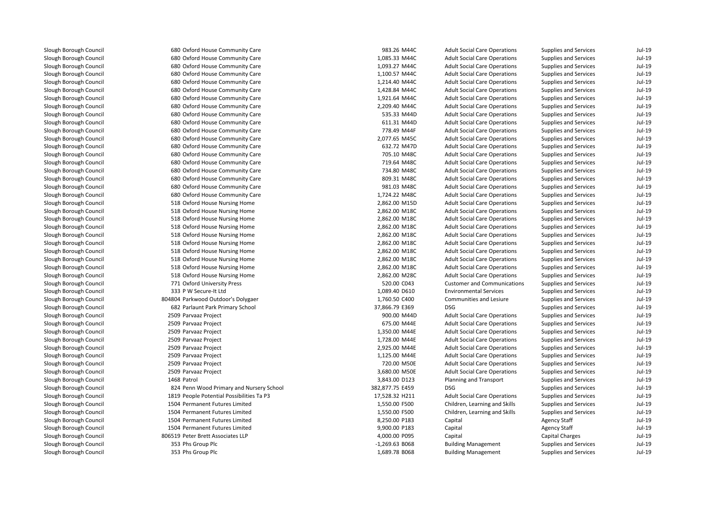| 680 Oxford House Community Care           | 983.26 M44C      | <b>Adult Social Care Operations</b> | Supplies and Services        | $Jul-19$ |
|-------------------------------------------|------------------|-------------------------------------|------------------------------|----------|
| 680 Oxford House Community Care           | 1,085.33 M44C    | <b>Adult Social Care Operations</b> | Supplies and Services        | Jul-19   |
| 680 Oxford House Community Care           | 1,093.27 M44C    | <b>Adult Social Care Operations</b> | Supplies and Services        | $Jul-19$ |
| 680 Oxford House Community Care           | 1,100.57 M44C    | <b>Adult Social Care Operations</b> | Supplies and Services        | $Jul-19$ |
| 680 Oxford House Community Care           | 1,214.40 M44C    | <b>Adult Social Care Operations</b> | <b>Supplies and Services</b> | $Jul-19$ |
| 680 Oxford House Community Care           | 1,428.84 M44C    | <b>Adult Social Care Operations</b> | <b>Supplies and Services</b> | $Jul-19$ |
| 680 Oxford House Community Care           | 1,921.64 M44C    | <b>Adult Social Care Operations</b> | Supplies and Services        | $Jul-19$ |
| 680 Oxford House Community Care           | 2,209.40 M44C    | <b>Adult Social Care Operations</b> | Supplies and Services        | $Jul-19$ |
| 680 Oxford House Community Care           | 535.33 M44D      | <b>Adult Social Care Operations</b> | Supplies and Services        | Jul-19   |
| 680 Oxford House Community Care           | 611.31 M44D      | <b>Adult Social Care Operations</b> | <b>Supplies and Services</b> | $Jul-19$ |
| 680 Oxford House Community Care           | 778.49 M44F      | <b>Adult Social Care Operations</b> | Supplies and Services        | $Jul-19$ |
| 680 Oxford House Community Care           | 2,077.65 M45C    | <b>Adult Social Care Operations</b> | Supplies and Services        | $Jul-19$ |
| 680 Oxford House Community Care           | 632.72 M47D      | <b>Adult Social Care Operations</b> | Supplies and Services        | $Jul-19$ |
| 680 Oxford House Community Care           | 705.10 M48C      | <b>Adult Social Care Operations</b> | Supplies and Services        | $Jul-19$ |
| 680 Oxford House Community Care           | 719.64 M48C      | <b>Adult Social Care Operations</b> | <b>Supplies and Services</b> | $Jul-19$ |
| 680 Oxford House Community Care           | 734.80 M48C      | <b>Adult Social Care Operations</b> | Supplies and Services        | $Jul-19$ |
| 680 Oxford House Community Care           | 809.31 M48C      | <b>Adult Social Care Operations</b> | Supplies and Services        | $Jul-19$ |
| 680 Oxford House Community Care           | 981.03 M48C      | <b>Adult Social Care Operations</b> | Supplies and Services        | $Jul-19$ |
| 680 Oxford House Community Care           | 1,724.22 M48C    | <b>Adult Social Care Operations</b> | Supplies and Services        | $Jul-19$ |
| 518 Oxford House Nursing Home             | 2,862.00 M15D    | <b>Adult Social Care Operations</b> | Supplies and Services        | $Jul-19$ |
| 518 Oxford House Nursing Home             | 2,862.00 M18C    | <b>Adult Social Care Operations</b> | <b>Supplies and Services</b> | $Jul-19$ |
| 518 Oxford House Nursing Home             | 2,862.00 M18C    | <b>Adult Social Care Operations</b> | Supplies and Services        | $Jul-19$ |
| 518 Oxford House Nursing Home             | 2,862.00 M18C    | <b>Adult Social Care Operations</b> | Supplies and Services        | $Jul-19$ |
| 518 Oxford House Nursing Home             | 2,862.00 M18C    | <b>Adult Social Care Operations</b> | Supplies and Services        | $Jul-19$ |
| 518 Oxford House Nursing Home             | 2,862.00 M18C    | <b>Adult Social Care Operations</b> | Supplies and Services        | $Jul-19$ |
| 518 Oxford House Nursing Home             | 2,862.00 M18C    | <b>Adult Social Care Operations</b> | <b>Supplies and Services</b> | $Jul-19$ |
| 518 Oxford House Nursing Home             | 2,862.00 M18C    | <b>Adult Social Care Operations</b> | Supplies and Services        | $Jul-19$ |
| 518 Oxford House Nursing Home             | 2,862.00 M18C    | <b>Adult Social Care Operations</b> | Supplies and Services        | $Jul-19$ |
| 518 Oxford House Nursing Home             | 2,862.00 M28C    | <b>Adult Social Care Operations</b> | <b>Supplies and Services</b> | $Jul-19$ |
| 771 Oxford University Press               | 520.00 C043      | <b>Customer and Communications</b>  | Supplies and Services        | $Jul-19$ |
| 333 P W Secure-It Ltd                     | 1,089.40 D610    | <b>Environmental Services</b>       | Supplies and Services        | $Jul-19$ |
| 804804 Parkwood Outdoor's Dolygaer        | 1,760.50 C400    | Communities and Lesiure             | Supplies and Services        | $Jul-19$ |
| 682 Parlaunt Park Primary School          | 37,866.79 E369   | <b>DSG</b>                          | Supplies and Services        | $Jul-19$ |
| 2509 Parvaaz Project                      | 900.00 M44D      | <b>Adult Social Care Operations</b> | Supplies and Services        | $Jul-19$ |
| 2509 Parvaaz Project                      | 675.00 M44E      | <b>Adult Social Care Operations</b> | Supplies and Services        | $Jul-19$ |
| 2509 Parvaaz Project                      | 1,350.00 M44E    | <b>Adult Social Care Operations</b> | <b>Supplies and Services</b> | $Jul-19$ |
| 2509 Parvaaz Project                      | 1,728.00 M44E    | <b>Adult Social Care Operations</b> | Supplies and Services        | $Jul-19$ |
| 2509 Parvaaz Project                      | 2,925.00 M44E    | <b>Adult Social Care Operations</b> | Supplies and Services        | $Jul-19$ |
| 2509 Parvaaz Project                      | 1,125.00 M44E    | <b>Adult Social Care Operations</b> | Supplies and Services        | $Jul-19$ |
| 2509 Parvaaz Project                      | 720.00 M50E      | <b>Adult Social Care Operations</b> | <b>Supplies and Services</b> | $Jul-19$ |
| 2509 Parvaaz Project                      | 3,680.00 M50E    | <b>Adult Social Care Operations</b> | Supplies and Services        | $Jul-19$ |
| 1468 Patrol                               | 3,843.00 D123    | Planning and Transport              | Supplies and Services        | $Jul-19$ |
| 824 Penn Wood Primary and Nursery School  | 382,877.75 E459  | <b>DSG</b>                          | Supplies and Services        | $Jul-19$ |
| 1819 People Potential Possibilities Ta P3 | 17,528.32 H211   | <b>Adult Social Care Operations</b> | <b>Supplies and Services</b> | $Jul-19$ |
| 1504 Permanent Futures Limited            | 1,550.00 F500    | Children, Learning and Skills       | Supplies and Services        | $Jul-19$ |
| 1504 Permanent Futures Limited            | 1,550.00 F500    | Children, Learning and Skills       | Supplies and Services        | $Jul-19$ |
| 1504 Permanent Futures Limited            | 8,250.00 P183    | Capital                             | <b>Agency Staff</b>          | $Jul-19$ |
| 1504 Permanent Futures Limited            | 9,900.00 P183    | Capital                             | <b>Agency Staff</b>          | $Jul-19$ |
| 806519 Peter Brett Associates LLP         | 4,000.00 P095    | Capital                             | <b>Capital Charges</b>       | $Jul-19$ |
| 353 Phs Group Plc                         | $-1,269.63$ B068 | <b>Building Management</b>          | Supplies and Services        | $Jul-19$ |
| 353 Phs Group Plc                         | 1,689.78 B068    | <b>Building Management</b>          | <b>Supplies and Services</b> | $Jul-19$ |
|                                           |                  |                                     |                              |          |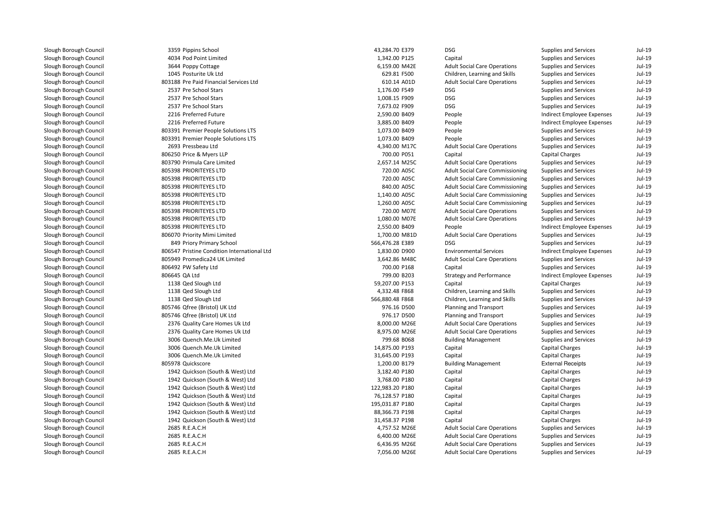| 3359 Pippins School                         | 43,284.70 E379  | <b>DSG</b>                             | Supplies and Services        | $Jul-19$ |
|---------------------------------------------|-----------------|----------------------------------------|------------------------------|----------|
| 4034 Pod Point Limited                      | 1,342.00 P125   | Capital                                | Supplies and Services        | $Jul-19$ |
| 3644 Poppy Cottage                          | 6,159.00 M42E   | <b>Adult Social Care Operations</b>    | Supplies and Services        | $Jul-19$ |
| 1045 Posturite Uk Ltd                       | 629.81 F500     | Children, Learning and Skills          | Supplies and Services        | $Jul-19$ |
| 803188 Pre Paid Financial Services Ltd      | 610.14 A01D     | <b>Adult Social Care Operations</b>    | Supplies and Services        | $Jul-19$ |
| 2537 Pre School Stars                       | 1,176.00 F549   | <b>DSG</b>                             | <b>Supplies and Services</b> | $Jul-19$ |
| 2537 Pre School Stars                       | 1,008.15 F909   | <b>DSG</b>                             | Supplies and Services        | $Jul-19$ |
| 2537 Pre School Stars                       | 7,673.02 F909   | <b>DSG</b>                             | <b>Supplies and Services</b> | $Jul-19$ |
| 2216 Preferred Future                       | 2,590.00 B409   | People                                 | Indirect Employee Expenses   | $Jul-19$ |
| 2216 Preferred Future                       | 3,885.00 B409   | People                                 | Indirect Employee Expenses   | $Jul-19$ |
| 803391 Premier People Solutions LTS         | 1,073.00 B409   | People                                 | Supplies and Services        | $Jul-19$ |
| 803391 Premier People Solutions LTS         | 1,073.00 B409   | People                                 | Supplies and Services        | $Jul-19$ |
| 2693 Pressbeau Ltd                          | 4,340.00 M17C   | <b>Adult Social Care Operations</b>    | Supplies and Services        | $Jul-19$ |
| 806250 Price & Myers LLP                    | 700.00 P051     | Capital                                | Capital Charges              | $Jul-19$ |
| 803790 Primula Care Limited                 | 2,657.14 M25C   | <b>Adult Social Care Operations</b>    | Supplies and Services        | $Jul-19$ |
| 805398 PRIORITEYES LTD                      | 720.00 A05C     | <b>Adult Social Care Commissioning</b> | Supplies and Services        | $Jul-19$ |
| 805398 PRIORITEYES LTD                      | 720.00 A05C     | <b>Adult Social Care Commissioning</b> | Supplies and Services        | $Jul-19$ |
| 805398 PRIORITEYES LTD                      | 840.00 A05C     | <b>Adult Social Care Commissioning</b> | Supplies and Services        | $Jul-19$ |
| 805398 PRIORITEYES LTD                      | 1,140.00 A05C   | <b>Adult Social Care Commissioning</b> | Supplies and Services        | $Jul-19$ |
| 805398 PRIORITEYES LTD                      | 1,260.00 A05C   | <b>Adult Social Care Commissioning</b> | <b>Supplies and Services</b> | $Jul-19$ |
| 805398 PRIORITEYES LTD                      | 720.00 M07E     | <b>Adult Social Care Operations</b>    | Supplies and Services        | $Jul-19$ |
| 805398 PRIORITEYES LTD                      | 1,080.00 M07E   | <b>Adult Social Care Operations</b>    | Supplies and Services        | $Jul-19$ |
| 805398 PRIORITEYES LTD                      | 2,550.00 B409   | People                                 | Indirect Employee Expenses   | $Jul-19$ |
| 806070 Priority Mimi Limited                | 1,700.00 M81D   | <b>Adult Social Care Operations</b>    | Supplies and Services        | $Jul-19$ |
| 849 Priory Primary School                   | 566,476.28 E389 | <b>DSG</b>                             | Supplies and Services        | $Jul-19$ |
| 806547 Pristine Condition International Ltd | 1,830.00 D900   | <b>Environmental Services</b>          | Indirect Employee Expenses   | $Jul-19$ |
| 805949 Promedica24 UK Limited               | 3,642.86 M48C   | <b>Adult Social Care Operations</b>    | Supplies and Services        | $Jul-19$ |
| 806492 PW Safety Ltd                        | 700.00 P168     | Capital                                | Supplies and Services        | $Jul-19$ |
| 806645 QA Ltd                               | 799.00 B203     | <b>Strategy and Performance</b>        | Indirect Employee Expenses   | $Jul-19$ |
| 1138 Qed Slough Ltd                         | 59,207.00 P153  | Capital                                | Capital Charges              | $Jul-19$ |
| 1138 Qed Slough Ltd                         | 4,332.48 F868   | Children, Learning and Skills          | Supplies and Services        | $Jul-19$ |
| 1138 Qed Slough Ltd                         | 566,880.48 F868 | Children, Learning and Skills          | Supplies and Services        | $Jul-19$ |
| 805746 Qfree (Bristol) UK Ltd               | 976.16 D500     | Planning and Transport                 | <b>Supplies and Services</b> | $Jul-19$ |
| 805746 Qfree (Bristol) UK Ltd               | 976.17 D500     | Planning and Transport                 | <b>Supplies and Services</b> | $Jul-19$ |
| 2376 Quality Care Homes Uk Ltd              | 8,000.00 M26E   | <b>Adult Social Care Operations</b>    | Supplies and Services        | $Jul-19$ |
| 2376 Quality Care Homes Uk Ltd              | 8,975.00 M26E   | <b>Adult Social Care Operations</b>    | Supplies and Services        | $Jul-19$ |
| 3006 Quench.Me.Uk Limited                   | 799.68 B068     | <b>Building Management</b>             | <b>Supplies and Services</b> | $Jul-19$ |
| 3006 Quench.Me.Uk Limited                   | 14,875.00 P193  | Capital                                | <b>Capital Charges</b>       | $Jul-19$ |
| 3006 Quench.Me.Uk Limited                   | 31,645.00 P193  | Capital                                | <b>Capital Charges</b>       | $Jul-19$ |
| 805978 Quickscore                           | 1,200.00 B179   | <b>Building Management</b>             | <b>External Receipts</b>     | $Jul-19$ |
| 1942 Quickson (South & West) Ltd            | 3,182.40 P180   | Capital                                | <b>Capital Charges</b>       | $Jul-19$ |
| 1942 Quickson (South & West) Ltd            | 3,768.00 P180   | Capital                                | <b>Capital Charges</b>       | $Jul-19$ |
| 1942 Quickson (South & West) Ltd            | 122,983.20 P180 | Capital                                | <b>Capital Charges</b>       | $Jul-19$ |
| 1942 Quickson (South & West) Ltd            | 76,128.57 P180  | Capital                                | <b>Capital Charges</b>       | $Jul-19$ |
| 1942 Quickson (South & West) Ltd            | 195,031.87 P180 | Capital                                | <b>Capital Charges</b>       | $Jul-19$ |
| 1942 Quickson (South & West) Ltd            | 88,366.73 P198  | Capital                                | <b>Capital Charges</b>       | $Jul-19$ |
| 1942 Quickson (South & West) Ltd            | 31,458.37 P198  | Capital                                | <b>Capital Charges</b>       | $Jul-19$ |
| 2685 R.E.A.C.H                              | 4,757.52 M26E   | <b>Adult Social Care Operations</b>    | Supplies and Services        | $Jul-19$ |
| 2685 R.E.A.C.H                              | 6,400.00 M26E   | <b>Adult Social Care Operations</b>    | Supplies and Services        | $Jul-19$ |
| 2685 R.E.A.C.H                              | 6,436.95 M26E   | <b>Adult Social Care Operations</b>    | Supplies and Services        | $Jul-19$ |
| 2685 R.E.A.C.H                              | 7,056.00 M26E   | <b>Adult Social Care Operations</b>    | <b>Supplies and Services</b> | $Jul-19$ |
|                                             |                 |                                        |                              |          |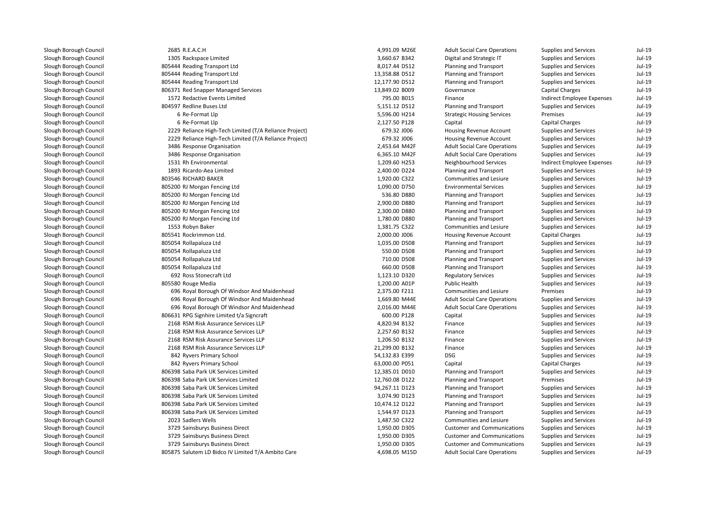| 2685 R.E.A.C.H                                         | 4,991.09 M26E                   | <b>Adult Social Care Operations</b>              | Supplies and Services                                 | Jul-19               |
|--------------------------------------------------------|---------------------------------|--------------------------------------------------|-------------------------------------------------------|----------------------|
| 1305 Rackspace Limited                                 | 3,660.67 B342                   | Digital and Strategic IT                         | <b>Supplies and Services</b>                          | $Jul-19$             |
| 805444 Reading Transport Ltd                           | 8,017.44 D512                   | Planning and Transport                           | Supplies and Services                                 | $Jul-19$             |
| 805444 Reading Transport Ltd                           | 13,358.88 D512                  | Planning and Transport                           | <b>Supplies and Services</b>                          | $Jul-19$             |
| 805444 Reading Transport Ltd                           | 12,177.90 D512                  | Planning and Transport                           | Supplies and Services                                 | $Jul-19$             |
| 806371 Red Snapper Managed Services                    | 13,849.02 B009                  | Governance                                       | <b>Capital Charges</b>                                | $Jul-19$             |
| 1572 Redactive Events Limited                          | 795.00 B015                     | Finance                                          | Indirect Employee Expenses                            | $Jul-19$             |
| 804597 Redline Buses Ltd                               | 5,151.12 D512                   | Planning and Transport                           | Supplies and Services                                 | $Jul-19$             |
| 6 Re-Format Llp                                        | 5,596.00 H214                   | <b>Strategic Housing Services</b>                | Premises                                              | $Jul-19$             |
| 6 Re-Format Llp                                        | 2,127.50 P128                   | Capital                                          | Capital Charges                                       | $Jul-19$             |
| 2229 Reliance High-Tech Limited (T/A Reliance Project) | 679.32 J006                     | Housing Revenue Account                          | Supplies and Services                                 | $Jul-19$             |
| 2229 Reliance High-Tech Limited (T/A Reliance Project) | 679.32 J006                     | Housing Revenue Account                          | Supplies and Services                                 | $Jul-19$             |
| 3486 Response Organisation                             | 2,453.64 M42F                   | <b>Adult Social Care Operations</b>              | <b>Supplies and Services</b>                          | $Jul-19$             |
| 3486 Response Organisation                             | 6,365.10 M42F                   | <b>Adult Social Care Operations</b>              | Supplies and Services                                 | $Jul-19$             |
| 1531 Rh Environmental                                  | 1,209.60 H253                   | Neighbourhood Services                           | Indirect Employee Expenses                            | $Jul-19$             |
| 1893 Ricardo-Aea Limited                               | 2,400.00 D224                   | Planning and Transport                           | Supplies and Services                                 | $Jul-19$             |
| 803546 RICHARD BAKER                                   | 1,920.00 C322                   | Communities and Lesiure                          | Supplies and Services                                 | $Jul-19$             |
| 805200 RJ Morgan Fencing Ltd                           | 1,090.00 D750                   | <b>Environmental Services</b>                    | Supplies and Services                                 | $Jul-19$             |
| 805200 RJ Morgan Fencing Ltd                           | 536.80 D880                     | Planning and Transport                           | <b>Supplies and Services</b>                          | $Jul-19$             |
| 805200 RJ Morgan Fencing Ltd                           | 2,900.00 D880                   | Planning and Transport                           | Supplies and Services                                 | $Jul-19$             |
| 805200 RJ Morgan Fencing Ltd                           | 2,300.00 D880                   | Planning and Transport                           | Supplies and Services                                 | $Jul-19$             |
| 805200 RJ Morgan Fencing Ltd                           | 1,780.00 D880                   | Planning and Transport                           | Supplies and Services                                 | $Jul-19$             |
| 1553 Robyn Baker                                       | 1,381.75 C322                   | Communities and Lesiure                          | <b>Supplies and Services</b>                          | $Jul-19$             |
| 805541 Rockrimmon Ltd.                                 | 2,000.00 J006                   | Housing Revenue Account                          | Capital Charges                                       | $Jul-19$             |
| 805054 Rollapaluza Ltd                                 | 1,035.00 D508                   | Planning and Transport                           | Supplies and Services                                 | $Jul-19$             |
| 805054 Rollapaluza Ltd                                 | 550.00 D508                     | Planning and Transport                           | Supplies and Services                                 | $Jul-19$             |
| 805054 Rollapaluza Ltd                                 | 710.00 D508                     | Planning and Transport                           | <b>Supplies and Services</b>                          | $Jul-19$             |
| 805054 Rollapaluza Ltd                                 | 660.00 D508                     | Planning and Transport                           | Supplies and Services                                 | $Jul-19$             |
| 692 Ross Stonecraft Ltd                                | 1,123.10 D320                   | <b>Regulatory Services</b>                       | Supplies and Services                                 | $Jul-19$             |
| 805580 Rouge Media                                     | 1,200.00 A01P                   | <b>Public Health</b>                             | <b>Supplies and Services</b>                          | $Jul-19$             |
| 696 Royal Borough Of Windsor And Maidenhead            | 2,375.00 F211                   | Communities and Lesiure                          | Premises                                              | $Jul-19$             |
| 696 Royal Borough Of Windsor And Maidenhead            | 1,669.80 M44E                   | <b>Adult Social Care Operations</b>              | Supplies and Services                                 | $Jul-19$             |
| 696 Royal Borough Of Windsor And Maidenhead            | 2,016.00 M44E                   | <b>Adult Social Care Operations</b>              | Supplies and Services                                 | $Jul-19$             |
| 806631 RPG Signhire Limited t/a Signcraft              | 600.00 P128                     | Capital                                          | Supplies and Services                                 | $Jul-19$             |
| 2168 RSM Risk Assurance Services LLP                   | 4,820.94 B132                   | Finance                                          | Supplies and Services                                 | $Jul-19$             |
| 2168 RSM Risk Assurance Services LLP                   | 2,257.60 B132                   | Finance                                          | <b>Supplies and Services</b>                          | $Jul-19$             |
| 2168 RSM Risk Assurance Services LLP                   | 1,206.50 B132                   | Finance                                          | Supplies and Services                                 | $Jul-19$             |
| 2168 RSM Risk Assurance Services LLP                   | 21,299.00 B132                  | Finance                                          | <b>Supplies and Services</b>                          | $Jul-19$             |
| 842 Ryvers Primary School                              | 54,132.83 E399                  | <b>DSG</b>                                       | Supplies and Services                                 | $Jul-19$             |
| 842 Ryvers Primary School                              | 63,000.00 P051                  | Capital                                          | <b>Capital Charges</b>                                | $Jul-19$             |
| 806398 Saba Park UK Services Limited                   | 12,385.01 D010                  | Planning and Transport                           | Supplies and Services                                 | $Jul-19$             |
| 806398 Saba Park UK Services Limited                   | 12,760.08 D122                  | Planning and Transport                           | Premises                                              | $Jul-19$             |
| 806398 Saba Park UK Services Limited                   |                                 |                                                  |                                                       | $Jul-19$             |
| 806398 Saba Park UK Services Limited                   | 94,267.11 D123<br>3,074.90 D123 | Planning and Transport<br>Planning and Transport | Supplies and Services<br><b>Supplies and Services</b> | $Jul-19$             |
|                                                        |                                 |                                                  |                                                       | $Jul-19$             |
| 806398 Saba Park UK Services Limited                   | 10,474.12 D122                  | Planning and Transport                           | Supplies and Services                                 |                      |
| 806398 Saba Park UK Services Limited                   | 1,544.97 D123                   | Planning and Transport                           | Supplies and Services                                 | $Jul-19$             |
| 2023 Sadlers Wells                                     | 1,487.50 C322                   | Communities and Lesiure                          | Supplies and Services                                 | $Jul-19$             |
| 3729 Sainsburys Business Direct                        | 1,950.00 D305                   | <b>Customer and Communications</b>               | Supplies and Services                                 | $Jul-19$<br>$Jul-19$ |
| 3729 Sainsburys Business Direct                        | 1,950.00 D305                   | <b>Customer and Communications</b>               | Supplies and Services                                 |                      |
| 3729 Sainsburys Business Direct                        | 1,950.00 D305                   | <b>Customer and Communications</b>               | Supplies and Services                                 | $Jul-19$             |
| 805875 Salutem LD Bidco IV Limited T/A Ambito Care     | 4,698.05 M15D                   | <b>Adult Social Care Operations</b>              | <b>Supplies and Services</b>                          | $Jul-19$             |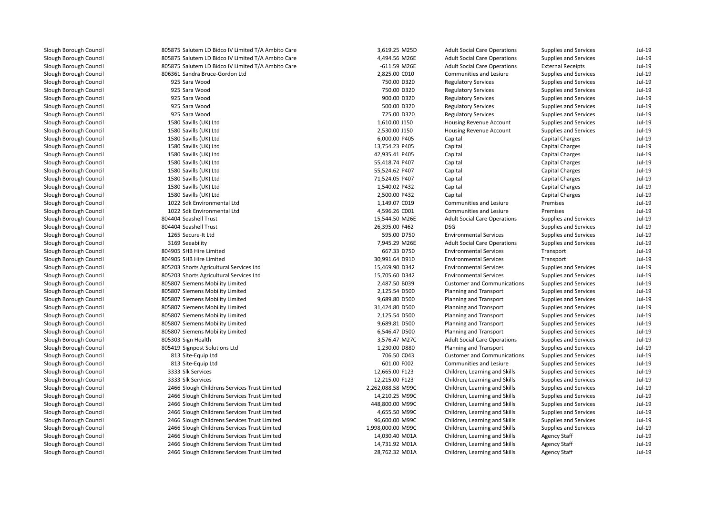| 805875 Salutem LD Bidco IV Limited T/A Ambito Care | 3,619.25 M25D     | <b>Adult Social Care Operations</b> | Supplies and Services        | $Jul-19$ |
|----------------------------------------------------|-------------------|-------------------------------------|------------------------------|----------|
| 805875 Salutem LD Bidco IV Limited T/A Ambito Care | 4,494.56 M26E     | <b>Adult Social Care Operations</b> | Supplies and Services        | $Jul-19$ |
| 805875 Salutem LD Bidco IV Limited T/A Ambito Care | $-611.59$ M26E    | <b>Adult Social Care Operations</b> | <b>External Receipts</b>     | $Jul-19$ |
| 806361 Sandra Bruce-Gordon Ltd                     | 2,825.00 C010     | Communities and Lesiure             | <b>Supplies and Services</b> | $Jul-19$ |
| 925 Sara Wood                                      | 750.00 D320       | <b>Regulatory Services</b>          | Supplies and Services        | $Jul-19$ |
| 925 Sara Wood                                      | 750.00 D320       | <b>Regulatory Services</b>          | Supplies and Services        | $Jul-19$ |
| 925 Sara Wood                                      | 900.00 D320       | <b>Regulatory Services</b>          | Supplies and Services        | $Jul-19$ |
| 925 Sara Wood                                      | 500.00 D320       | <b>Regulatory Services</b>          | Supplies and Services        | $Jul-19$ |
| 925 Sara Wood                                      | 725.00 D320       | <b>Regulatory Services</b>          | Supplies and Services        | $Jul-19$ |
| 1580 Savills (UK) Ltd                              | 1,610.00 J150     | Housing Revenue Account             | Supplies and Services        | $Jul-19$ |
| 1580 Savills (UK) Ltd                              | 2,530.00 J150     | Housing Revenue Account             | Supplies and Services        | $Jul-19$ |
| 1580 Savills (UK) Ltd                              | 6,000.00 P405     | Capital                             | <b>Capital Charges</b>       | $Jul-19$ |
| 1580 Savills (UK) Ltd                              | 13,754.23 P405    | Capital                             | <b>Capital Charges</b>       | $Jul-19$ |
| 1580 Savills (UK) Ltd                              | 42,935.41 P405    | Capital                             | Capital Charges              | $Jul-19$ |
| 1580 Savills (UK) Ltd                              | 55,418.74 P407    | Capital                             | <b>Capital Charges</b>       | $Jul-19$ |
| 1580 Savills (UK) Ltd                              | 55,524.62 P407    | Capital                             | <b>Capital Charges</b>       | $Jul-19$ |
| 1580 Savills (UK) Ltd                              | 71,524.05 P407    | Capital                             | <b>Capital Charges</b>       | $Jul-19$ |
| 1580 Savills (UK) Ltd                              | 1,540.02 P432     | Capital                             | Capital Charges              | $Jul-19$ |
| 1580 Savills (UK) Ltd                              | 2,500.00 P432     | Capital                             | <b>Capital Charges</b>       | $Jul-19$ |
| 1022 Sdk Environmental Ltd                         | 1,149.07 C019     | Communities and Lesiure             | Premises                     | $Jul-19$ |
| 1022 Sdk Environmental Ltd                         | 4,596.26 C001     | Communities and Lesiure             | Premises                     | $Jul-19$ |
| 804404 Seashell Trust                              | 15,544.50 M26E    | <b>Adult Social Care Operations</b> | Supplies and Services        | $Jul-19$ |
| 804404 Seashell Trust                              | 26,395.00 F462    | <b>DSG</b>                          | Supplies and Services        | $Jul-19$ |
| 1265 Secure-It Ltd                                 | 595.00 D750       | <b>Environmental Services</b>       | Supplies and Services        | $Jul-19$ |
| 3169 Seeability                                    | 7,945.29 M26E     | <b>Adult Social Care Operations</b> | Supplies and Services        | $Jul-19$ |
| 804905 SHB Hire Limited                            | 667.33 D750       | <b>Environmental Services</b>       | Transport                    | $Jul-19$ |
| 804905 SHB Hire Limited                            | 30,991.64 D910    | <b>Environmental Services</b>       | Transport                    | $Jul-19$ |
| 805203 Shorts Agricultural Services Ltd            | 15,469.90 D342    | <b>Environmental Services</b>       | Supplies and Services        | $Jul-19$ |
| 805203 Shorts Agricultural Services Ltd            | 15,705.60 D342    | <b>Environmental Services</b>       | Supplies and Services        | $Jul-19$ |
| 805807 Siemens Mobility Limited                    | 2,487.50 B039     | <b>Customer and Communications</b>  | Supplies and Services        | $Jul-19$ |
| 805807 Siemens Mobility Limited                    | 2,125.54 D500     | Planning and Transport              | Supplies and Services        | $Jul-19$ |
| 805807 Siemens Mobility Limited                    | 9,689.80 D500     | Planning and Transport              | <b>Supplies and Services</b> | $Jul-19$ |
| 805807 Siemens Mobility Limited                    | 31,424.80 D500    | Planning and Transport              | Supplies and Services        | $Jul-19$ |
| 805807 Siemens Mobility Limited                    | 2,125.54 D500     | Planning and Transport              | <b>Supplies and Services</b> | $Jul-19$ |
| 805807 Siemens Mobility Limited                    | 9,689.81 D500     | Planning and Transport              | Supplies and Services        | $Jul-19$ |
| 805807 Siemens Mobility Limited                    | 6,546.47 D500     | Planning and Transport              | Supplies and Services        | $Jul-19$ |
| 805303 Sign Health                                 | 3,576.47 M27C     | <b>Adult Social Care Operations</b> | Supplies and Services        | $Jul-19$ |
| 805419 Signpost Solutions Ltd                      | 1,230.00 D880     | Planning and Transport              | Supplies and Services        | $Jul-19$ |
| 813 Site-Equip Ltd                                 | 706.50 C043       | <b>Customer and Communications</b>  | Supplies and Services        | $Jul-19$ |
| 813 Site-Equip Ltd                                 | 601.00 F002       | Communities and Lesiure             | Supplies and Services        | $Jul-19$ |
| 3333 Slk Services                                  | 12,665.00 F123    | Children, Learning and Skills       | Supplies and Services        | $Jul-19$ |
| 3333 Slk Services                                  | 12,215.00 F123    | Children, Learning and Skills       | Supplies and Services        | $Jul-19$ |
| 2466 Slough Childrens Services Trust Limited       | 2,262,088.58 M99C | Children, Learning and Skills       | Supplies and Services        | $Jul-19$ |
| 2466 Slough Childrens Services Trust Limited       | 14,210.25 M99C    | Children, Learning and Skills       | Supplies and Services        | $Jul-19$ |
| 2466 Slough Childrens Services Trust Limited       | 448,800.00 M99C   | Children, Learning and Skills       | Supplies and Services        | $Jul-19$ |
| 2466 Slough Childrens Services Trust Limited       | 4,655.50 M99C     | Children, Learning and Skills       | Supplies and Services        | $Jul-19$ |
| 2466 Slough Childrens Services Trust Limited       | 96,600.00 M99C    | Children, Learning and Skills       | Supplies and Services        | $Jul-19$ |
| 2466 Slough Childrens Services Trust Limited       | 1,998,000.00 M99C | Children, Learning and Skills       | Supplies and Services        | $Jul-19$ |
| 2466 Slough Childrens Services Trust Limited       | 14,030.40 M01A    | Children, Learning and Skills       | <b>Agency Staff</b>          | $Jul-19$ |
| 2466 Slough Childrens Services Trust Limited       | 14,731.92 M01A    | Children, Learning and Skills       | <b>Agency Staff</b>          | $Jul-19$ |
| 2466 Slough Childrens Services Trust Limited       | 28,762.32 M01A    | Children, Learning and Skills       | <b>Agency Staff</b>          | $Jul-19$ |
|                                                    |                   |                                     |                              |          |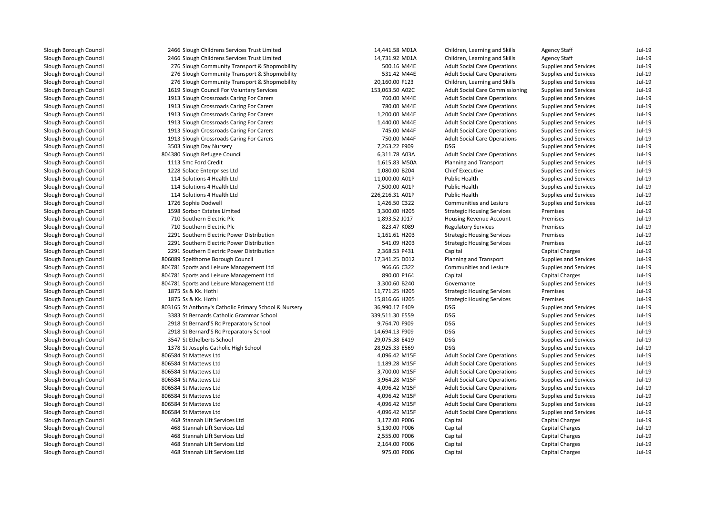| 2466 Slough Childrens Services Trust Limited          | 14,441.58 M01A  | Children, Learning and Skills          | <b>Agency Staff</b>          | Jul-19   |
|-------------------------------------------------------|-----------------|----------------------------------------|------------------------------|----------|
| 2466 Slough Childrens Services Trust Limited          | 14,731.92 M01A  | Children, Learning and Skills          | <b>Agency Staff</b>          | $Jul-19$ |
| 276 Slough Community Transport & Shopmobility         | 500.16 M44E     | <b>Adult Social Care Operations</b>    | Supplies and Services        | $Jul-19$ |
| 276 Slough Community Transport & Shopmobility         | 531.42 M44E     | <b>Adult Social Care Operations</b>    | Supplies and Services        | $Jul-19$ |
| 276 Slough Community Transport & Shopmobility         | 20,160.00 F123  | Children, Learning and Skills          | Supplies and Services        | $Jul-19$ |
| 1619 Slough Council For Voluntary Services            | 153,063.50 A02C | <b>Adult Social Care Commissioning</b> | Supplies and Services        | $Jul-19$ |
| 1913 Slough Crossroads Caring For Carers              | 760.00 M44E     | <b>Adult Social Care Operations</b>    | Supplies and Services        | $Jul-19$ |
| 1913 Slough Crossroads Caring For Carers              | 780.00 M44E     | <b>Adult Social Care Operations</b>    | Supplies and Services        | $Jul-19$ |
| 1913 Slough Crossroads Caring For Carers              | 1,200.00 M44E   | <b>Adult Social Care Operations</b>    | Supplies and Services        | $Jul-19$ |
| 1913 Slough Crossroads Caring For Carers              | 1,440.00 M44E   | <b>Adult Social Care Operations</b>    | Supplies and Services        | $Jul-19$ |
| 1913 Slough Crossroads Caring For Carers              | 745.00 M44F     | <b>Adult Social Care Operations</b>    | Supplies and Services        | $Jul-19$ |
| 1913 Slough Crossroads Caring For Carers              | 750.00 M44F     | <b>Adult Social Care Operations</b>    | Supplies and Services        | $Jul-19$ |
| 3503 Slough Day Nursery                               | 7,263.22 F909   | <b>DSG</b>                             | Supplies and Services        | $Jul-19$ |
| 804380 Slough Refugee Council                         | 6,311.78 A03A   | <b>Adult Social Care Operations</b>    | Supplies and Services        | $Jul-19$ |
| 1113 Smc Ford Credit                                  | 1,615.83 M50A   | Planning and Transport                 | Supplies and Services        | $Jul-19$ |
| 1228 Solace Enterprises Ltd                           | 1,080.00 B204   | <b>Chief Executive</b>                 | Supplies and Services        | $Jul-19$ |
| 114 Solutions 4 Health Ltd                            | 11,000.00 A01P  | <b>Public Health</b>                   | Supplies and Services        | $Jul-19$ |
| 114 Solutions 4 Health Ltd                            | 7,500.00 A01P   | <b>Public Health</b>                   | Supplies and Services        | $Jul-19$ |
| 114 Solutions 4 Health Ltd                            | 226,216.31 A01P | <b>Public Health</b>                   | Supplies and Services        | $Jul-19$ |
| 1726 Sophie Dodwell                                   | 1,426.50 C322   | Communities and Lesiure                | Supplies and Services        | $Jul-19$ |
| 1598 Sorbon Estates Limited                           | 3,300.00 H205   | <b>Strategic Housing Services</b>      | Premises                     | $Jul-19$ |
| 710 Southern Electric Plc                             | 1,893.52 J017   | Housing Revenue Account                | Premises                     | $Jul-19$ |
| 710 Southern Electric Plc                             | 823.47 K089     | <b>Regulatory Services</b>             | Premises                     | $Jul-19$ |
| 2291 Southern Electric Power Distribution             | 1,161.61 H203   | <b>Strategic Housing Services</b>      | Premises                     | $Jul-19$ |
| 2291 Southern Electric Power Distribution             | 541.09 H203     | <b>Strategic Housing Services</b>      | Premises                     | $Jul-19$ |
| 2291 Southern Electric Power Distribution             | 2,368.53 P431   | Capital                                | <b>Capital Charges</b>       | $Jul-19$ |
| 806089 Spelthorne Borough Council                     | 17,341.25 D012  | Planning and Transport                 | Supplies and Services        | $Jul-19$ |
| 804781 Sports and Leisure Management Ltd              | 966.66 C322     | Communities and Lesiure                | Supplies and Services        | $Jul-19$ |
| 804781 Sports and Leisure Management Ltd              | 890.00 P164     | Capital                                | <b>Capital Charges</b>       | $Jul-19$ |
| 804781 Sports and Leisure Management Ltd              | 3,300.60 B240   | Governance                             | <b>Supplies and Services</b> | $Jul-19$ |
| 1875 Ss & Kk. Hothi                                   | 11,771.25 H205  | <b>Strategic Housing Services</b>      | Premises                     | $Jul-19$ |
| 1875 Ss & Kk. Hothi                                   | 15,816.66 H205  | <b>Strategic Housing Services</b>      | Premises                     | $Jul-19$ |
| 803165 St Anthony's Catholic Primary School & Nursery | 36,990.17 E409  | <b>DSG</b>                             | Supplies and Services        | $Jul-19$ |
| 3383 St Bernards Catholic Grammar School              | 339,511.30 E559 | <b>DSG</b>                             | Supplies and Services        | $Jul-19$ |
| 2918 St Bernard'S Rc Preparatory School               | 9,764.70 F909   | <b>DSG</b>                             | Supplies and Services        | $Jul-19$ |
| 2918 St Bernard'S Rc Preparatory School               | 14,694.13 F909  | <b>DSG</b>                             | Supplies and Services        | $Jul-19$ |
| 3547 St Ethelberts School                             | 29,075.38 E419  | <b>DSG</b>                             | <b>Supplies and Services</b> | $Jul-19$ |
| 1378 St Josephs Catholic High School                  | 28,925.33 E569  | <b>DSG</b>                             | Supplies and Services        | $Jul-19$ |
| 806584 St Mattews Ltd                                 | 4,096.42 M15F   | <b>Adult Social Care Operations</b>    | <b>Supplies and Services</b> | $Jul-19$ |
| 806584 St Mattews Ltd                                 | 1,189.28 M15F   | <b>Adult Social Care Operations</b>    | Supplies and Services        | $Jul-19$ |
| 806584 St Mattews Ltd                                 | 3,700.00 M15F   | <b>Adult Social Care Operations</b>    | Supplies and Services        | $Jul-19$ |
| 806584 St Mattews Ltd                                 | 3,964.28 M15F   | <b>Adult Social Care Operations</b>    | Supplies and Services        | $Jul-19$ |
| 806584 St Mattews Ltd                                 | 4,096.42 M15F   | <b>Adult Social Care Operations</b>    | <b>Supplies and Services</b> | $Jul-19$ |
| 806584 St Mattews Ltd                                 | 4,096.42 M15F   | <b>Adult Social Care Operations</b>    | Supplies and Services        | $Jul-19$ |
| 806584 St Mattews Ltd                                 | 4,096.42 M15F   | <b>Adult Social Care Operations</b>    | Supplies and Services        | $Jul-19$ |
| 806584 St Mattews Ltd                                 | 4,096.42 M15F   | <b>Adult Social Care Operations</b>    | Supplies and Services        | $Jul-19$ |
| 468 Stannah Lift Services Ltd                         | 3,172.00 P006   | Capital                                | Capital Charges              | $Jul-19$ |
| 468 Stannah Lift Services Ltd                         | 5,130.00 P006   | Capital                                | <b>Capital Charges</b>       | $Jul-19$ |
| 468 Stannah Lift Services Ltd                         | 2,555.00 P006   | Capital                                | <b>Capital Charges</b>       | $Jul-19$ |
| 468 Stannah Lift Services Ltd                         | 2,164.00 P006   | Capital                                | <b>Capital Charges</b>       | $Jul-19$ |
| 468 Stannah Lift Services Ltd                         | 975.00 P006     | Capital                                | Capital Charges              | $Jul-19$ |
|                                                       |                 |                                        |                              |          |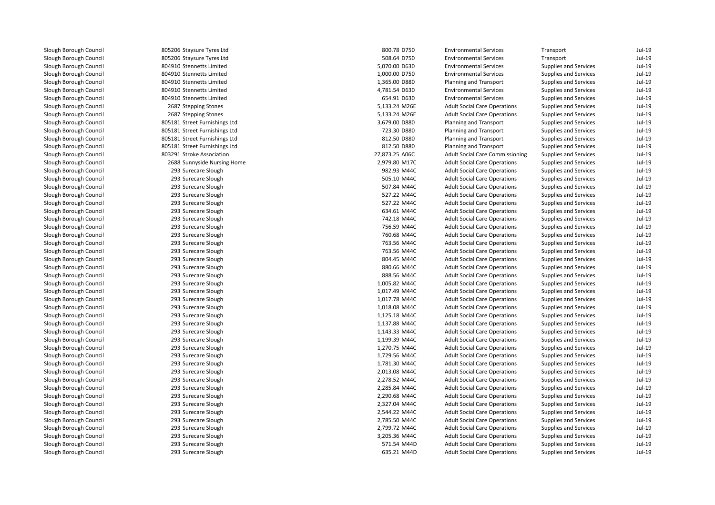805206 Staysure Tyres Ltd 805206 Staysure Tyres Ltd 804910 Stennetts Limited 804910 Stennetts Limited 804910 Stennetts Limited 804910 Stennetts Limited 804910 Stennetts Limited2687 Stepping Stones 2687 Stepping Stones 805181 Street Furnishings Ltd 805181 Street Furnishings Ltd 805181 Street Furnishings Ltd 805181 Street Furnishings Ltd 803291 Stroke Association 2688 Sunnyside Nursing Home 2,979.80 M17C 293 Surecare Slough 293 Surecare Slough 293 Surecare Slough 293 Surecare Slough 293 Surecare Slough 293 Surecare Slough 293 Surecare Slough 293 Surecare Slough 293 Surecare Slough 293 Surecare Slough 293 Surecare Slough 293 Surecare Slough 293 Surecare Slough 293 Surecare Slough 293 Surecare Slough 293 Surecare Slough 293 Surecare Slough 293 Surecare Slough 293 Surecare Slough 293 Surecare Slough 293 Surecare Slough 293 Surecare Slough 293 Surecare Slough 293 Surecare Slough 293 Surecare Slough 293 Surecare Slough 293 Surecare Slough 293 Surecare Slough 293 Surecare Slough 293 Surecare Slough 293 Surecare Slough 293 Surecare Slough 293 Surecare Slough 293 Surecare Slough 293 Surecare Slough293 Surecare Slough

| 6 Staysure Tyres Ltd     | 800.78 D750    | <b>Environmental Services</b>          | Transport                    | Jul-19   |
|--------------------------|----------------|----------------------------------------|------------------------------|----------|
| 6 Staysure Tyres Ltd     | 508.64 D750    | <b>Environmental Services</b>          | Transport                    | Jul-19   |
| 0 Stennetts Limited      | 5,070.00 D630  | <b>Environmental Services</b>          | Supplies and Services        | Jul-19   |
| 0 Stennetts Limited      | 1,000.00 D750  | <b>Environmental Services</b>          | <b>Supplies and Services</b> | $Jul-19$ |
| 0 Stennetts Limited      | 1,365.00 D880  | Planning and Transport                 | <b>Supplies and Services</b> | $Jul-19$ |
| 0 Stennetts Limited      | 4,781.54 D630  | <b>Environmental Services</b>          | <b>Supplies and Services</b> | $Jul-19$ |
| 0 Stennetts Limited      | 654.91 D630    | <b>Environmental Services</b>          | Supplies and Services        | Jul-19   |
| 7 Stepping Stones        | 5,133.24 M26E  | <b>Adult Social Care Operations</b>    | <b>Supplies and Services</b> | $Jul-19$ |
| 7 Stepping Stones        | 5,133.24 M26E  | <b>Adult Social Care Operations</b>    | Supplies and Services        | Jul-19   |
| 1 Street Furnishings Ltd | 3,679.00 D880  | Planning and Transport                 | Supplies and Services        | $Jul-19$ |
| 1 Street Furnishings Ltd | 723.30 D880    | Planning and Transport                 | <b>Supplies and Services</b> | Jul-19   |
| 1 Street Furnishings Ltd | 812.50 D880    | Planning and Transport                 | <b>Supplies and Services</b> | $Jul-19$ |
| 1 Street Furnishings Ltd | 812.50 D880    | Planning and Transport                 | Supplies and Services        | Jul-19   |
| 1 Stroke Association     | 27,873.25 A06C | <b>Adult Social Care Commissioning</b> | Supplies and Services        | Jul-19   |
| 8 Sunnyside Nursing Home | 2,979.80 M17C  | <b>Adult Social Care Operations</b>    | Supplies and Services        | Jul-19   |
| 3 Surecare Slough        | 982.93 M44C    | <b>Adult Social Care Operations</b>    | Supplies and Services        | $Jul-19$ |
| 3 Surecare Slough        | 505.10 M44C    | <b>Adult Social Care Operations</b>    | <b>Supplies and Services</b> | Jul-19   |
| 3 Surecare Slough        | 507.84 M44C    | <b>Adult Social Care Operations</b>    | <b>Supplies and Services</b> | Jul-19   |
| 3 Surecare Slough        | 527.22 M44C    | <b>Adult Social Care Operations</b>    | <b>Supplies and Services</b> | $Jul-19$ |
| 3 Surecare Slough        | 527.22 M44C    | <b>Adult Social Care Operations</b>    | Supplies and Services        | Jul-19   |
| 3 Surecare Slough        | 634.61 M44C    | <b>Adult Social Care Operations</b>    | Supplies and Services        | Jul-19   |
| 3 Surecare Slough        | 742.18 M44C    | <b>Adult Social Care Operations</b>    | <b>Supplies and Services</b> | $Jul-19$ |
| 3 Surecare Slough        | 756.59 M44C    | <b>Adult Social Care Operations</b>    | <b>Supplies and Services</b> | $Jul-19$ |
| 3 Surecare Slough        | 760.68 M44C    | <b>Adult Social Care Operations</b>    | Supplies and Services        | Jul-19   |
| 3 Surecare Slough        | 763.56 M44C    | <b>Adult Social Care Operations</b>    | Supplies and Services        | Jul-19   |
| 3 Surecare Slough        | 763.56 M44C    | <b>Adult Social Care Operations</b>    | Supplies and Services        | Jul-19   |
| 3 Surecare Slough        | 804.45 M44C    | <b>Adult Social Care Operations</b>    | Supplies and Services        | Jul-19   |
| 3 Surecare Slough        | 880.66 M44C    | <b>Adult Social Care Operations</b>    | Supplies and Services        | $Jul-19$ |
| 3 Surecare Slough        | 888.56 M44C    | <b>Adult Social Care Operations</b>    | <b>Supplies and Services</b> | $Jul-19$ |
| 3 Surecare Slough        | 1,005.82 M44C  | <b>Adult Social Care Operations</b>    | <b>Supplies and Services</b> | $Jul-19$ |
| 3 Surecare Slough        | 1,017.49 M44C  | <b>Adult Social Care Operations</b>    | <b>Supplies and Services</b> | Jul-19   |
| 3 Surecare Slough        | 1,017.78 M44C  | <b>Adult Social Care Operations</b>    | Supplies and Services        | Jul-19   |
| 3 Surecare Slough        | 1,018.08 M44C  | <b>Adult Social Care Operations</b>    | <b>Supplies and Services</b> | Jul-19   |
| 3 Surecare Slough        | 1,125.18 M44C  | <b>Adult Social Care Operations</b>    | Supplies and Services        | $Jul-19$ |
| 3 Surecare Slough        | 1,137.88 M44C  | <b>Adult Social Care Operations</b>    | <b>Supplies and Services</b> | $Jul-19$ |
| 3 Surecare Slough        | 1,143.33 M44C  | <b>Adult Social Care Operations</b>    | <b>Supplies and Services</b> | $Jul-19$ |
| 3 Surecare Slough        | 1,199.39 M44C  | <b>Adult Social Care Operations</b>    | <b>Supplies and Services</b> | $Jul-19$ |
| 3 Surecare Slough        | 1,270.75 M44C  | <b>Adult Social Care Operations</b>    | Supplies and Services        | Jul-19   |
| 3 Surecare Slough        | 1,729.56 M44C  | <b>Adult Social Care Operations</b>    | Supplies and Services        | Jul-19   |
| 3 Surecare Slough        | 1,781.30 M44C  | <b>Adult Social Care Operations</b>    | <b>Supplies and Services</b> | Jul-19   |
| 3 Surecare Slough        | 2,013.08 M44C  | <b>Adult Social Care Operations</b>    | <b>Supplies and Services</b> | Jul-19   |
| 3 Surecare Slough        | 2,278.52 M44C  | <b>Adult Social Care Operations</b>    | Supplies and Services        | Jul-19   |
| 3 Surecare Slough        | 2,285.84 M44C  | <b>Adult Social Care Operations</b>    | Supplies and Services        | Jul-19   |
| 3 Surecare Slough        | 2,290.68 M44C  | <b>Adult Social Care Operations</b>    | Supplies and Services        | Jul-19   |
| 3 Surecare Slough        | 2,327.04 M44C  | <b>Adult Social Care Operations</b>    | Supplies and Services        | Jul-19   |
| 3 Surecare Slough        | 2,544.22 M44C  | <b>Adult Social Care Operations</b>    | Supplies and Services        | Jul-19   |
| 3 Surecare Slough        | 2,785.50 M44C  | <b>Adult Social Care Operations</b>    | Supplies and Services        | $Jul-19$ |
| 3 Surecare Slough        | 2,799.72 M44C  | <b>Adult Social Care Operations</b>    | <b>Supplies and Services</b> | $Jul-19$ |
| 3 Surecare Slough        | 3,205.36 M44C  | <b>Adult Social Care Operations</b>    | <b>Supplies and Services</b> | $Jul-19$ |
| 3 Surecare Slough        | 571.54 M44D    | <b>Adult Social Care Operations</b>    | <b>Supplies and Services</b> | Jul-19   |
| 3 Surecare Slough        | 635.21 M44D    | <b>Adult Social Care Operations</b>    | <b>Supplies and Services</b> | Jul-19   |
|                          |                |                                        |                              |          |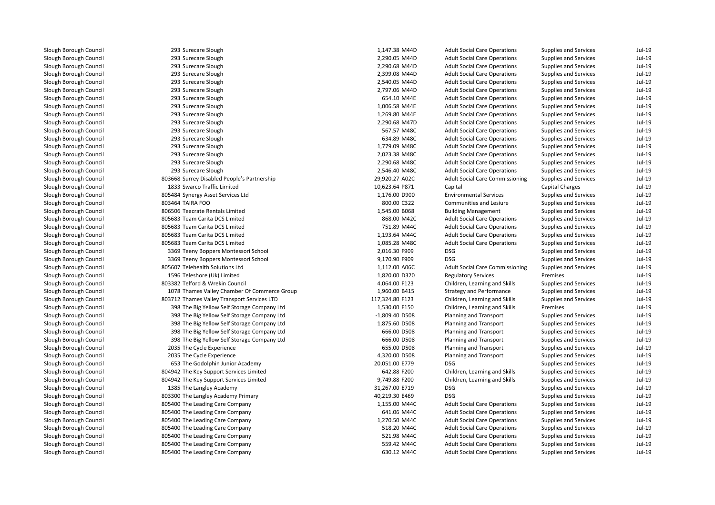293 Surecare Sloughh 1,147.38 M44D 293 Surecare Sloughh 2,290.05 M44D 293 Surecare Sloughh 2,290.68 M44D 293 Surecare Sloughh 2,399.08 M44D 293 Surecare Sloughh 2,540.05 M44D 293 Surecare Sloughh 2,797.06 M44D 293 Surecare Slough 293 Surecare Slough 293 Surecare Slough 293 Surecare Sloughh 2,290.68 M47D 293 Surecare Sloughh 567.57 M48C 293 Surecare Sloughh 634.89 M48C 293 Surecare Sloughh 1,779.09 M48C 293 Surecare Sloughh 2,023.38 M48C 293 Surecare Sloughh 2,290.68 M48C 293 Surecare Sloughh 2,546.40 M48C 803668 Surrey Disabled People's Partnership 1833 Swarco Traffic Limited 805484 Synergy Asset Services Ltd 803464 TAIRA FOO 806506 Teacrate Rentals Limited 805683 Team Carita DCS Limitedd 868.00 M42C 805683 Team Carita DCS Limitedd 351.89 M44C 805683 Team Carita DCS Limitedd 1,193.64 M44C 805683 Team Carita DCS Limitedd 1,085.28 M48C 3369 Teeny Boppers Montessori School 2,016.30 F909 DSG 3369 Teeny Boppers Montessori School 9,170.90 F909 DSG 805607 Telehealth Solutions Ltdd 1,112.00 A06C 1596 Teleshore (Uk) Limited803382 Telford & Wrekin Council 1078 Thames Valley Chamber Of Commerce Group 803712 Thames Valley Transport Services LTD 398 The Big Yellow Self Storage Company Ltd 398 The Big Yellow Self Storage Company Ltd 398 The Big Yellow Self Storage Company Ltd 398 The Big Yellow Self Storage Company Ltd 398 The Big Yellow Self Storage Company Ltd2035 The Cycle Experience 2035 The Cycle Experience 653 The Godolphin Junior Academy 20,051.00 E779 DSG 804942 The Key Support Services Limited 804942 The Key Support Services Limited 1385 The Langley Academy 31,267.00 E719 DSG**1** AD 803300 The Langley Academy Primary **1998 CONSERVING METAL ACCOMPT ACCOMPT ACCOMPT ACCOMPT ACCOMPT ACCOMPT B** and the Superson of the Leading Care Company 1,155.00 M44C and the Superson of the Superson of the Superson of  $1,155.00$  M44C **1** S05400 The Leading Care Company **1996 September 2016 12:31 Additional Additional Additional Additional Additional Additional Additional Additional Additional Additional Additional Additional Additional Additional Addit** and the South of the Leading Care Company 1,270.50 M44C and the South of the South of the South of the South o **1** S05400 The Leading Care Company **1988 S18.20 M44C** S18.20 M44C I and the Leading Care Company and the Company of the Second State State State State State State State State State State State State State State State State State State State State State State State State State State State 805400 The Leading Care Company 559.42 M44C**1 805400** The Leading Care Company **630.12 M44C 630.12 M44C** 

| 3 Surecare Slough                         | 1,147.38 M44D   | <b>Adult Social Care Operations</b>    | <b>Supplies and Services</b> | Jul-19   |
|-------------------------------------------|-----------------|----------------------------------------|------------------------------|----------|
| 3 Surecare Slough                         | 2,290.05 M44D   | <b>Adult Social Care Operations</b>    | Supplies and Services        | Jul-19   |
| 3 Surecare Slough                         | 2,290.68 M44D   | <b>Adult Social Care Operations</b>    | Supplies and Services        | Jul-19   |
| 3 Surecare Slough                         | 2,399.08 M44D   | <b>Adult Social Care Operations</b>    | Supplies and Services        | Jul-19   |
| 3 Surecare Slough                         | 2,540.05 M44D   | <b>Adult Social Care Operations</b>    | <b>Supplies and Services</b> | $Jul-19$ |
| 3 Surecare Slough                         | 2,797.06 M44D   | <b>Adult Social Care Operations</b>    | <b>Supplies and Services</b> | Jul-19   |
| 3 Surecare Slough                         | 654.10 M44E     | <b>Adult Social Care Operations</b>    | Supplies and Services        | Jul-19   |
| 3 Surecare Slough                         | 1,006.58 M44E   | <b>Adult Social Care Operations</b>    | <b>Supplies and Services</b> | Jul-19   |
| 3 Surecare Slough                         | 1,269.80 M44E   | <b>Adult Social Care Operations</b>    | Supplies and Services        | Jul-19   |
| 3 Surecare Slough                         | 2,290.68 M47D   | <b>Adult Social Care Operations</b>    | Supplies and Services        | $Jul-19$ |
| 3 Surecare Slough                         | 567.57 M48C     | <b>Adult Social Care Operations</b>    | <b>Supplies and Services</b> | $Jul-19$ |
| 3 Surecare Slough                         | 634.89 M48C     | <b>Adult Social Care Operations</b>    | <b>Supplies and Services</b> | $Jul-19$ |
| 3 Surecare Slough                         | 1,779.09 M48C   | <b>Adult Social Care Operations</b>    | <b>Supplies and Services</b> | Jul-19   |
| 3 Surecare Slough                         | 2,023.38 M48C   | <b>Adult Social Care Operations</b>    | Supplies and Services        | Jul-19   |
| 3 Surecare Slough                         | 2,290.68 M48C   | <b>Adult Social Care Operations</b>    | Supplies and Services        | Jul-19   |
| 3 Surecare Slough                         | 2,546.40 M48C   | <b>Adult Social Care Operations</b>    | Supplies and Services        | Jul-19   |
| 8 Surrey Disabled People's Partnership    | 29,920.27 A02C  | <b>Adult Social Care Commissioning</b> | Supplies and Services        | Jul-19   |
| 3 Swarco Traffic Limited                  | 10,623.64 P871  | Capital                                | Capital Charges              | Jul-19   |
| 4 Synergy Asset Services Ltd              | 1,176.00 D900   | <b>Environmental Services</b>          | <b>Supplies and Services</b> | Jul-19   |
| 4 TAIRA FOO                               | 800.00 C322     | Communities and Lesiure                | Supplies and Services        | Jul-19   |
| 6 Teacrate Rentals Limited                | 1,545.00 B068   | <b>Building Management</b>             | Supplies and Services        | Jul-19   |
| 3 Team Carita DCS Limited                 | 868.00 M42C     | <b>Adult Social Care Operations</b>    | <b>Supplies and Services</b> | Jul-19   |
| 3 Team Carita DCS Limited                 | 751.89 M44C     | <b>Adult Social Care Operations</b>    | Supplies and Services        | $Jul-19$ |
| 3 Team Carita DCS Limited                 | 1,193.64 M44C   | <b>Adult Social Care Operations</b>    | <b>Supplies and Services</b> | $Jul-19$ |
| 3 Team Carita DCS Limited                 | 1,085.28 M48C   | <b>Adult Social Care Operations</b>    | Supplies and Services        | $Jul-19$ |
| 9 Teeny Boppers Montessori School         | 2,016.30 F909   | <b>DSG</b>                             | <b>Supplies and Services</b> | $Jul-19$ |
| 9 Teeny Boppers Montessori School         | 9,170.90 F909   | <b>DSG</b>                             | <b>Supplies and Services</b> | Jul-19   |
| 7 Telehealth Solutions Ltd                | 1,112.00 A06C   | <b>Adult Social Care Commissioning</b> | Supplies and Services        | $Jul-19$ |
| 6 Teleshore (Uk) Limited                  | 1,820.00 D320   | <b>Regulatory Services</b>             | Premises                     | Jul-19   |
| 2 Telford & Wrekin Council                | 4,064.00 F123   | Children, Learning and Skills          | <b>Supplies and Services</b> | Jul-19   |
| 8 Thames Valley Chamber Of Commerce Group | 1,960.00 B415   | <b>Strategy and Performance</b>        | Supplies and Services        | Jul-19   |
| 2 Thames Valley Transport Services LTD    | 117,324.80 F123 | Children, Learning and Skills          | Supplies and Services        | Jul-19   |
| 8 The Big Yellow Self Storage Company Ltd | 1,530.00 F150   | Children, Learning and Skills          | Premises                     | Jul-19   |
| 8 The Big Yellow Self Storage Company Ltd | -1,809.40 D508  | Planning and Transport                 | Supplies and Services        | Jul-19   |
| 8 The Big Yellow Self Storage Company Ltd | 1,875.60 D508   | Planning and Transport                 | Supplies and Services        | $Jul-19$ |
| 8 The Big Yellow Self Storage Company Ltd | 666.00 D508     | Planning and Transport                 | <b>Supplies and Services</b> | $Jul-19$ |
| 8 The Big Yellow Self Storage Company Ltd | 666.00 D508     | Planning and Transport                 | <b>Supplies and Services</b> | Jul-19   |
| 5 The Cycle Experience                    | 655.00 D508     | Planning and Transport                 | Supplies and Services        | Jul-19   |
| 5 The Cycle Experience                    | 4,320.00 D508   | Planning and Transport                 | Supplies and Services        | Jul-19   |
| 3 The Godolphin Junior Academy            | 20,051.00 E779  | <b>DSG</b>                             | Supplies and Services        | Jul-19   |
| 2 The Key Support Services Limited        | 642.88 F200     | Children, Learning and Skills          | Supplies and Services        | Jul-19   |
| 2 The Key Support Services Limited        | 9,749.88 F200   | Children, Learning and Skills          | <b>Supplies and Services</b> | Jul-19   |
| 5 The Langley Academy                     | 31,267.00 E719  | <b>DSG</b>                             | <b>Supplies and Services</b> | Jul-19   |
| 0 The Langley Academy Primary             | 40,219.30 E469  | <b>DSG</b>                             | <b>Supplies and Services</b> | Jul-19   |
| 0 The Leading Care Company                | 1,155.00 M44C   | <b>Adult Social Care Operations</b>    | Supplies and Services        | Jul-19   |
| 0 The Leading Care Company                | 641.06 M44C     | <b>Adult Social Care Operations</b>    | Supplies and Services        | Jul-19   |
| 0 The Leading Care Company                | 1,270.50 M44C   | <b>Adult Social Care Operations</b>    | <b>Supplies and Services</b> | Jul-19   |
| 0 The Leading Care Company                | 518.20 M44C     | <b>Adult Social Care Operations</b>    | <b>Supplies and Services</b> | $Jul-19$ |
| 0 The Leading Care Company                | 521.98 M44C     | <b>Adult Social Care Operations</b>    | <b>Supplies and Services</b> | Jul-19   |
| 0 The Leading Care Company                | 559.42 M44C     | <b>Adult Social Care Operations</b>    | <b>Supplies and Services</b> | Jul-19   |
| 0 The Leading Care Company                | 630.12 M44C     | <b>Adult Social Care Operations</b>    | <b>Supplies and Services</b> | Jul-19   |
|                                           |                 |                                        |                              |          |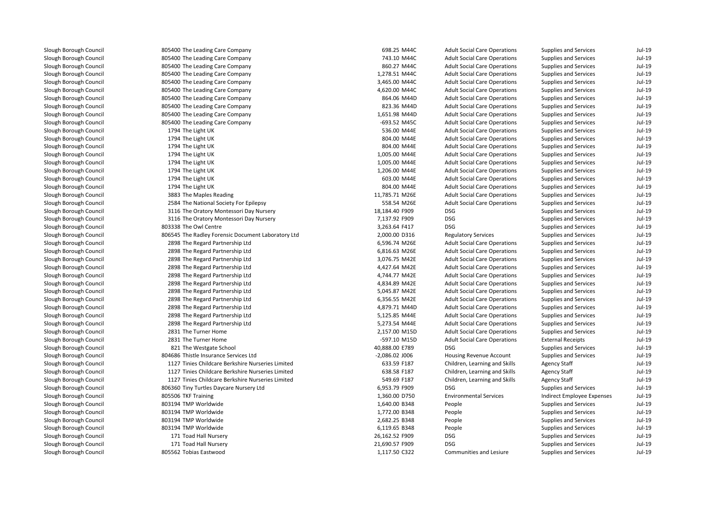| 805400 The Leading Care Company                    | 698.25 M44C      | <b>Adult Social Care Operations</b> | Supplies and Services        | $Jul-19$ |
|----------------------------------------------------|------------------|-------------------------------------|------------------------------|----------|
| 805400 The Leading Care Company                    | 743.10 M44C      | <b>Adult Social Care Operations</b> | Supplies and Services        | $Jul-19$ |
| 805400 The Leading Care Company                    | 860.27 M44C      | <b>Adult Social Care Operations</b> | Supplies and Services        | $Jul-19$ |
| 805400 The Leading Care Company                    | 1,278.51 M44C    | <b>Adult Social Care Operations</b> | Supplies and Services        | $Jul-19$ |
| 805400 The Leading Care Company                    | 3,465.00 M44C    | <b>Adult Social Care Operations</b> | Supplies and Services        | $Jul-19$ |
| 805400 The Leading Care Company                    | 4,620.00 M44C    | <b>Adult Social Care Operations</b> | Supplies and Services        | $Jul-19$ |
| 805400 The Leading Care Company                    | 864.06 M44D      | <b>Adult Social Care Operations</b> | Supplies and Services        | $Jul-19$ |
| 805400 The Leading Care Company                    | 823.36 M44D      | <b>Adult Social Care Operations</b> | <b>Supplies and Services</b> | $Jul-19$ |
| 805400 The Leading Care Company                    | 1,651.98 M44D    | <b>Adult Social Care Operations</b> | Supplies and Services        | $Jul-19$ |
| 805400 The Leading Care Company                    | -693.52 M45C     | <b>Adult Social Care Operations</b> | Supplies and Services        | $Jul-19$ |
| 1794 The Light UK                                  | 536.00 M44E      | <b>Adult Social Care Operations</b> | Supplies and Services        | $Jul-19$ |
| 1794 The Light UK                                  | 804.00 M44E      | <b>Adult Social Care Operations</b> | Supplies and Services        | $Jul-19$ |
| 1794 The Light UK                                  | 804.00 M44E      | <b>Adult Social Care Operations</b> | <b>Supplies and Services</b> | $Jul-19$ |
| 1794 The Light UK                                  | 1,005.00 M44E    | <b>Adult Social Care Operations</b> | Supplies and Services        | $Jul-19$ |
| 1794 The Light UK                                  | 1,005.00 M44E    | <b>Adult Social Care Operations</b> | Supplies and Services        | $Jul-19$ |
| 1794 The Light UK                                  | 1,206.00 M44E    | <b>Adult Social Care Operations</b> | Supplies and Services        | $Jul-19$ |
| 1794 The Light UK                                  | 603.00 M44E      | <b>Adult Social Care Operations</b> | Supplies and Services        | $Jul-19$ |
| 1794 The Light UK                                  | 804.00 M44E      | <b>Adult Social Care Operations</b> | Supplies and Services        | $Jul-19$ |
| 3883 The Maples Reading                            | 11,785.71 M26E   | <b>Adult Social Care Operations</b> | <b>Supplies and Services</b> | $Jul-19$ |
| 2584 The National Society For Epilepsy             | 558.54 M26E      | <b>Adult Social Care Operations</b> | Supplies and Services        | $Jul-19$ |
| 3116 The Oratory Montessori Day Nursery            | 18,184.40 F909   | <b>DSG</b>                          | Supplies and Services        | $Jul-19$ |
| 3116 The Oratory Montessori Day Nursery            | 7,137.92 F909    | <b>DSG</b>                          | Supplies and Services        | $Jul-19$ |
| 803338 The Owl Centre                              | 3,263.64 F417    | <b>DSG</b>                          | Supplies and Services        | $Jul-19$ |
| 806545 The Radley Forensic Document Laboratory Ltd | 2,000.00 D316    | <b>Regulatory Services</b>          | Supplies and Services        | $Jul-19$ |
| 2898 The Regard Partnership Ltd                    | 6,596.74 M26E    | <b>Adult Social Care Operations</b> | <b>Supplies and Services</b> | $Jul-19$ |
| 2898 The Regard Partnership Ltd                    | 6,816.63 M26E    | <b>Adult Social Care Operations</b> | Supplies and Services        | $Jul-19$ |
| 2898 The Regard Partnership Ltd                    | 3,076.75 M42E    | <b>Adult Social Care Operations</b> | Supplies and Services        | $Jul-19$ |
| 2898 The Regard Partnership Ltd                    | 4,427.64 M42E    | <b>Adult Social Care Operations</b> | Supplies and Services        | $Jul-19$ |
| 2898 The Regard Partnership Ltd                    | 4,744.77 M42E    | <b>Adult Social Care Operations</b> | Supplies and Services        | $Jul-19$ |
| 2898 The Regard Partnership Ltd                    | 4,834.89 M42E    | <b>Adult Social Care Operations</b> | Supplies and Services        | $Jul-19$ |
| 2898 The Regard Partnership Ltd                    | 5,045.87 M42E    | <b>Adult Social Care Operations</b> | Supplies and Services        | $Jul-19$ |
| 2898 The Regard Partnership Ltd                    | 6,356.55 M42E    | <b>Adult Social Care Operations</b> | Supplies and Services        | $Jul-19$ |
| 2898 The Regard Partnership Ltd                    | 4,879.71 M44D    | <b>Adult Social Care Operations</b> | Supplies and Services        | $Jul-19$ |
| 2898 The Regard Partnership Ltd                    | 5,125.85 M44E    | <b>Adult Social Care Operations</b> | <b>Supplies and Services</b> | $Jul-19$ |
| 2898 The Regard Partnership Ltd                    | 5,273.54 M44E    | <b>Adult Social Care Operations</b> | Supplies and Services        | $Jul-19$ |
| 2831 The Turner Home                               | 2,157.00 M15D    | <b>Adult Social Care Operations</b> | Supplies and Services        | $Jul-19$ |
| 2831 The Turner Home                               | -597.10 M15D     | <b>Adult Social Care Operations</b> | <b>External Receipts</b>     | $Jul-19$ |
| 821 The Westgate School                            | 40,888.00 E789   | <b>DSG</b>                          | <b>Supplies and Services</b> | $Jul-19$ |
| 804686 Thistle Insurance Services Ltd              | $-2,086.02$ J006 | Housing Revenue Account             | Supplies and Services        | $Jul-19$ |
| 1127 Tinies Childcare Berkshire Nurseries Limited  | 633.59 F187      | Children, Learning and Skills       | <b>Agency Staff</b>          | $Jul-19$ |
| 1127 Tinies Childcare Berkshire Nurseries Limited  | 638.58 F187      | Children, Learning and Skills       | <b>Agency Staff</b>          | $Jul-19$ |
| 1127 Tinies Childcare Berkshire Nurseries Limited  | 549.69 F187      | Children, Learning and Skills       | <b>Agency Staff</b>          | $Jul-19$ |
| 806360 Tiny Turtles Daycare Nursery Ltd            | 6,953.79 F909    | <b>DSG</b>                          | Supplies and Services        | $Jul-19$ |
| 805506 TKF Training                                | 1,360.00 D750    | <b>Environmental Services</b>       | Indirect Employee Expenses   | $Jul-19$ |
| 803194 TMP Worldwide                               | 1,640.00 B348    | People                              | Supplies and Services        | $Jul-19$ |
| 803194 TMP Worldwide                               | 1,772.00 B348    | People                              | Supplies and Services        | $Jul-19$ |
| 803194 TMP Worldwide                               | 2,682.25 B348    | People                              | Supplies and Services        | $Jul-19$ |
| 803194 TMP Worldwide                               | 6,119.65 B348    | People                              | <b>Supplies and Services</b> | $Jul-19$ |
| 171 Toad Hall Nursery                              | 26,162.52 F909   | <b>DSG</b>                          | <b>Supplies and Services</b> | $Jul-19$ |
| 171 Toad Hall Nursery                              | 21,690.57 F909   | <b>DSG</b>                          | <b>Supplies and Services</b> | $Jul-19$ |
| 805562 Tobias Eastwood                             | 1,117.50 C322    | Communities and Lesiure             | Supplies and Services        | $Jul-19$ |
|                                                    |                  |                                     |                              |          |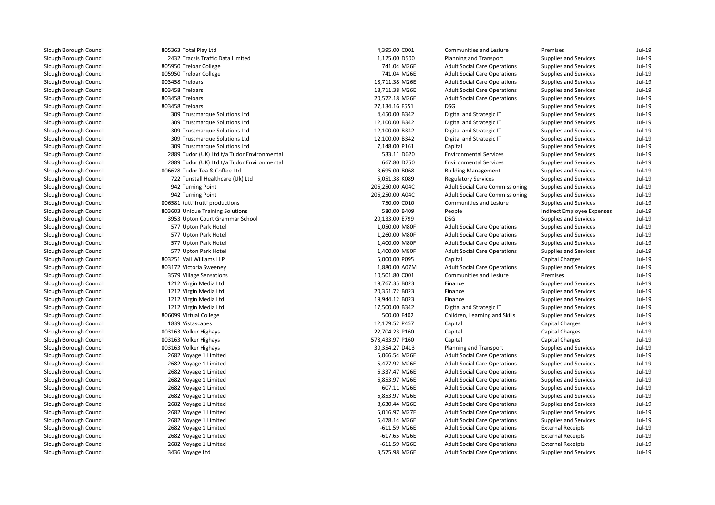| 805363 Total Play Ltd                       | 4,395.00 C001   | Communities and Lesiure                | Premises                     | $Jul-19$ |
|---------------------------------------------|-----------------|----------------------------------------|------------------------------|----------|
| 2432 Tracsis Traffic Data Limited           | 1,125.00 D500   | Planning and Transport                 | <b>Supplies and Services</b> | Jul-19   |
| 805950 Treloar College                      | 741.04 M26E     | <b>Adult Social Care Operations</b>    | Supplies and Services        | $Jul-19$ |
| 805950 Treloar College                      | 741.04 M26E     | <b>Adult Social Care Operations</b>    | Supplies and Services        | $Jul-19$ |
| 803458 Treloars                             | 18,711.38 M26E  | <b>Adult Social Care Operations</b>    | <b>Supplies and Services</b> | $Jul-19$ |
| 803458 Treloars                             | 18,711.38 M26E  | <b>Adult Social Care Operations</b>    | <b>Supplies and Services</b> | $Jul-19$ |
| 803458 Treloars                             | 20,572.18 M26E  | <b>Adult Social Care Operations</b>    | Supplies and Services        | $Jul-19$ |
| 803458 Treloars                             | 27,134.16 F551  | <b>DSG</b>                             | <b>Supplies and Services</b> | $Jul-19$ |
| 309 Trustmarque Solutions Ltd               | 4,450.00 B342   | Digital and Strategic IT               | Supplies and Services        | $Jul-19$ |
| 309 Trustmarque Solutions Ltd               | 12,100.00 B342  | Digital and Strategic IT               | Supplies and Services        | $Jul-19$ |
| 309 Trustmarque Solutions Ltd               | 12,100.00 B342  | Digital and Strategic IT               | Supplies and Services        | $Jul-19$ |
| 309 Trustmarque Solutions Ltd               | 12,100.00 B342  | Digital and Strategic IT               | Supplies and Services        | $Jul-19$ |
| 309 Trustmarque Solutions Ltd               | 7,148.00 P161   | Capital                                | Supplies and Services        | $Jul-19$ |
| 2889 Tudor (UK) Ltd t/a Tudor Environmental | 533.11 D620     | <b>Environmental Services</b>          | Supplies and Services        | $Jul-19$ |
| 2889 Tudor (UK) Ltd t/a Tudor Environmental | 667.80 D750     | <b>Environmental Services</b>          | <b>Supplies and Services</b> | $Jul-19$ |
| 806628 Tudor Tea & Coffee Ltd               | 3,695.00 B068   | <b>Building Management</b>             | Supplies and Services        | $Jul-19$ |
| 722 Tunstall Healthcare (Uk) Ltd            | 5,051.38 K089   | <b>Regulatory Services</b>             | Supplies and Services        | $Jul-19$ |
| 942 Turning Point                           | 206,250.00 A04C | <b>Adult Social Care Commissioning</b> | Supplies and Services        | $Jul-19$ |
| 942 Turning Point                           | 206,250.00 A04C | <b>Adult Social Care Commissioning</b> | Supplies and Services        | $Jul-19$ |
| 806581 tutti frutti productions             | 750.00 C010     | Communities and Lesiure                | Supplies and Services        | $Jul-19$ |
| 803603 Unique Training Solutions            | 580.00 B409     | People                                 | Indirect Employee Expenses   | $Jul-19$ |
| 3953 Upton Court Grammar School             | 20,133.00 E799  | <b>DSG</b>                             | <b>Supplies and Services</b> | $Jul-19$ |
| 577 Upton Park Hotel                        | 1,050.00 M80F   | <b>Adult Social Care Operations</b>    | <b>Supplies and Services</b> | $Jul-19$ |
| 577 Upton Park Hotel                        | 1,260.00 M80F   | <b>Adult Social Care Operations</b>    | Supplies and Services        | $Jul-19$ |
| 577 Upton Park Hotel                        | 1,400.00 M80F   | <b>Adult Social Care Operations</b>    | Supplies and Services        | $Jul-19$ |
| 577 Upton Park Hotel                        | 1,400.00 M80F   | <b>Adult Social Care Operations</b>    | Supplies and Services        | $Jul-19$ |
| 803251 Vail Williams LLP                    | 5,000.00 P095   | Capital                                | <b>Capital Charges</b>       | $Jul-19$ |
| 803172 Victoria Sweeney                     | 1,880.00 A07M   | <b>Adult Social Care Operations</b>    | <b>Supplies and Services</b> | $Jul-19$ |
| 3579 Village Sensations                     | 10,501.80 C001  | Communities and Lesiure                | Premises                     | $Jul-19$ |
| 1212 Virgin Media Ltd                       | 19,767.35 B023  | Finance                                | Supplies and Services        | $Jul-19$ |
| 1212 Virgin Media Ltd                       | 20,351.72 B023  | Finance                                | Supplies and Services        | $Jul-19$ |
| 1212 Virgin Media Ltd                       | 19,944.12 B023  | Finance                                | Supplies and Services        | $Jul-19$ |
| 1212 Virgin Media Ltd                       | 17,500.00 B342  | Digital and Strategic IT               | Supplies and Services        | $Jul-19$ |
| 806099 Virtual College                      | 500.00 F402     | Children, Learning and Skills          | Supplies and Services        | $Jul-19$ |
| 1839 Vistascapes                            | 12,179.52 P457  | Capital                                | <b>Capital Charges</b>       | $Jul-19$ |
| 803163 Volker Highays                       | 22,704.23 P160  | Capital                                | <b>Capital Charges</b>       | $Jul-19$ |
| 803163 Volker Highays                       | 578,433.97 P160 | Capital                                | Capital Charges              | $Jul-19$ |
| 803163 Volker Highays                       | 30,354.27 D413  | Planning and Transport                 | Supplies and Services        | $Jul-19$ |
| 2682 Voyage 1 Limited                       | 5,066.54 M26E   | <b>Adult Social Care Operations</b>    | Supplies and Services        | $Jul-19$ |
| 2682 Voyage 1 Limited                       | 5,477.92 M26E   | <b>Adult Social Care Operations</b>    | <b>Supplies and Services</b> | $Jul-19$ |
| 2682 Voyage 1 Limited                       | 6,337.47 M26E   | <b>Adult Social Care Operations</b>    | Supplies and Services        | $Jul-19$ |
| 2682 Voyage 1 Limited                       | 6,853.97 M26E   | <b>Adult Social Care Operations</b>    | Supplies and Services        | $Jul-19$ |
| 2682 Voyage 1 Limited                       | 607.11 M26E     | <b>Adult Social Care Operations</b>    | Supplies and Services        | $Jul-19$ |
| 2682 Voyage 1 Limited                       | 6,853.97 M26E   | <b>Adult Social Care Operations</b>    | <b>Supplies and Services</b> | $Jul-19$ |
| 2682 Voyage 1 Limited                       | 8,630.44 M26E   | <b>Adult Social Care Operations</b>    | Supplies and Services        | $Jul-19$ |
| 2682 Voyage 1 Limited                       | 5,016.97 M27F   | <b>Adult Social Care Operations</b>    | Supplies and Services        | $Jul-19$ |
| 2682 Voyage 1 Limited                       | 6,478.14 M26E   | <b>Adult Social Care Operations</b>    | Supplies and Services        | $Jul-19$ |
| 2682 Voyage 1 Limited                       | $-611.59$ M26E  | <b>Adult Social Care Operations</b>    | <b>External Receipts</b>     | $Jul-19$ |
| 2682 Voyage 1 Limited                       | $-617.65$ M26E  | <b>Adult Social Care Operations</b>    | <b>External Receipts</b>     | $Jul-19$ |
| 2682 Voyage 1 Limited                       | $-611.59$ M26E  | <b>Adult Social Care Operations</b>    | <b>External Receipts</b>     | $Jul-19$ |
| 3436 Voyage Ltd                             | 3,575.98 M26E   | <b>Adult Social Care Operations</b>    | <b>Supplies and Services</b> | $Jul-19$ |
|                                             |                 |                                        |                              |          |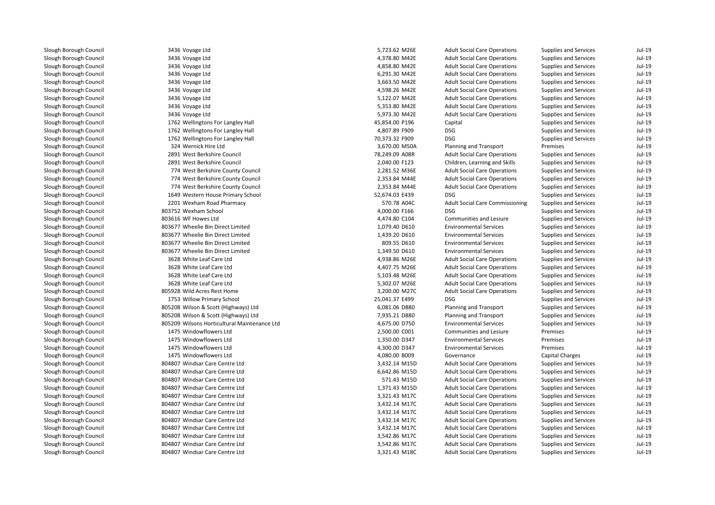| 3436 Voyage Ltd                              | 5,723.62 M26E  | <b>Adult Social Care Operations</b>    | <b>Supplies and Services</b> | Jul-19 |
|----------------------------------------------|----------------|----------------------------------------|------------------------------|--------|
| 3436 Voyage Ltd                              | 4,378.80 M42E  | <b>Adult Social Care Operations</b>    | <b>Supplies and Services</b> | Jul-19 |
| 3436 Voyage Ltd                              | 4,858.80 M42E  | <b>Adult Social Care Operations</b>    | <b>Supplies and Services</b> | Jul-19 |
| 3436 Voyage Ltd                              | 6,291.30 M42E  | <b>Adult Social Care Operations</b>    | <b>Supplies and Services</b> | Jul-19 |
| 3436 Voyage Ltd                              | 3,663.50 M42E  | <b>Adult Social Care Operations</b>    | <b>Supplies and Services</b> | Jul-19 |
| 3436 Voyage Ltd                              | 4,598.26 M42E  | <b>Adult Social Care Operations</b>    | <b>Supplies and Services</b> | Jul-19 |
| 3436 Voyage Ltd                              | 5,122.07 M42E  | <b>Adult Social Care Operations</b>    | <b>Supplies and Services</b> | Jul-19 |
| 3436 Voyage Ltd                              | 5,353.80 M42E  | <b>Adult Social Care Operations</b>    | <b>Supplies and Services</b> | Jul-19 |
| 3436 Voyage Ltd                              | 5,973.30 M42E  | <b>Adult Social Care Operations</b>    | <b>Supplies and Services</b> | Jul-19 |
| 1762 Wellingtons For Langley Hall            | 45,854.00 P196 | Capital                                | <b>Supplies and Services</b> | Jul-19 |
| 1762 Wellingtons For Langley Hall            | 4,807.89 F909  | <b>DSG</b>                             | <b>Supplies and Services</b> | Jul-19 |
| 1762 Wellingtons For Langley Hall            | 70,373.32 F909 | <b>DSG</b>                             | <b>Supplies and Services</b> | Jul-19 |
| 324 Wernick Hire Ltd                         | 3,670.00 M50A  | Planning and Transport                 | Premises                     | Jul-19 |
| 2891 West Berkshire Council                  | 78,249.09 A08R | <b>Adult Social Care Operations</b>    | <b>Supplies and Services</b> | Jul-19 |
| 2891 West Berkshire Council                  | 2,040.00 F123  | Children, Learning and Skills          | <b>Supplies and Services</b> | Jul-19 |
| 774 West Berkshire County Council            | 2,281.52 M36E  | <b>Adult Social Care Operations</b>    | <b>Supplies and Services</b> | Jul-19 |
| 774 West Berkshire County Council            | 2,353.84 M44E  | <b>Adult Social Care Operations</b>    | <b>Supplies and Services</b> | Jul-19 |
| 774 West Berkshire County Council            | 2,353.84 M44E  | <b>Adult Social Care Operations</b>    | <b>Supplies and Services</b> | Jul-19 |
| 1649 Western House Primary School            | 52,674.03 E439 | <b>DSG</b>                             | <b>Supplies and Services</b> | Jul-19 |
| 2201 Wexham Road Pharmacy                    | 570.78 A04C    | <b>Adult Social Care Commissioning</b> | <b>Supplies and Services</b> | Jul-19 |
| 803752 Wexham School                         | 4,000.00 F166  | <b>DSG</b>                             | <b>Supplies and Services</b> | Jul-19 |
| 803616 WF Howes Ltd                          | 4,474.80 C104  | Communities and Lesiure                | <b>Supplies and Services</b> | Jul-19 |
| 803677 Wheelie Bin Direct Limited            | 1,079.40 D610  | <b>Environmental Services</b>          | <b>Supplies and Services</b> | Jul-19 |
| 803677 Wheelie Bin Direct Limited            | 1,439.20 D610  | <b>Environmental Services</b>          | <b>Supplies and Services</b> | Jul-19 |
| 803677 Wheelie Bin Direct Limited            | 809.55 D610    | <b>Environmental Services</b>          | <b>Supplies and Services</b> | Jul-19 |
| 803677 Wheelie Bin Direct Limited            | 1,349.50 D610  | <b>Environmental Services</b>          | <b>Supplies and Services</b> | Jul-19 |
| 3628 White Leaf Care Ltd                     | 4,938.86 M26E  | <b>Adult Social Care Operations</b>    | <b>Supplies and Services</b> | Jul-19 |
| 3628 White Leaf Care Ltd                     | 4,407.75 M26E  | <b>Adult Social Care Operations</b>    | <b>Supplies and Services</b> | Jul-19 |
| 3628 White Leaf Care Ltd                     | 5,103.48 M26E  | <b>Adult Social Care Operations</b>    | <b>Supplies and Services</b> | Jul-19 |
| 3628 White Leaf Care Ltd                     | 5,302.07 M26E  | <b>Adult Social Care Operations</b>    | <b>Supplies and Services</b> | Jul-19 |
| 805928 Wild Acres Rest Home                  | 3,200.00 M27C  | <b>Adult Social Care Operations</b>    | <b>Supplies and Services</b> | Jul-19 |
| 1753 Willow Primary School                   | 25,041.37 E499 | <b>DSG</b>                             | <b>Supplies and Services</b> | Jul-19 |
| 805208 Wilson & Scott (Highways) Ltd         | 6,081.06 D880  | Planning and Transport                 | <b>Supplies and Services</b> | Jul-19 |
| 805208 Wilson & Scott (Highways) Ltd         | 7,935.21 D880  | Planning and Transport                 | <b>Supplies and Services</b> | Jul-19 |
| 805209 Wilsons Horticultural Maintenance Ltd | 4,675.00 D750  | <b>Environmental Services</b>          | <b>Supplies and Services</b> | Jul-19 |
| 1475 Windowflowers Ltd                       | 2,500.00 C001  | Communities and Lesiure                | Premises                     | Jul-19 |
| 1475 Windowflowers Ltd                       | 1,350.00 D347  | <b>Environmental Services</b>          | Premises                     | Jul-19 |
| 1475 Windowflowers Ltd                       | 4,300.00 D347  | <b>Environmental Services</b>          | Premises                     | Jul-19 |
| 1475 Windowflowers Ltd                       | 4,080.00 B009  | Governance                             | Capital Charges              | Jul-19 |
| 804807 Windsar Care Centre Ltd               | 3,432.14 M15D  | <b>Adult Social Care Operations</b>    | Supplies and Services        | Jul-19 |
| 804807 Windsar Care Centre Ltd               | 6,642.86 M15D  | <b>Adult Social Care Operations</b>    | <b>Supplies and Services</b> | Jul-19 |
| 804807 Windsar Care Centre Ltd               | 571.43 M15D    | <b>Adult Social Care Operations</b>    | <b>Supplies and Services</b> | Jul-19 |
| 804807 Windsar Care Centre Ltd               | 1,371.43 M15D  | <b>Adult Social Care Operations</b>    | <b>Supplies and Services</b> | Jul-19 |
| 804807 Windsar Care Centre Ltd               | 3,321.43 M17C  | <b>Adult Social Care Operations</b>    | <b>Supplies and Services</b> | Jul-19 |
| 804807 Windsar Care Centre Ltd               | 3,432.14 M17C  | <b>Adult Social Care Operations</b>    | <b>Supplies and Services</b> | Jul-19 |
| 804807 Windsar Care Centre Ltd               | 3,432.14 M17C  | <b>Adult Social Care Operations</b>    | <b>Supplies and Services</b> | Jul-19 |
| 804807 Windsar Care Centre Ltd               | 3,432.14 M17C  | <b>Adult Social Care Operations</b>    | <b>Supplies and Services</b> | Jul-19 |
| 804807 Windsar Care Centre Ltd               | 3,432.14 M17C  | <b>Adult Social Care Operations</b>    | <b>Supplies and Services</b> | Jul-19 |
| 804807 Windsar Care Centre Ltd               | 3,542.86 M17C  | <b>Adult Social Care Operations</b>    | <b>Supplies and Services</b> | Jul-19 |
| 804807 Windsar Care Centre Ltd               | 3,542.86 M17C  | <b>Adult Social Care Operations</b>    | <b>Supplies and Services</b> | Jul-19 |
| 804807 Windsar Care Centre Ltd               | 3,321.43 M18C  | <b>Adult Social Care Operations</b>    | <b>Supplies and Services</b> | Jul-19 |
|                                              |                |                                        |                              |        |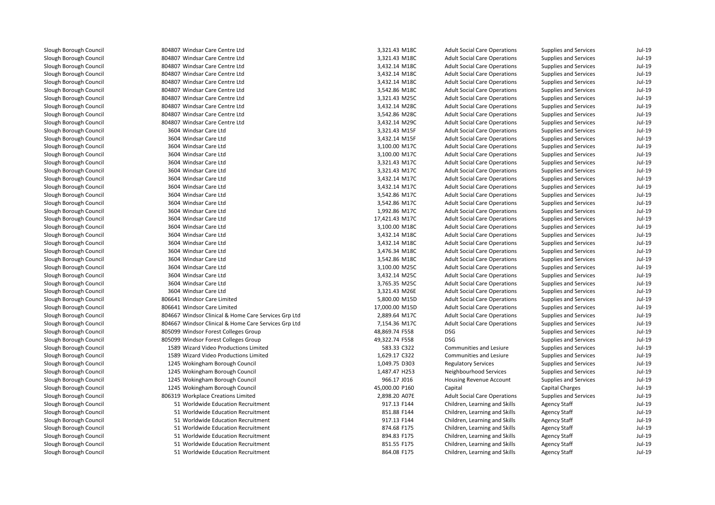| 804807 Windsar Care Centre Ltd                       | 3,321.43 M18C  | <b>Adult Social Care Operations</b>                            | <b>Supplies and Services</b>               | Jul-19 |
|------------------------------------------------------|----------------|----------------------------------------------------------------|--------------------------------------------|--------|
| 804807 Windsar Care Centre Ltd                       | 3,321.43 M18C  | <b>Adult Social Care Operations</b>                            | <b>Supplies and Services</b>               | Jul-19 |
| 804807 Windsar Care Centre Ltd                       | 3,432.14 M18C  | <b>Adult Social Care Operations</b>                            | <b>Supplies and Services</b>               | Jul-19 |
| 804807 Windsar Care Centre Ltd                       | 3,432.14 M18C  | <b>Adult Social Care Operations</b>                            | <b>Supplies and Services</b>               | Jul-19 |
| 804807 Windsar Care Centre Ltd                       | 3,432.14 M18C  | <b>Adult Social Care Operations</b>                            | <b>Supplies and Services</b>               | Jul-19 |
| 804807 Windsar Care Centre Ltd                       | 3,542.86 M18C  | <b>Adult Social Care Operations</b>                            | Supplies and Services                      | Jul-19 |
| 804807 Windsar Care Centre Ltd                       | 3,321.43 M25C  | <b>Adult Social Care Operations</b>                            | <b>Supplies and Services</b>               | Jul-19 |
| 804807 Windsar Care Centre Ltd                       | 3,432.14 M28C  | <b>Adult Social Care Operations</b>                            | <b>Supplies and Services</b>               | Jul-19 |
| 804807 Windsar Care Centre Ltd                       | 3,542.86 M28C  | <b>Adult Social Care Operations</b>                            | <b>Supplies and Services</b>               | Jul-19 |
| 804807 Windsar Care Centre Ltd                       | 3,432.14 M29C  | <b>Adult Social Care Operations</b>                            | <b>Supplies and Services</b>               | Jul-19 |
| 3604 Windsar Care Ltd                                | 3,321.43 M15F  | <b>Adult Social Care Operations</b>                            | <b>Supplies and Services</b>               | Jul-19 |
| 3604 Windsar Care Ltd                                | 3,432.14 M15F  | <b>Adult Social Care Operations</b>                            | <b>Supplies and Services</b>               | Jul-19 |
| 3604 Windsar Care Ltd                                | 3,100.00 M17C  | <b>Adult Social Care Operations</b>                            | Supplies and Services                      | Jul-19 |
| 3604 Windsar Care Ltd                                | 3,100.00 M17C  | <b>Adult Social Care Operations</b>                            | <b>Supplies and Services</b>               | Jul-19 |
| 3604 Windsar Care Ltd                                | 3,321.43 M17C  | <b>Adult Social Care Operations</b>                            | <b>Supplies and Services</b>               | Jul-19 |
| 3604 Windsar Care Ltd                                | 3,321.43 M17C  | <b>Adult Social Care Operations</b>                            | Supplies and Services                      | Jul-19 |
| 3604 Windsar Care Ltd                                | 3,432.14 M17C  | <b>Adult Social Care Operations</b>                            | <b>Supplies and Services</b>               | Jul-19 |
| 3604 Windsar Care Ltd                                | 3,432.14 M17C  | <b>Adult Social Care Operations</b>                            | <b>Supplies and Services</b>               | Jul-19 |
| 3604 Windsar Care Ltd                                | 3,542.86 M17C  | <b>Adult Social Care Operations</b>                            | <b>Supplies and Services</b>               | Jul-19 |
| 3604 Windsar Care Ltd                                | 3,542.86 M17C  | <b>Adult Social Care Operations</b>                            | <b>Supplies and Services</b>               | Jul-19 |
| 3604 Windsar Care Ltd                                | 1,992.86 M17C  | <b>Adult Social Care Operations</b>                            | <b>Supplies and Services</b>               | Jul-19 |
| 3604 Windsar Care Ltd                                | 17,421.43 M17C | <b>Adult Social Care Operations</b>                            | <b>Supplies and Services</b>               | Jul-19 |
| 3604 Windsar Care Ltd                                | 3,100.00 M18C  | <b>Adult Social Care Operations</b>                            | <b>Supplies and Services</b>               | Jul-19 |
| 3604 Windsar Care Ltd                                | 3,432.14 M18C  | <b>Adult Social Care Operations</b>                            | <b>Supplies and Services</b>               | Jul-19 |
| 3604 Windsar Care Ltd                                | 3,432.14 M18C  | <b>Adult Social Care Operations</b>                            | <b>Supplies and Services</b>               | Jul-19 |
| 3604 Windsar Care Ltd                                | 3,476.34 M18C  | <b>Adult Social Care Operations</b>                            | <b>Supplies and Services</b>               | Jul-19 |
| 3604 Windsar Care Ltd                                | 3,542.86 M18C  | <b>Adult Social Care Operations</b>                            | <b>Supplies and Services</b>               | Jul-19 |
| 3604 Windsar Care Ltd                                | 3,100.00 M25C  | <b>Adult Social Care Operations</b>                            | Supplies and Services                      | Jul-19 |
| 3604 Windsar Care Ltd                                | 3,432.14 M25C  | <b>Adult Social Care Operations</b>                            | <b>Supplies and Services</b>               | Jul-19 |
| 3604 Windsar Care Ltd                                | 3,765.35 M25C  | <b>Adult Social Care Operations</b>                            | <b>Supplies and Services</b>               | Jul-19 |
| 3604 Windsar Care Ltd                                | 3,321.43 M26E  | <b>Adult Social Care Operations</b>                            | Supplies and Services                      | Jul-19 |
| 806641 Windsor Care Limited                          | 5,800.00 M15D  | <b>Adult Social Care Operations</b>                            | <b>Supplies and Services</b>               | Jul-19 |
| 806641 Windsor Care Limited                          | 17,000.00 M15D | <b>Adult Social Care Operations</b>                            | <b>Supplies and Services</b>               | Jul-19 |
| 804667 Windsor Clinical & Home Care Services Grp Ltd | 2,889.64 M17C  | <b>Adult Social Care Operations</b>                            | <b>Supplies and Services</b>               | Jul-19 |
| 804667 Windsor Clinical & Home Care Services Grp Ltd | 7,154.36 M17C  | <b>Adult Social Care Operations</b>                            | <b>Supplies and Services</b>               | Jul-19 |
| 805099 Windsor Forest Colleges Group                 | 48,869.74 F558 | <b>DSG</b>                                                     | Supplies and Services                      | Jul-19 |
| 805099 Windsor Forest Colleges Group                 | 49,322.74 F558 | <b>DSG</b>                                                     | <b>Supplies and Services</b>               | Jul-19 |
| 1589 Wizard Video Productions Limited                | 583.33 C322    | Communities and Lesiure                                        | Supplies and Services                      | Jul-19 |
| 1589 Wizard Video Productions Limited                | 1,629.17 C322  | Communities and Lesiure                                        | <b>Supplies and Services</b>               | Jul-19 |
| 1245 Wokingham Borough Council                       | 1,049.75 D303  | <b>Regulatory Services</b>                                     | Supplies and Services                      | Jul-19 |
| 1245 Wokingham Borough Council                       | 1,487.47 H253  | Neighbourhood Services                                         | Supplies and Services                      | Jul-19 |
| 1245 Wokingham Borough Council                       | 966.17 J016    | Housing Revenue Account                                        | <b>Supplies and Services</b>               | Jul-19 |
| 1245 Wokingham Borough Council                       | 45,000.00 P160 | Capital                                                        | Capital Charges                            | Jul-19 |
| 806319 Workplace Creations Limited                   | 2,898.20 A07E  | <b>Adult Social Care Operations</b>                            | <b>Supplies and Services</b>               | Jul-19 |
| 51 Worldwide Education Recruitment                   | 917.13 F144    | Children, Learning and Skills                                  | <b>Agency Staff</b>                        | Jul-19 |
| 51 Worldwide Education Recruitment                   | 851.88 F144    | Children, Learning and Skills                                  | <b>Agency Staff</b>                        | Jul-19 |
| 51 Worldwide Education Recruitment                   | 917.13 F144    | Children, Learning and Skills                                  | <b>Agency Staff</b>                        | Jul-19 |
| 51 Worldwide Education Recruitment                   | 874.68 F175    |                                                                |                                            | Jul-19 |
| 51 Worldwide Education Recruitment                   | 894.83 F175    | Children, Learning and Skills<br>Children, Learning and Skills | <b>Agency Staff</b><br><b>Agency Staff</b> | Jul-19 |
|                                                      |                |                                                                |                                            | Jul-19 |
| 51 Worldwide Education Recruitment                   | 851.55 F175    | Children, Learning and Skills                                  | <b>Agency Staff</b>                        | Jul-19 |
| 51 Worldwide Education Recruitment                   | 864.08 F175    | Children. Learning and Skills                                  | <b>Agency Staff</b>                        |        |